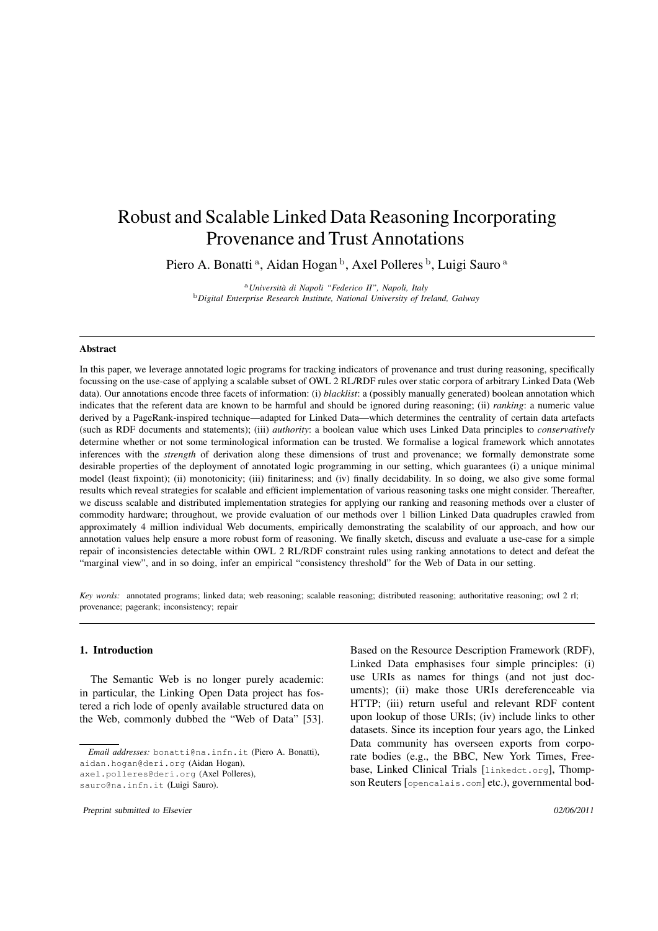# Robust and Scalable Linked Data Reasoning Incorporating Provenance and Trust Annotations

Piero A. Bonatti<sup>a</sup>, Aidan Hogan<sup>b</sup>, Axel Polleres<sup>b</sup>, Luigi Sauro<sup>a</sup>

<sup>a</sup>*Universita di Napoli "Federico II", Napoli, Italy `* <sup>b</sup>*Digital Enterprise Research Institute, National University of Ireland, Galway*

#### **Abstract**

In this paper, we leverage annotated logic programs for tracking indicators of provenance and trust during reasoning, specifically focussing on the use-case of applying a scalable subset of OWL 2 RL/RDF rules over static corpora of arbitrary Linked Data (Web data). Our annotations encode three facets of information: (i) *blacklist*: a (possibly manually generated) boolean annotation which indicates that the referent data are known to be harmful and should be ignored during reasoning; (ii) *ranking*: a numeric value derived by a PageRank-inspired technique—adapted for Linked Data—which determines the centrality of certain data artefacts (such as RDF documents and statements); (iii) *authority*: a boolean value which uses Linked Data principles to *conservatively* determine whether or not some terminological information can be trusted. We formalise a logical framework which annotates inferences with the *strength* of derivation along these dimensions of trust and provenance; we formally demonstrate some desirable properties of the deployment of annotated logic programming in our setting, which guarantees (i) a unique minimal model (least fixpoint); (ii) monotonicity; (iii) finitariness; and (iv) finally decidability. In so doing, we also give some formal results which reveal strategies for scalable and efficient implementation of various reasoning tasks one might consider. Thereafter, we discuss scalable and distributed implementation strategies for applying our ranking and reasoning methods over a cluster of commodity hardware; throughout, we provide evaluation of our methods over 1 billion Linked Data quadruples crawled from approximately 4 million individual Web documents, empirically demonstrating the scalability of our approach, and how our annotation values help ensure a more robust form of reasoning. We finally sketch, discuss and evaluate a use-case for a simple repair of inconsistencies detectable within OWL 2 RL/RDF constraint rules using ranking annotations to detect and defeat the "marginal view", and in so doing, infer an empirical "consistency threshold" for the Web of Data in our setting.

*Key words:* annotated programs; linked data; web reasoning; scalable reasoning; distributed reasoning; authoritative reasoning; owl 2 rl; provenance; pagerank; inconsistency; repair

## 1. Introduction

The Semantic Web is no longer purely academic: in particular, the Linking Open Data project has fostered a rich lode of openly available structured data on the Web, commonly dubbed the "Web of Data" [53]. Based on the Resource Description Framework (RDF), Linked Data emphasises four simple principles: (i) use URIs as names for things (and not just documents); (ii) make those URIs dereferenceable via HTTP; (iii) return useful and relevant RDF content upon lookup of those URIs; (iv) include links to other datasets. Since its inception four years ago, the Linked Data community has overseen exports from corporate bodies (e.g., the BBC, New York Times, Freebase, Linked Clinical Trials [linkedct.org], Thompson Reuters [opencalais.com] etc.), governmental bod-

*Email addresses:* bonatti@na.infn.it (Piero A. Bonatti), aidan.hogan@deri.org (Aidan Hogan), axel.polleres@deri.org (Axel Polleres),

sauro@na.infn.it (Luigi Sauro).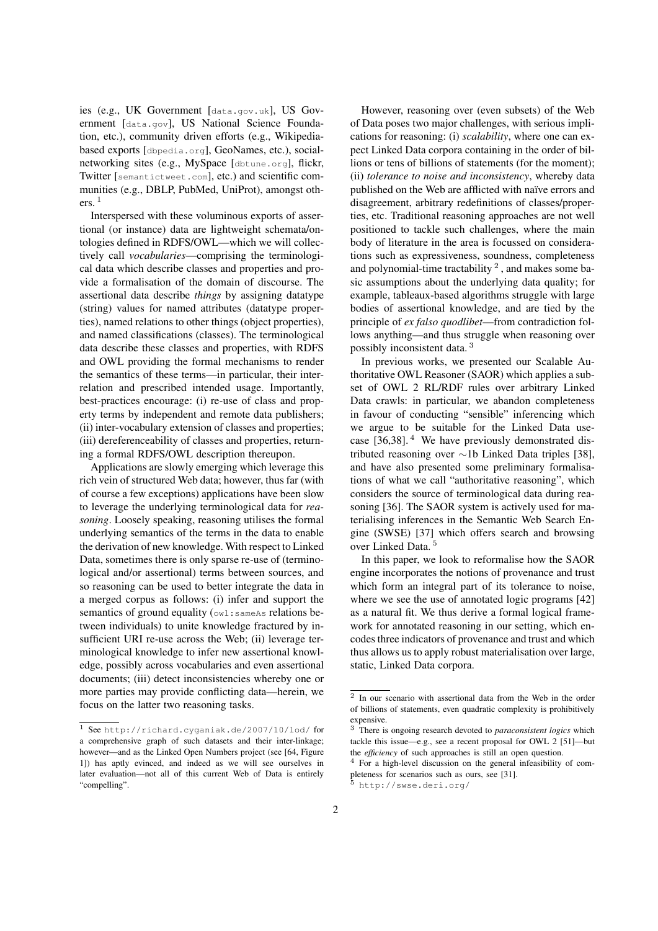ies (e.g., UK Government [data.gov.uk], US Government [data.gov], US National Science Foundation, etc.), community driven efforts (e.g., Wikipediabased exports [dbpedia.org], GeoNames, etc.), socialnetworking sites (e.g., MySpace [dbtune.org], flickr, Twitter [semantictweet.com], etc.) and scientific communities (e.g., DBLP, PubMed, UniProt), amongst oth $ers.$ <sup>1</sup>

Interspersed with these voluminous exports of assertional (or instance) data are lightweight schemata/ontologies defined in RDFS/OWL—which we will collectively call *vocabularies*—comprising the terminological data which describe classes and properties and provide a formalisation of the domain of discourse. The assertional data describe *things* by assigning datatype (string) values for named attributes (datatype properties), named relations to other things (object properties), and named classifications (classes). The terminological data describe these classes and properties, with RDFS and OWL providing the formal mechanisms to render the semantics of these terms—in particular, their interrelation and prescribed intended usage. Importantly, best-practices encourage: (i) re-use of class and property terms by independent and remote data publishers; (ii) inter-vocabulary extension of classes and properties; (iii) dereferenceability of classes and properties, returning a formal RDFS/OWL description thereupon.

Applications are slowly emerging which leverage this rich vein of structured Web data; however, thus far (with of course a few exceptions) applications have been slow to leverage the underlying terminological data for *reasoning*. Loosely speaking, reasoning utilises the formal underlying semantics of the terms in the data to enable the derivation of new knowledge. With respect to Linked Data, sometimes there is only sparse re-use of (terminological and/or assertional) terms between sources, and so reasoning can be used to better integrate the data in a merged corpus as follows: (i) infer and support the semantics of ground equality ( $\circ$ wl:sameAs relations between individuals) to unite knowledge fractured by insufficient URI re-use across the Web; (ii) leverage terminological knowledge to infer new assertional knowledge, possibly across vocabularies and even assertional documents; (iii) detect inconsistencies whereby one or more parties may provide conflicting data—herein, we focus on the latter two reasoning tasks.

However, reasoning over (even subsets) of the Web of Data poses two major challenges, with serious implications for reasoning: (i) *scalability*, where one can expect Linked Data corpora containing in the order of billions or tens of billions of statements (for the moment); (ii) *tolerance to noise and inconsistency*, whereby data published on the Web are afflicted with naïve errors and disagreement, arbitrary redefinitions of classes/properties, etc. Traditional reasoning approaches are not well positioned to tackle such challenges, where the main body of literature in the area is focussed on considerations such as expressiveness, soundness, completeness and polynomial-time tractability<sup>2</sup>, and makes some basic assumptions about the underlying data quality; for example, tableaux-based algorithms struggle with large bodies of assertional knowledge, and are tied by the principle of *ex falso quodlibet*—from contradiction follows anything—and thus struggle when reasoning over possibly inconsistent data. <sup>3</sup>

In previous works, we presented our Scalable Authoritative OWL Reasoner (SAOR) which applies a subset of OWL 2 RL/RDF rules over arbitrary Linked Data crawls: in particular, we abandon completeness in favour of conducting "sensible" inferencing which we argue to be suitable for the Linked Data usecase  $[36,38]$ . <sup>4</sup> We have previously demonstrated distributed reasoning over ∼1b Linked Data triples [38], and have also presented some preliminary formalisations of what we call "authoritative reasoning", which considers the source of terminological data during reasoning [36]. The SAOR system is actively used for materialising inferences in the Semantic Web Search Engine (SWSE) [37] which offers search and browsing over Linked Data.<sup>5</sup>

In this paper, we look to reformalise how the SAOR engine incorporates the notions of provenance and trust which form an integral part of its tolerance to noise, where we see the use of annotated logic programs [42] as a natural fit. We thus derive a formal logical framework for annotated reasoning in our setting, which encodes three indicators of provenance and trust and which thus allows us to apply robust materialisation over large, static, Linked Data corpora.

<sup>1</sup> See http://richard.cyganiak.de/2007/10/lod/ for a comprehensive graph of such datasets and their inter-linkage; however—and as the Linked Open Numbers project (see [64, Figure 1]) has aptly evinced, and indeed as we will see ourselves in later evaluation—not all of this current Web of Data is entirely "compelling".

<sup>2</sup> In our scenario with assertional data from the Web in the order of billions of statements, even quadratic complexity is prohibitively expensive.

<sup>3</sup> There is ongoing research devoted to *paraconsistent logics* which tackle this issue—e.g., see a recent proposal for OWL 2 [51]—but the *efficiency* of such approaches is still an open question.

<sup>4</sup> For a high-level discussion on the general infeasibility of completeness for scenarios such as ours, see [31].

<sup>5</sup> http://swse.deri.org/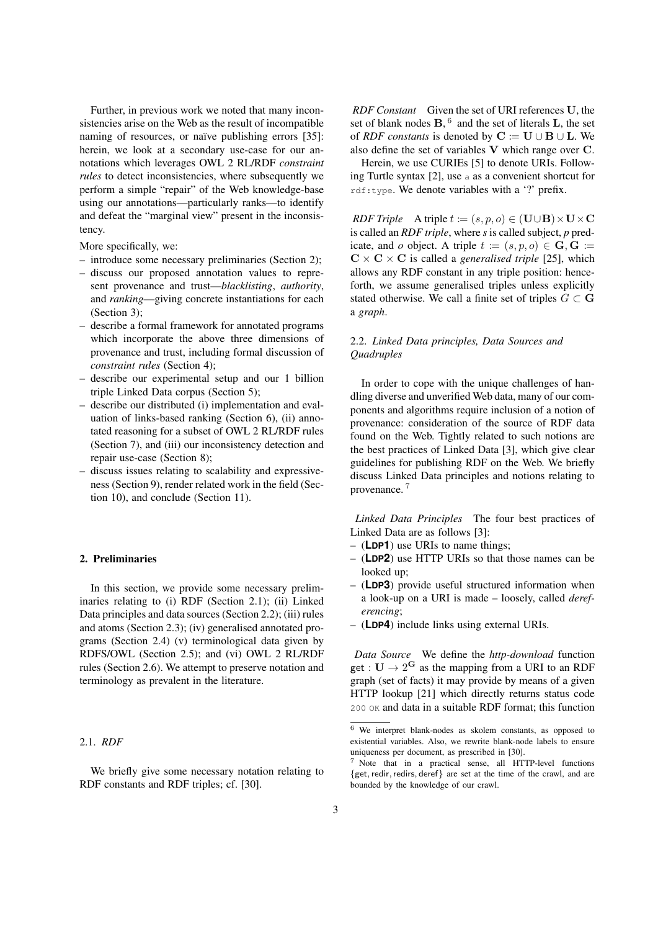Further, in previous work we noted that many inconsistencies arise on the Web as the result of incompatible naming of resources, or naïve publishing errors [35]: herein, we look at a secondary use-case for our annotations which leverages OWL 2 RL/RDF *constraint rules* to detect inconsistencies, where subsequently we perform a simple "repair" of the Web knowledge-base using our annotations—particularly ranks—to identify and defeat the "marginal view" present in the inconsistency.

More specifically, we:

- introduce some necessary preliminaries (Section 2);
- discuss our proposed annotation values to represent provenance and trust—*blacklisting*, *authority*, and *ranking*—giving concrete instantiations for each (Section 3);
- describe a formal framework for annotated programs which incorporate the above three dimensions of provenance and trust, including formal discussion of *constraint rules* (Section 4);
- describe our experimental setup and our 1 billion triple Linked Data corpus (Section 5);
- describe our distributed (i) implementation and evaluation of links-based ranking (Section 6), (ii) annotated reasoning for a subset of OWL 2 RL/RDF rules (Section 7), and (iii) our inconsistency detection and repair use-case (Section 8);
- discuss issues relating to scalability and expressiveness (Section 9), render related work in the field (Section 10), and conclude (Section 11).

### 2. Preliminaries

In this section, we provide some necessary preliminaries relating to (i) RDF (Section 2.1); (ii) Linked Data principles and data sources (Section 2.2); (iii) rules and atoms (Section 2.3); (iv) generalised annotated programs (Section 2.4) (v) terminological data given by RDFS/OWL (Section 2.5); and (vi) OWL 2 RL/RDF rules (Section 2.6). We attempt to preserve notation and terminology as prevalent in the literature.

#### 2.1. *RDF*

We briefly give some necessary notation relating to RDF constants and RDF triples; cf. [30].

*RDF Constant* Given the set of URI references U, the set of blank nodes  $B<sub>0</sub>$ , 6 and the set of literals L, the set of *RDF constants* is denoted by  $C := U \cup B \cup L$ . We also define the set of variables V which range over C.

Herein, we use CURIEs [5] to denote URIs. Following Turtle syntax [2], use a as a convenient shortcut for rdf:type. We denote variables with a '?' prefix.

*RDF Triple* A triple  $t := (s, p, o) \in (\mathbf{U} \cup \mathbf{B}) \times \mathbf{U} \times \mathbf{C}$ is called an *RDF triple*, where *s* is called subject, *p* predicate, and *o* object. A triple  $t := (s, p, o) \in \mathbf{G}, \mathbf{G} :=$  $C \times C \times C$  is called a *generalised triple* [25], which allows any RDF constant in any triple position: henceforth, we assume generalised triples unless explicitly stated otherwise. We call a finite set of triples  $G \subset \mathbf{G}$ a *graph*.

## 2.2. *Linked Data principles, Data Sources and Quadruples*

In order to cope with the unique challenges of handling diverse and unverified Web data, many of our components and algorithms require inclusion of a notion of provenance: consideration of the source of RDF data found on the Web. Tightly related to such notions are the best practices of Linked Data [3], which give clear guidelines for publishing RDF on the Web. We briefly discuss Linked Data principles and notions relating to provenance. <sup>7</sup>

*Linked Data Principles* The four best practices of Linked Data are as follows [3]:

- (**LDP1**) use URIs to name things;
- (**LDP2**) use HTTP URIs so that those names can be looked up;
- (**LDP3**) provide useful structured information when a look-up on a URI is made – loosely, called *dereferencing*;
- (**LDP4**) include links using external URIs.

*Data Source* We define the *http-download* function get :  $U \rightarrow 2^G$  as the mapping from a URI to an RDF graph (set of facts) it may provide by means of a given HTTP lookup [21] which directly returns status code 200 OK and data in a suitable RDF format; this function

<sup>6</sup> We interpret blank-nodes as skolem constants, as opposed to existential variables. Also, we rewrite blank-node labels to ensure uniqueness per document, as prescribed in [30].

Note that in a practical sense, all HTTP-level functions  ${get, redir, redirs, deref}$  are set at the time of the crawl, and are bounded by the knowledge of our crawl.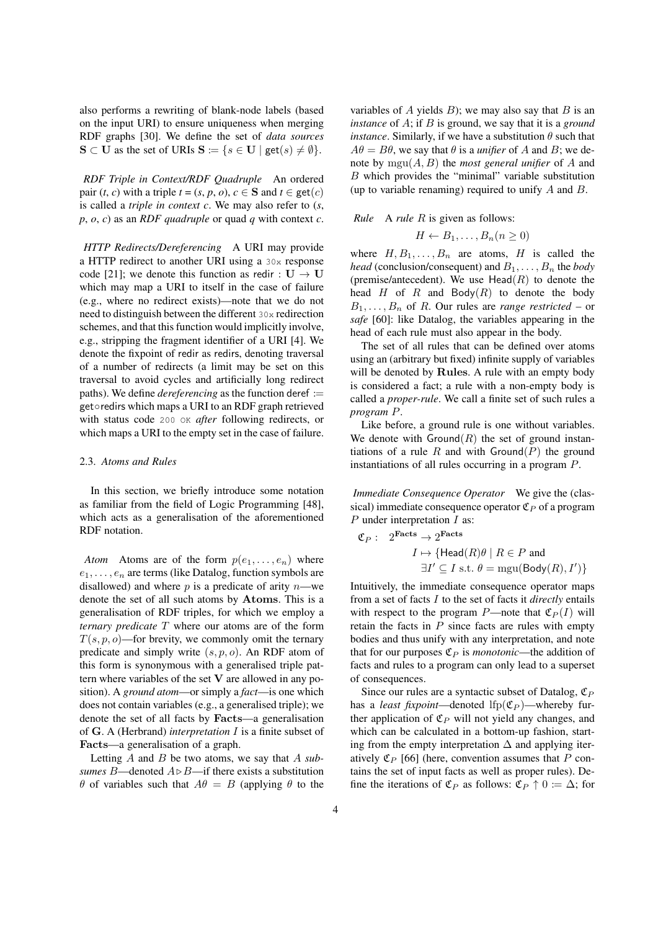also performs a rewriting of blank-node labels (based on the input URI) to ensure uniqueness when merging RDF graphs [30]. We define the set of *data sources*  $S \subset U$  as the set of URIs  $S := \{ s \in U \mid \text{get}(s) \neq \emptyset \}.$ 

*RDF Triple in Context/RDF Quadruple* An ordered pair  $(t, c)$  with a triple  $t = (s, p, o), c \in S$  and  $t \in get(c)$ is called a *triple in context c*. We may also refer to (*s*, *p*, *o*, *c*) as an *RDF quadruple* or quad *q* with context *c*.

*HTTP Redirects/Dereferencing* A URI may provide a HTTP redirect to another URI using a 30x response code [21]; we denote this function as redir :  $U \rightarrow U$ which may map a URI to itself in the case of failure (e.g., where no redirect exists)—note that we do not need to distinguish between the different 30x redirection schemes, and that this function would implicitly involve, e.g., stripping the fragment identifier of a URI [4]. We denote the fixpoint of redir as redirs, denoting traversal of a number of redirects (a limit may be set on this traversal to avoid cycles and artificially long redirect paths). We define *dereferencing* as the function deref := get∘redirs which maps a URI to an RDF graph retrieved with status code 200 OK *after* following redirects, or which maps a URI to the empty set in the case of failure.

#### 2.3. *Atoms and Rules*

In this section, we briefly introduce some notation as familiar from the field of Logic Programming [48], which acts as a generalisation of the aforementioned RDF notation.

*Atom* Atoms are of the form  $p(e_1, \ldots, e_n)$  where  $e_1, \ldots, e_n$  are terms (like Datalog, function symbols are disallowed) and where  $p$  is a predicate of arity  $n$ —we denote the set of all such atoms by Atoms. This is a generalisation of RDF triples, for which we employ a *ternary predicate* T where our atoms are of the form  $T(s, p, o)$ —for brevity, we commonly omit the ternary predicate and simply write  $(s, p, o)$ . An RDF atom of this form is synonymous with a generalised triple pattern where variables of the set  $V$  are allowed in any position). A *ground atom*—or simply a *fact*—is one which does not contain variables (e.g., a generalised triple); we denote the set of all facts by Facts—a generalisation of G. A (Herbrand) *interpretation* I is a finite subset of Facts—a generalisation of a graph.

Letting A and B be two atoms, we say that A *subsumes* B—denoted  $A \triangleright B$ —if there exists a substitution θ of variables such that Aθ = B (applying θ to the variables of A yields  $B$ ); we may also say that  $B$  is an *instance* of A; if B is ground, we say that it is a *ground instance*. Similarly, if we have a substitution  $\theta$  such that  $A\theta = B\theta$ , we say that  $\theta$  is a *unifier* of A and B; we denote by mgu(A, B) the *most general unifier* of A and B which provides the "minimal" variable substitution (up to variable renaming) required to unify  $A$  and  $B$ .

*Rule* A *rule* R is given as follows:

$$
H \leftarrow B_1, \ldots, B_n (n \geq 0)
$$

where  $H, B_1, \ldots, B_n$  are atoms, H is called the *head* (conclusion/consequent) and  $B_1, \ldots, B_n$  the *body* (premise/antecedent). We use  $\text{Head}(R)$  to denote the head H of R and  $\text{Body}(R)$  to denote the body  $B_1, \ldots, B_n$  of R. Our rules are *range restricted* – or *safe* [60]: like Datalog, the variables appearing in the head of each rule must also appear in the body.

The set of all rules that can be defined over atoms using an (arbitrary but fixed) infinite supply of variables will be denoted by Rules. A rule with an empty body is considered a fact; a rule with a non-empty body is called a *proper-rule*. We call a finite set of such rules a *program* P.

Like before, a ground rule is one without variables. We denote with  $Ground(R)$  the set of ground instantiations of a rule  $R$  and with  $Ground(P)$  the ground instantiations of all rules occurring in a program P.

*Immediate Consequence Operator* We give the (classical) immediate consequence operator  $\mathfrak{C}_P$  of a program  $P$  under interpretation  $I$  as:

$$
\mathfrak{C}_P: \quad 2^{\textbf{Facts}} \to 2^{\textbf{Facts}} \nI \mapsto \{\text{Head}(R)\theta \mid R \in P \text{ and } \exists I' \subseteq I \text{ s.t. } \theta = \text{mgu}(\text{Body}(R), I')\}
$$

Intuitively, the immediate consequence operator maps from a set of facts I to the set of facts it *directly* entails with respect to the program P—note that  $\mathfrak{C}_P(I)$  will retain the facts in  $P$  since facts are rules with empty bodies and thus unify with any interpretation, and note that for our purposes  $\mathfrak{C}_P$  is *monotonic*—the addition of facts and rules to a program can only lead to a superset of consequences.

Since our rules are a syntactic subset of Datalog,  $\mathfrak{C}_P$ has a *least fixpoint*—denoted lfp( $\mathfrak{C}_P$ )—whereby further application of  $\mathfrak{C}_P$  will not yield any changes, and which can be calculated in a bottom-up fashion, starting from the empty interpretation  $\Delta$  and applying iteratively  $\mathfrak{C}_P$  [66] (here, convention assumes that P contains the set of input facts as well as proper rules). Define the iterations of  $\mathfrak{C}_P$  as follows:  $\mathfrak{C}_P \uparrow 0 := \Delta$ ; for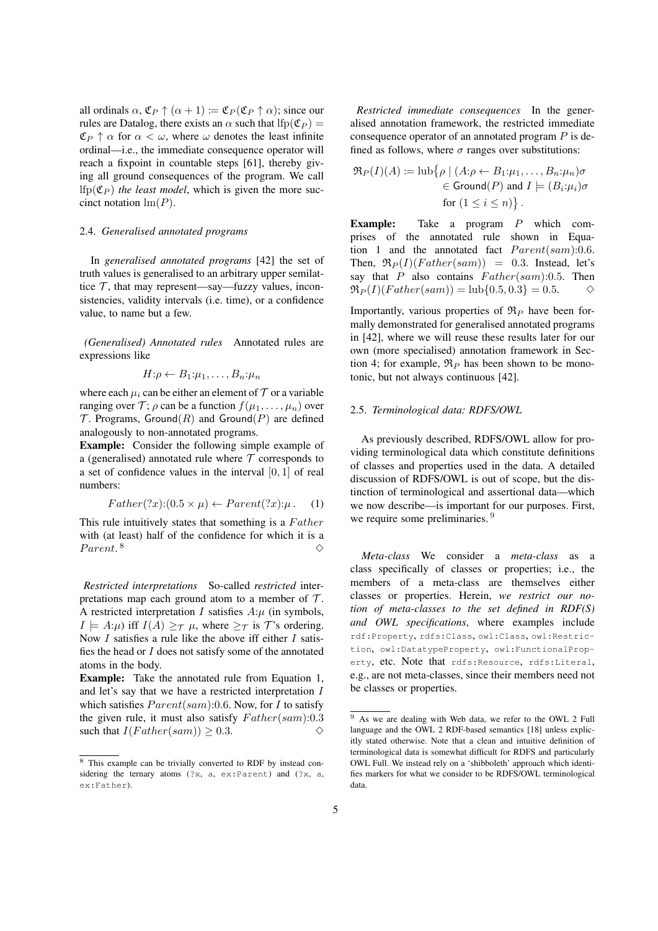all ordinals  $\alpha$ ,  $\mathfrak{C}_P \uparrow (\alpha + 1) := \mathfrak{C}_P(\mathfrak{C}_P \uparrow \alpha)$ ; since our rules are Datalog, there exists an  $\alpha$  such that lfp( $\mathfrak{C}_P$ ) =  $\mathfrak{C}_P \uparrow \alpha$  for  $\alpha < \omega$ , where  $\omega$  denotes the least infinite ordinal—i.e., the immediate consequence operator will reach a fixpoint in countable steps [61], thereby giving all ground consequences of the program. We call  $lfp(\mathfrak{C}_P)$  *the least model*, which is given the more succinct notation  $\text{lm}(P)$ .

#### 2.4. *Generalised annotated programs*

In *generalised annotated programs* [42] the set of truth values is generalised to an arbitrary upper semilattice  $\mathcal{T}$ , that may represent—say—fuzzy values, inconsistencies, validity intervals (i.e. time), or a confidence value, to name but a few.

*(Generalised) Annotated rules* Annotated rules are expressions like

$$
H:\rho\leftarrow B_1:\mu_1,\ldots,B_n:\mu_n
$$

where each  $\mu_i$  can be either an element of  $\mathcal T$  or a variable ranging over  $\mathcal{T}$ ;  $\rho$  can be a function  $f(\mu_1, \ldots, \mu_n)$  over  $\mathcal T$ . Programs, Ground(R) and Ground(P) are defined analogously to non-annotated programs.

Example: Consider the following simple example of a (generalised) annotated rule where  $\mathcal T$  corresponds to a set of confidence values in the interval  $[0, 1]$  of real numbers:

$$
Father(?x):(0.5 \times \mu) \leftarrow Parent(?x):\mu. \quad (1)
$$

This rule intuitively states that something is a  $Father$ with (at least) half of the confidence for which it is a Parent.<sup>8</sup>  $8 \leftrightarrow 8$ 

*Restricted interpretations* So-called *restricted* interpretations map each ground atom to a member of  $\mathcal{T}$ . A restricted interpretation  $I$  satisfies  $A:\mu$  (in symbols,  $I \models A:\mu$  iff  $I(A) \geq_{\tau} \mu$ , where  $\geq_{\tau}$  is  $\tau$ 's ordering. Now  $I$  satisfies a rule like the above iff either  $I$  satisfies the head or I does not satisfy some of the annotated atoms in the body.

Example: Take the annotated rule from Equation 1, and let's say that we have a restricted interpretation I which satisfies  $Parent(sam)$ :0.6. Now, for I to satisfy the given rule, it must also satisfy  $Father(sam)$ :0.3 such that  $I(Father(sam)) \geq 0.3$ .

*Restricted immediate consequences* In the generalised annotation framework, the restricted immediate consequence operator of an annotated program  $P$  is defined as follows, where  $\sigma$  ranges over substitutions:

$$
\mathfrak{R}_P(I)(A) := \text{lub}\{\rho \mid (A:\rho \leftarrow B_1:\mu_1, \dots, B_n:\mu_n)\sigma \in \text{Ground}(P) \text{ and } I \models (B_i:\mu_i)\sigma \text{ for } (1 \leq i \leq n)\}.
$$

**Example:** Take a program  $P$  which comprises of the annotated rule shown in Equation 1 and the annotated fact  $Parent(sam):0.6$ . Then,  $\Re_P(I)(Father(sam)) = 0.3$ . Instead, let's say that P also contains  $Father(sam)$ :0.5. Then  $\Re_P(I)(Father(sam)) = \text{lub}\{0.5, 0.3\} = 0.5.$ 

Importantly, various properties of  $\mathfrak{R}_P$  have been formally demonstrated for generalised annotated programs in [42], where we will reuse these results later for our own (more specialised) annotation framework in Section 4; for example,  $\mathfrak{R}_P$  has been shown to be monotonic, but not always continuous [42].

#### 2.5. *Terminological data: RDFS/OWL*

As previously described, RDFS/OWL allow for providing terminological data which constitute definitions of classes and properties used in the data. A detailed discussion of RDFS/OWL is out of scope, but the distinction of terminological and assertional data—which we now describe—is important for our purposes. First, we require some preliminaries.<sup>9</sup>

*Meta-class* We consider a *meta-class* as a class specifically of classes or properties; i.e., the members of a meta-class are themselves either classes or properties. Herein, *we restrict our notion of meta-classes to the set defined in RDF(S) and OWL specifications*, where examples include rdf:Property, rdfs:Class, owl:Class, owl:Restriction, owl:DatatypeProperty, owl:FunctionalProperty, etc. Note that rdfs: Resource, rdfs: Literal, e.g., are not meta-classes, since their members need not be classes or properties.

<sup>8</sup> This example can be trivially converted to RDF by instead considering the ternary atoms (?x, a, ex:Parent) and (?x, a, ex:Father).

 $\frac{9}{9}$  As we are dealing with Web data, we refer to the OWL 2 Full language and the OWL 2 RDF-based semantics [18] unless explicitly stated otherwise. Note that a clean and intuitive definition of terminological data is somewhat difficult for RDFS and particularly OWL Full. We instead rely on a 'shibboleth' approach which identifies markers for what we consider to be RDFS/OWL terminological data.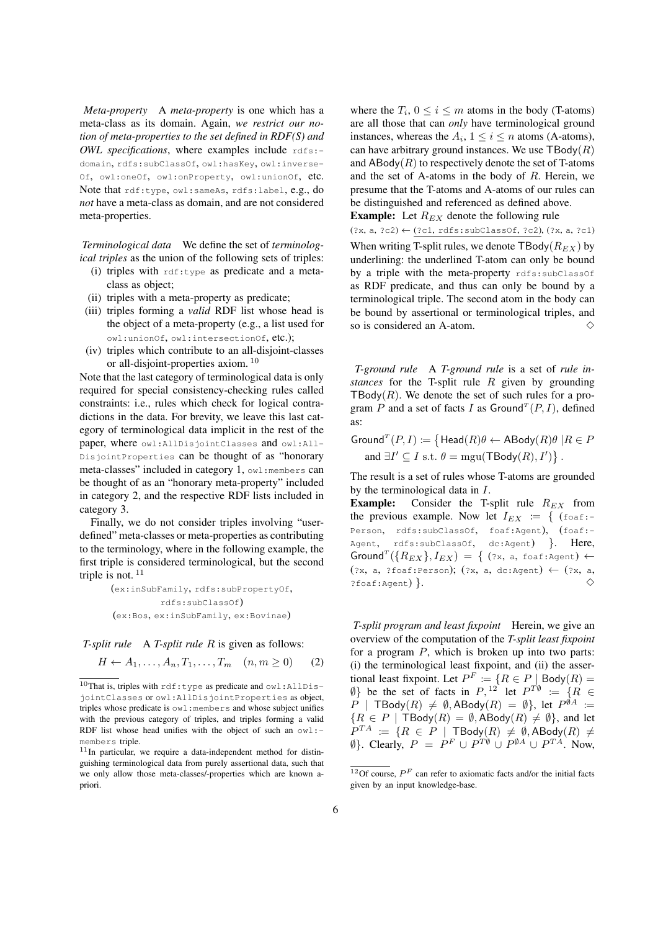*Meta-property* A *meta-property* is one which has a meta-class as its domain. Again, *we restrict our notion of meta-properties to the set defined in RDF(S) and OWL specifications*, where examples include rdfs: domain, rdfs:subClassOf, owl:hasKey, owl:inverse-Of, owl:oneOf, owl:onProperty, owl:unionOf, etc. Note that rdf:type, owl:sameAs, rdfs:label, e.g., do *not* have a meta-class as domain, and are not considered meta-properties.

*Terminological data* We define the set of *terminological triples* as the union of the following sets of triples:

- (i) triples with rdf:type as predicate and a metaclass as object;
- (ii) triples with a meta-property as predicate;
- (iii) triples forming a *valid* RDF list whose head is the object of a meta-property (e.g., a list used for owl:unionOf, owl:intersectionOf, etc.);
- (iv) triples which contribute to an all-disjoint-classes or all-disjoint-properties axiom. <sup>10</sup>

Note that the last category of terminological data is only required for special consistency-checking rules called constraints: i.e., rules which check for logical contradictions in the data. For brevity, we leave this last category of terminological data implicit in the rest of the paper, where owl:AllDisjointClasses and owl:All-DisjointProperties can be thought of as "honorary meta-classes" included in category 1, owl:members can be thought of as an "honorary meta-property" included in category 2, and the respective RDF lists included in category 3.

Finally, we do not consider triples involving "userdefined" meta-classes or meta-properties as contributing to the terminology, where in the following example, the first triple is considered terminological, but the second triple is not. <sup>11</sup>

> (ex:inSubFamily, rdfs:subPropertyOf, rdfs:subClassOf) (ex:Bos, ex:inSubFamily, ex:Bovinae)

*T-split rule* A *T-split rule* R is given as follows:

$$
H \leftarrow A_1, \dots, A_n, T_1, \dots, T_m \quad (n, m \ge 0) \tag{2}
$$

where the  $T_i$ ,  $0 \le i \le m$  atoms in the body (T-atoms) are all those that can *only* have terminological ground instances, whereas the  $A_i$ ,  $1 \le i \le n$  atoms (A-atoms), can have arbitrary ground instances. We use  $\textsf{TBody}(R)$ and  $ABody(R)$  to respectively denote the set of T-atoms and the set of A-atoms in the body of  $R$ . Herein, we presume that the T-atoms and A-atoms of our rules can be distinguished and referenced as defined above.

**Example:** Let  $R_{EX}$  denote the following rule  $(?x, a, ?c2) \leftarrow (?c1, rdfs:subClassOf, ?c2), (?x, a, ?c1)$ When writing T-split rules, we denote  $T$ Body $(R_{EX})$  by underlining: the underlined T-atom can only be bound by a triple with the meta-property rdfs:subClassOf as RDF predicate, and thus can only be bound by a terminological triple. The second atom in the body can be bound by assertional or terminological triples, and so is considered an A-atom.  $\Diamond$ 

*T-ground rule* A *T-ground rule* is a set of *rule instances* for the T-split rule R given by grounding TBody $(R)$ . We denote the set of such rules for a program P and a set of facts I as Ground<sup>T</sup> $(P, I)$ , defined as:

 $\mathsf{Ground}^T(P, I) := \{ \mathsf{Head}(R) \theta \leftarrow \mathsf{ABody}(R) \theta \mid R \in P \}$ and  $\exists I' \subseteq I$  s.t.  $\theta = \text{mgu}(\text{TBody}(R), I')$ .

The result is a set of rules whose T-atoms are grounded by the terminological data in I.

**Example:** Consider the T-split rule  $R_{EX}$  from the previous example. Now let  $I_{EX} := \{ (\text{foaf}: -\text{Of}(\text{coaf}) \cdot \text{Of}(\text{coaf})) \}$ Person, rdfs:subClassOf, foaf:Agent), (foaf:- Agent, rdfs: subClassOf, dc: Agent) }. Here,  $\mathsf{Ground}^T(\{R_{EX}\}, I_{EX}) = \{$  (?x, a, foaf:Agent)  $\leftarrow$ (?x, a, ?foaf:Person); (?x, a, dc:Agent)  $\leftarrow$  (?x, a,  $?foot:Agent)$ .

*T-split program and least fixpoint* Herein, we give an overview of the computation of the *T-split least fixpoint* for a program  $P$ , which is broken up into two parts: (i) the terminological least fixpoint, and (ii) the assertional least fixpoint. Let  $P^F := \{ R \in P \mid \text{Body}(R) =$  $\emptyset$ } be the set of facts in P, <sup>12</sup> let  $P^{T\emptyset} := \{ R \in$  $P \mid \mathsf{TBody}(R) \neq \emptyset$ , ABody $(R) = \emptyset$ , let  $P^{\emptyset A} :=$  ${R \in P \mid \mathsf{TBody}(R) = \emptyset, \mathsf{ABody}(R) \neq \emptyset}, \text{ and let}$  $P^{TA} := \{ R \in P \mid \textsf{TBody}(R) \neq \emptyset, \textsf{ABody}(R) \neq \emptyset \}$  $\emptyset$ . Clearly,  $P = P^F \cup P^{T\emptyset} \cup P^{\emptyset A} \cup P^{TA}$ . Now,

 $10$ That is, triples with rdf:type as predicate and owl:AllDisjointClasses or owl:AllDisjointProperties as object, triples whose predicate is owl:members and whose subject unifies with the previous category of triples, and triples forming a valid RDF list whose head unifies with the object of such an  $\text{ow1:}$ members triple.

 $11$ In particular, we require a data-independent method for distinguishing terminological data from purely assertional data, such that we only allow those meta-classes/-properties which are known apriori.

<sup>&</sup>lt;sup>12</sup>Of course,  $P<sup>F</sup>$  can refer to axiomatic facts and/or the initial facts given by an input knowledge-base.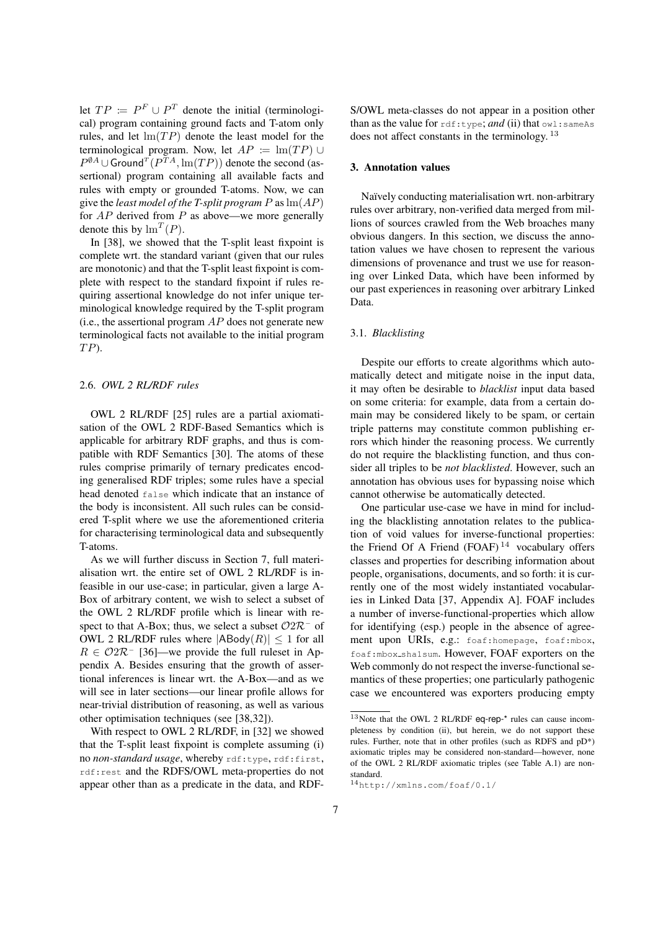let  $TP := P^F \cup P^T$  denote the initial (terminological) program containing ground facts and T-atom only rules, and let  $\text{Im}(TP)$  denote the least model for the terminological program. Now, let  $AP := \text{Im}(TP) \cup$  $P^{\emptyset A} \cup$  Ground<sup>T</sup> ( $P^{TA}, \text{lm}(TP)$ ) denote the second (assertional) program containing all available facts and rules with empty or grounded T-atoms. Now, we can give the *least model of the T-split program* P as lm(AP) for  $AP$  derived from  $P$  as above—we more generally denote this by  $\mathrm{lm}^T(P)$ .

In [38], we showed that the T-split least fixpoint is complete wrt. the standard variant (given that our rules are monotonic) and that the T-split least fixpoint is complete with respect to the standard fixpoint if rules requiring assertional knowledge do not infer unique terminological knowledge required by the T-split program (i.e., the assertional program  $AP$  does not generate new terminological facts not available to the initial program  $TP$ ).

### 2.6. *OWL 2 RL/RDF rules*

OWL 2 RL/RDF [25] rules are a partial axiomatisation of the OWL 2 RDF-Based Semantics which is applicable for arbitrary RDF graphs, and thus is compatible with RDF Semantics [30]. The atoms of these rules comprise primarily of ternary predicates encoding generalised RDF triples; some rules have a special head denoted false which indicate that an instance of the body is inconsistent. All such rules can be considered T-split where we use the aforementioned criteria for characterising terminological data and subsequently T-atoms.

As we will further discuss in Section 7, full materialisation wrt. the entire set of OWL 2 RL/RDF is infeasible in our use-case; in particular, given a large A-Box of arbitrary content, we wish to select a subset of the OWL 2 RL/RDF profile which is linear with respect to that A-Box; thus, we select a subset  $O2R^-$  of OWL 2 RL/RDF rules where  $|{\sf ABody}(R)| \leq 1$  for all  $R \in \mathcal{O}2\mathcal{R}^-$  [36]—we provide the full ruleset in Appendix A. Besides ensuring that the growth of assertional inferences is linear wrt. the A-Box—and as we will see in later sections—our linear profile allows for near-trivial distribution of reasoning, as well as various other optimisation techniques (see [38,32]).

With respect to OWL 2 RL/RDF, in [32] we showed that the T-split least fixpoint is complete assuming (i) no *non-standard usage*, whereby rdf:type, rdf:first, rdf:rest and the RDFS/OWL meta-properties do not appear other than as a predicate in the data, and RDF-

S/OWL meta-classes do not appear in a position other than as the value for rdf:type; *and* (ii) that owl:sameAs does not affect constants in the terminology. <sup>13</sup>

#### 3. Annotation values

Naïvely conducting materialisation wrt. non-arbitrary rules over arbitrary, non-verified data merged from millions of sources crawled from the Web broaches many obvious dangers. In this section, we discuss the annotation values we have chosen to represent the various dimensions of provenance and trust we use for reasoning over Linked Data, which have been informed by our past experiences in reasoning over arbitrary Linked Data.

### 3.1. *Blacklisting*

Despite our efforts to create algorithms which automatically detect and mitigate noise in the input data, it may often be desirable to *blacklist* input data based on some criteria: for example, data from a certain domain may be considered likely to be spam, or certain triple patterns may constitute common publishing errors which hinder the reasoning process. We currently do not require the blacklisting function, and thus consider all triples to be *not blacklisted*. However, such an annotation has obvious uses for bypassing noise which cannot otherwise be automatically detected.

One particular use-case we have in mind for including the blacklisting annotation relates to the publication of void values for inverse-functional properties: the Friend Of A Friend (FOAF) $14$  vocabulary offers classes and properties for describing information about people, organisations, documents, and so forth: it is currently one of the most widely instantiated vocabularies in Linked Data [37, Appendix A]. FOAF includes a number of inverse-functional-properties which allow for identifying (esp.) people in the absence of agreement upon URIs, e.g.: foaf:homepage, foaf:mbox, foaf:mbox sha1sum. However, FOAF exporters on the Web commonly do not respect the inverse-functional semantics of these properties; one particularly pathogenic case we encountered was exporters producing empty

 $13$ Note that the OWL 2 RL/RDF eq-rep- $*$  rules can cause incompleteness by condition (ii), but herein, we do not support these rules. Further, note that in other profiles (such as RDFS and pD\*) axiomatic triples may be considered non-standard—however, none of the OWL 2 RL/RDF axiomatic triples (see Table A.1) are nonstandard.

<sup>14</sup>http://xmlns.com/foaf/0.1/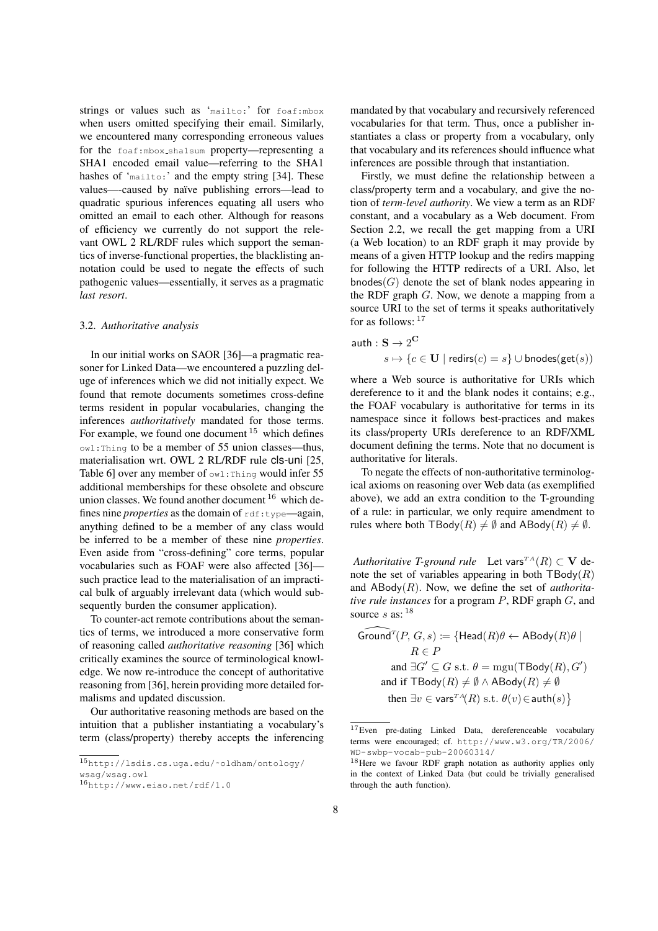strings or values such as 'mailto:' for foaf:mbox when users omitted specifying their email. Similarly, we encountered many corresponding erroneous values for the foaf:mbox sha1sum property—representing a SHA1 encoded email value—referring to the SHA1 hashes of 'mailto:' and the empty string [34]. These values—-caused by naïve publishing errors—lead to quadratic spurious inferences equating all users who omitted an email to each other. Although for reasons of efficiency we currently do not support the relevant OWL 2 RL/RDF rules which support the semantics of inverse-functional properties, the blacklisting annotation could be used to negate the effects of such pathogenic values—essentially, it serves as a pragmatic *last resort*.

#### 3.2. *Authoritative analysis*

In our initial works on SAOR [36]—a pragmatic reasoner for Linked Data—we encountered a puzzling deluge of inferences which we did not initially expect. We found that remote documents sometimes cross-define terms resident in popular vocabularies, changing the inferences *authoritatively* mandated for those terms. For example, we found one document  $15$  which defines owl:Thing to be a member of 55 union classes—thus, materialisation wrt. OWL 2 RL/RDF rule cls-uni [25, Table 6] over any member of owl: Thing would infer 55 additional memberships for these obsolete and obscure union classes. We found another document  $16$  which defines nine *properties* as the domain of rdf:type—again, anything defined to be a member of any class would be inferred to be a member of these nine *properties*. Even aside from "cross-defining" core terms, popular vocabularies such as FOAF were also affected [36] such practice lead to the materialisation of an impractical bulk of arguably irrelevant data (which would subsequently burden the consumer application).

To counter-act remote contributions about the semantics of terms, we introduced a more conservative form of reasoning called *authoritative reasoning* [36] which critically examines the source of terminological knowledge. We now re-introduce the concept of authoritative reasoning from [36], herein providing more detailed formalisms and updated discussion.

Our authoritative reasoning methods are based on the intuition that a publisher instantiating a vocabulary's term (class/property) thereby accepts the inferencing mandated by that vocabulary and recursively referenced vocabularies for that term. Thus, once a publisher instantiates a class or property from a vocabulary, only that vocabulary and its references should influence what inferences are possible through that instantiation.

Firstly, we must define the relationship between a class/property term and a vocabulary, and give the notion of *term-level authority*. We view a term as an RDF constant, and a vocabulary as a Web document. From Section 2.2, we recall the get mapping from a URI (a Web location) to an RDF graph it may provide by means of a given HTTP lookup and the redirs mapping for following the HTTP redirects of a URI. Also, let  $b$ nodes $(G)$  denote the set of blank nodes appearing in the RDF graph G. Now, we denote a mapping from a source URI to the set of terms it speaks authoritatively for as follows:  $17$ 

$$
\begin{aligned} \mathsf{auth}:\mathbf{S} \rightarrow 2^{\mathbf{C}} \\ s &\mapsto \{c \in \mathbf{U} \mid \mathsf{redirs}(c) = s\} \cup \mathsf{bnodes}(\mathsf{get}(s)) \end{aligned}
$$

where a Web source is authoritative for URIs which dereference to it and the blank nodes it contains; e.g., the FOAF vocabulary is authoritative for terms in its namespace since it follows best-practices and makes its class/property URIs dereference to an RDF/XML document defining the terms. Note that no document is authoritative for literals.

To negate the effects of non-authoritative terminological axioms on reasoning over Web data (as exemplified above), we add an extra condition to the T-grounding of a rule: in particular, we only require amendment to rules where both TBody(R)  $\neq \emptyset$  and ABody(R)  $\neq \emptyset$ .

*Authoritative T-ground rule* Let vars<sup> $TA$ </sup> $(R) \subset V$  denote the set of variables appearing in both  $T$ Body $(R)$ and ABody(R). Now, we define the set of *authoritative rule instances* for a program P, RDF graph G, and source s as:  $18$ 

$$
\widehat{\text{Ground}^T}(P, G, s) := \{\text{Head}(R)\theta \leftarrow \text{ABody}(R)\theta \mid
$$
\n
$$
R \in P
$$
\n
$$
\text{and } \exists G' \subseteq G \text{ s.t. } \theta = \text{mgu}(\text{TBody}(R), G')
$$
\n
$$
\text{and if } \text{TBody}(R) \neq \emptyset \land \text{ABody}(R) \neq \emptyset
$$
\n
$$
\text{then } \exists v \in \text{vars}^{TA}(R) \text{ s.t. } \theta(v) \in \text{auth}(s) \}
$$

<sup>15</sup>http://lsdis.cs.uga.edu/˜oldham/ontology/ wsag/wsag.owl

<sup>16</sup>http://www.eiao.net/rdf/1.0

<sup>17</sup>Even pre-dating Linked Data, dereferenceable vocabulary terms were encouraged; cf. http://www.w3.org/TR/2006/ WD-swbp-vocab-pub-20060314/

<sup>&</sup>lt;sup>18</sup>Here we favour RDF graph notation as authority applies only in the context of Linked Data (but could be trivially generalised through the auth function).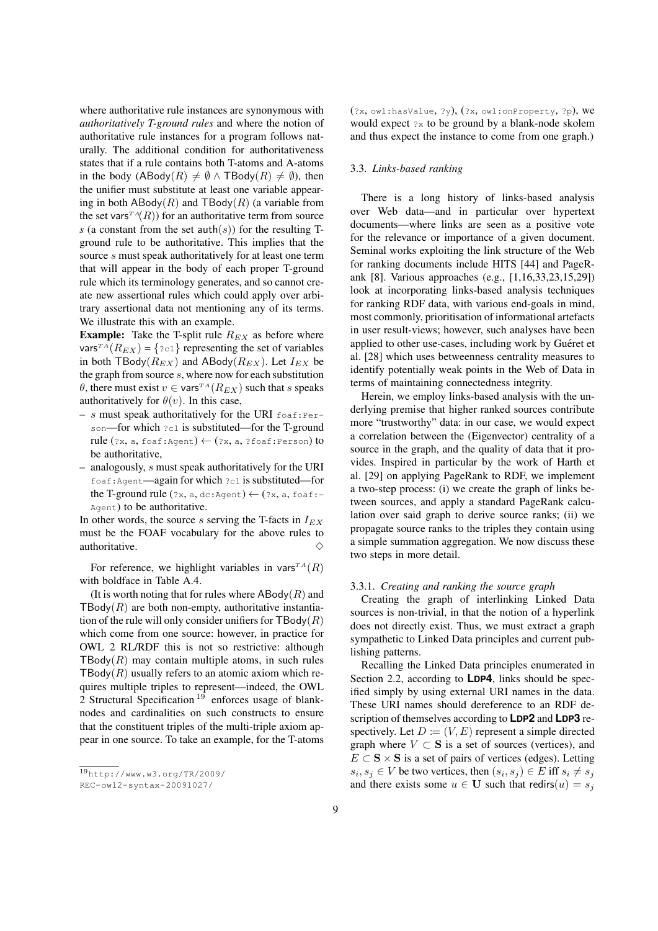where authoritative rule instances are synonymous with *authoritatively T-ground rules* and where the notion of authoritative rule instances for a program follows naturally. The additional condition for authoritativeness states that if a rule contains both T-atoms and A-atoms in the body  $(ABody(R) \neq \emptyset \wedge TBody(R) \neq \emptyset)$ , then the unifier must substitute at least one variable appearing in both  $ABody(R)$  and  $TBody(R)$  (a variable from the set vars<sup> $TA(R)$ </sup> for an authoritative term from source *s* (a constant from the set  $\text{auth}(s)$ ) for the resulting Tground rule to be authoritative. This implies that the source s must speak authoritatively for at least one term that will appear in the body of each proper T-ground rule which its terminology generates, and so cannot create new assertional rules which could apply over arbitrary assertional data not mentioning any of its terms. We illustrate this with an example.

**Example:** Take the T-split rule  $R_{EX}$  as before where vars<sup>TA</sup>( $R_{EX}$ ) = { $2c1$ } representing the set of variables in both TBody( $R_{EX}$ ) and ABody( $R_{EX}$ ). Let  $I_{EX}$  be the graph from source  $s$ , where now for each substitution  $\theta$ , there must exist  $v \in \text{vars}^{TA}(R_{EX})$  such that s speaks authoritatively for  $\theta(v)$ . In this case,

- s must speak authoritatively for the URI  $f$ oaf:Person—for which ?c1 is substituted—for the T-ground rule (?x, a, foaf:Agent)  $\leftarrow$  (?x, a, ?foaf:Person) to be authoritative,
- analogously, s must speak authoritatively for the URI foaf:Agent—again for which ?c1 is substituted—for the T-ground rule ( $2x$ , a, dc:Agent)  $\leftarrow$  ( $2x$ , a, foaf:-Agent) to be authoritative.

In other words, the source s serving the T-facts in  $I_{EX}$ must be the FOAF vocabulary for the above rules to authoritative.

For reference, we highlight variables in vars<sup> $TA(R)$ </sup> with boldface in Table A.4.

(It is worth noting that for rules where  $\mathsf{ABody}(R)$  and  $TBody(R)$  are both non-empty, authoritative instantiation of the rule will only consider unifiers for  $T$ Body $(R)$ which come from one source: however, in practice for OWL 2 RL/RDF this is not so restrictive: although  $T$ Body $(R)$  may contain multiple atoms, in such rules  $T$ Body $(R)$  usually refers to an atomic axiom which requires multiple triples to represent—indeed, the OWL 2 Structural Specification<sup>19</sup> enforces usage of blanknodes and cardinalities on such constructs to ensure that the constituent triples of the multi-triple axiom appear in one source. To take an example, for the T-atoms

(?x, owl:hasValue, ?y), (?x, owl:onProperty, ?p), we would expect ?x to be ground by a blank-node skolem and thus expect the instance to come from one graph.)

#### 3.3. *Links-based ranking*

There is a long history of links-based analysis over Web data—and in particular over hypertext documents—where links are seen as a positive vote for the relevance or importance of a given document. Seminal works exploiting the link structure of the Web for ranking documents include HITS [44] and PageRank [8]. Various approaches (e.g., [1,16,33,23,15,29]) look at incorporating links-based analysis techniques for ranking RDF data, with various end-goals in mind, most commonly, prioritisation of informational artefacts in user result-views; however, such analyses have been applied to other use-cases, including work by Guéret et al. [28] which uses betweenness centrality measures to identify potentially weak points in the Web of Data in terms of maintaining connectedness integrity.

Herein, we employ links-based analysis with the underlying premise that higher ranked sources contribute more "trustworthy" data: in our case, we would expect a correlation between the (Eigenvector) centrality of a source in the graph, and the quality of data that it provides. Inspired in particular by the work of Harth et al. [29] on applying PageRank to RDF, we implement a two-step process: (i) we create the graph of links between sources, and apply a standard PageRank calculation over said graph to derive source ranks; (ii) we propagate source ranks to the triples they contain using a simple summation aggregation. We now discuss these two steps in more detail.

#### 3.3.1. *Creating and ranking the source graph*

Creating the graph of interlinking Linked Data sources is non-trivial, in that the notion of a hyperlink does not directly exist. Thus, we must extract a graph sympathetic to Linked Data principles and current publishing patterns.

Recalling the Linked Data principles enumerated in Section 2.2, according to **LDP4**, links should be specified simply by using external URI names in the data. These URI names should dereference to an RDF description of themselves according to **LDP2** and **LDP3** respectively. Let  $D := (V, E)$  represent a simple directed graph where  $V \subset S$  is a set of sources (vertices), and  $E \subset \mathbf{S} \times \mathbf{S}$  is a set of pairs of vertices (edges). Letting  $s_i, s_j \in V$  be two vertices, then  $(s_i, s_j) \in E$  iff  $s_i \neq s_j$ and there exists some  $u \in U$  such that redirs $(u) = s_j$ 

 $\overline{19$ http://www.w3.org/TR/2009/

REC-owl2-syntax-20091027/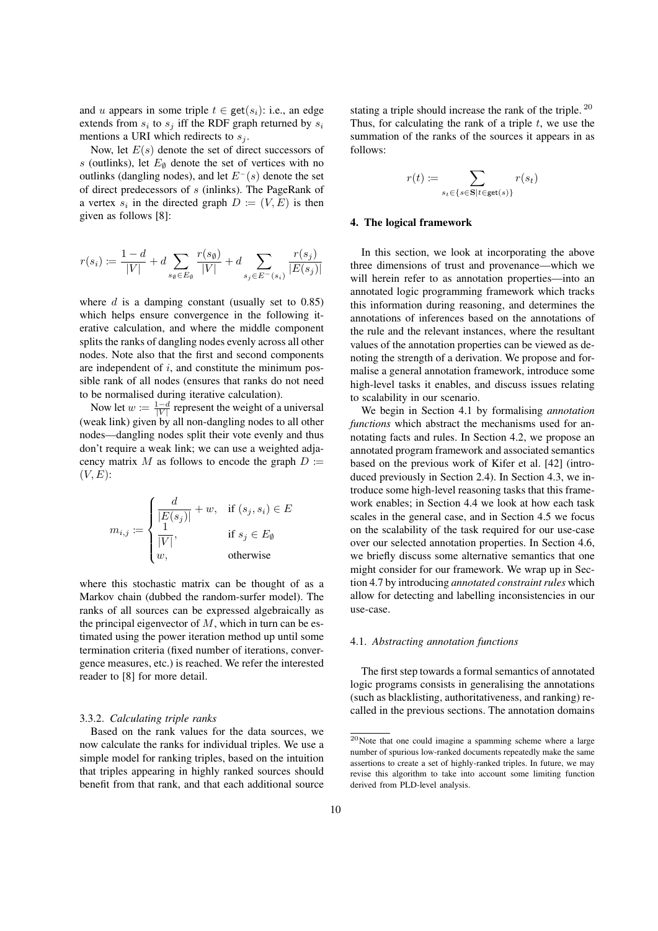and u appears in some triple  $t \in \text{get}(s_i)$ : i.e., an edge extends from  $s_i$  to  $s_j$  iff the RDF graph returned by  $s_i$ mentions a URI which redirects to  $s_j$ .

Now, let  $E(s)$  denote the set of direct successors of s (outlinks), let  $E_{\emptyset}$  denote the set of vertices with no outlinks (dangling nodes), and let  $E^{-}(s)$  denote the set of direct predecessors of s (inlinks). The PageRank of a vertex  $s_i$  in the directed graph  $D := (V, E)$  is then given as follows [8]:

$$
r(s_i) := \frac{1 - d}{|V|} + d \sum_{s_{\emptyset} \in E_{\emptyset}} \frac{r(s_{\emptyset})}{|V|} + d \sum_{s_j \in E^-(s_i)} \frac{r(s_j)}{|E(s_j)|}
$$

where  $d$  is a damping constant (usually set to 0.85) which helps ensure convergence in the following iterative calculation, and where the middle component splits the ranks of dangling nodes evenly across all other nodes. Note also that the first and second components are independent of  $i$ , and constitute the minimum possible rank of all nodes (ensures that ranks do not need to be normalised during iterative calculation).

Now let  $w := \frac{1-d}{|V|}$  represent the weight of a universal (weak link) given by all non-dangling nodes to all other nodes—dangling nodes split their vote evenly and thus don't require a weak link; we can use a weighted adjacency matrix M as follows to encode the graph  $D :=$  $(V, E)$ :

$$
m_{i,j} := \begin{cases} \frac{d}{|E(s_j)|} + w, & \text{if } (s_j, s_i) \in E \\ \frac{1}{|V|}, & \text{if } s_j \in E_\emptyset \\ w, & \text{otherwise} \end{cases}
$$

where this stochastic matrix can be thought of as a Markov chain (dubbed the random-surfer model). The ranks of all sources can be expressed algebraically as the principal eigenvector of  $M$ , which in turn can be estimated using the power iteration method up until some termination criteria (fixed number of iterations, convergence measures, etc.) is reached. We refer the interested reader to [8] for more detail.

## 3.3.2. *Calculating triple ranks*

Based on the rank values for the data sources, we now calculate the ranks for individual triples. We use a simple model for ranking triples, based on the intuition that triples appearing in highly ranked sources should benefit from that rank, and that each additional source stating a triple should increase the rank of the triple. <sup>20</sup> Thus, for calculating the rank of a triple  $t$ , we use the summation of the ranks of the sources it appears in as follows:

$$
r(t) := \sum_{s_t \in \{s \in \mathbf{S} | t \in \mathsf{get}(s)\}} r(s_t)
$$

#### 4. The logical framework

In this section, we look at incorporating the above three dimensions of trust and provenance—which we will herein refer to as annotation properties—into an annotated logic programming framework which tracks this information during reasoning, and determines the annotations of inferences based on the annotations of the rule and the relevant instances, where the resultant values of the annotation properties can be viewed as denoting the strength of a derivation. We propose and formalise a general annotation framework, introduce some high-level tasks it enables, and discuss issues relating to scalability in our scenario.

We begin in Section 4.1 by formalising *annotation functions* which abstract the mechanisms used for annotating facts and rules. In Section 4.2, we propose an annotated program framework and associated semantics based on the previous work of Kifer et al. [42] (introduced previously in Section 2.4). In Section 4.3, we introduce some high-level reasoning tasks that this framework enables; in Section 4.4 we look at how each task scales in the general case, and in Section 4.5 we focus on the scalability of the task required for our use-case over our selected annotation properties. In Section 4.6, we briefly discuss some alternative semantics that one might consider for our framework. We wrap up in Section 4.7 by introducing *annotated constraint rules* which allow for detecting and labelling inconsistencies in our use-case.

#### 4.1. *Abstracting annotation functions*

The first step towards a formal semantics of annotated logic programs consists in generalising the annotations (such as blacklisting, authoritativeness, and ranking) recalled in the previous sections. The annotation domains

<sup>20</sup>Note that one could imagine a spamming scheme where a large number of spurious low-ranked documents repeatedly make the same assertions to create a set of highly-ranked triples. In future, we may revise this algorithm to take into account some limiting function derived from PLD-level analysis.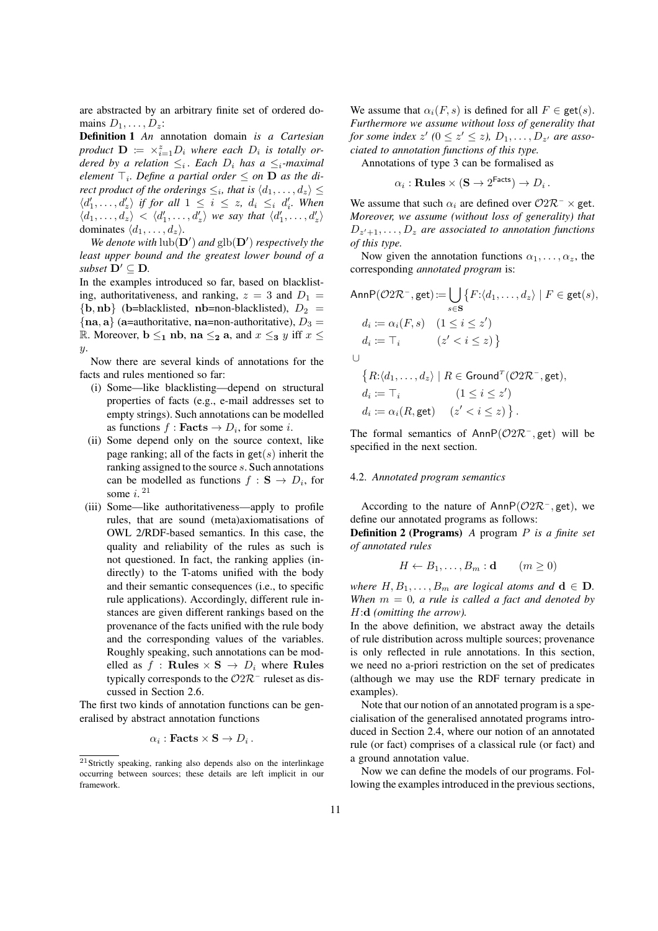are abstracted by an arbitrary finite set of ordered domains  $D_1, \ldots, D_z$ :

Definition 1 *An* annotation domain *is a Cartesian product*  $\mathbf{D} := \times_{i=1}^{z} D_i$  where each  $D_i$  is totally or*dered by a relation*  $\leq_i$ *. Each*  $D_i$  *has a*  $\leq_i$ *-maximal element*  $\top_i$ *. Define a partial order*  $\leq$  *on*  $D$  *as the direct product of the orderings*  $\leq_i$ *, that is*  $\langle d_1, \ldots, d_z \rangle \leq$  $\langle d'_1, \ldots, d'_z \rangle$  if for all  $1 \leq i \leq z$ ,  $d_i \leq i \leq d'_i$ . When  $\langle d_1, \ldots, d_z \rangle \langle d_1', \ldots, d_z' \rangle$  we say that  $\langle d_1', \ldots, d_z' \rangle$ dominates  $\langle d_1, \ldots, d_z \rangle$ .

We denote with  $\text{lub}(\mathbf{D}')$  and  $\text{glb}(\mathbf{D}')$  respectively the *least upper bound and the greatest lower bound of a subset*  $D' \subset D$ *.* 

In the examples introduced so far, based on blacklisting, authoritativeness, and ranking,  $z = 3$  and  $D_1 =$  ${b, nb}$  (b=blacklisted, nb=non-blacklisted),  $D_2$  = { $na$ ,  $a$ } ( $a$ =authoritative,  $na$ =non-authoritative),  $D_3 =$ R. Moreover,  $\mathbf{b} \leq_1 \mathbf{n}$ ,  $\mathbf{n} \mathbf{a} \leq_2 \mathbf{a}$ , and  $x \leq_3 y$  iff  $x \leq$ y.

Now there are several kinds of annotations for the facts and rules mentioned so far:

- (i) Some—like blacklisting—depend on structural properties of facts (e.g., e-mail addresses set to empty strings). Such annotations can be modelled as functions  $f : \textbf{Facts} \to D_i$ , for some *i*.
- (ii) Some depend only on the source context, like page ranking; all of the facts in  $get(s)$  inherit the ranking assigned to the source s. Such annotations can be modelled as functions  $f : \mathbf{S} \to D_i$ , for some  $i$ .  $21$
- (iii) Some—like authoritativeness—apply to profile rules, that are sound (meta)axiomatisations of OWL 2/RDF-based semantics. In this case, the quality and reliability of the rules as such is not questioned. In fact, the ranking applies (indirectly) to the T-atoms unified with the body and their semantic consequences (i.e., to specific rule applications). Accordingly, different rule instances are given different rankings based on the provenance of the facts unified with the rule body and the corresponding values of the variables. Roughly speaking, such annotations can be modelled as  $f : Rules \times S \rightarrow D_i$  where Rules typically corresponds to the  $O2R^-$  ruleset as discussed in Section 2.6.

The first two kinds of annotation functions can be generalised by abstract annotation functions

$$
\alpha_i : \mathbf{Facts} \times \mathbf{S} \to D_i.
$$

We assume that  $\alpha_i(F, s)$  is defined for all  $F \in \text{get}(s)$ . *Furthermore we assume without loss of generality that for some index*  $z'$  ( $0 \le z' \le z$ ),  $D_1, \ldots, D_{z'}$  are asso*ciated to annotation functions of this type.*

Annotations of type 3 can be formalised as

$$
\alpha_i :
$$
 Rules  $\times$  (**S**  $\rightarrow$  2<sup>Facts</sup>)  $\rightarrow$  D<sub>i</sub>.

We assume that such  $\alpha_i$  are defined over  $O2R^- \times$  get. *Moreover, we assume (without loss of generality) that*  $D_{z'+1}, \ldots, D_z$  are associated to annotation functions *of this type.*

Now given the annotation functions  $\alpha_1, \ldots, \alpha_z$ , the corresponding *annotated program* is:

$$
\mathsf{AnnP}(\mathcal{O}2\mathcal{R}^-, \mathsf{get}) \coloneqq \bigcup_{s \in \mathbf{S}} \{ F : \langle d_1, \dots, d_z \rangle \mid F \in \mathsf{get}(s),
$$

$$
d_i := \alpha_i(F, s) \quad (1 \le i \le z')
$$

$$
d_i := \top_i \qquad (z' < i \le z) \}
$$

$$
\{R:\langle d_1, \ldots, d_z \rangle \mid R \in \text{Ground}^T(\mathcal{O}2\mathcal{R}^-, \text{get}),
$$
  

$$
d_i := \top_i \qquad (1 \le i \le z')
$$
  

$$
d_i := \alpha_i(R, \text{get}) \quad (z' < i \le z) \}.
$$

The formal semantics of AnnP(O2R−, get) will be specified in the next section.

#### 4.2. *Annotated program semantics*

According to the nature of AnnP( $O2R^-$ , get), we define our annotated programs as follows:

Definition 2 (Programs) *A* program P *is a finite set of annotated rules*

$$
H \leftarrow B_1, \dots, B_m : \mathbf{d} \qquad (m \ge 0)
$$

*where*  $H, B_1, \ldots, B_m$  *are logical atoms and*  $d \in D$ *. When*  $m = 0$ *, a rule is called a fact and denoted by* H:d *(omitting the arrow).*

In the above definition, we abstract away the details of rule distribution across multiple sources; provenance is only reflected in rule annotations. In this section, we need no a-priori restriction on the set of predicates (although we may use the RDF ternary predicate in examples).

Note that our notion of an annotated program is a specialisation of the generalised annotated programs introduced in Section 2.4, where our notion of an annotated rule (or fact) comprises of a classical rule (or fact) and a ground annotation value.

Now we can define the models of our programs. Following the examples introduced in the previous sections,

 $21$ Strictly speaking, ranking also depends also on the interlinkage occurring between sources; these details are left implicit in our framework.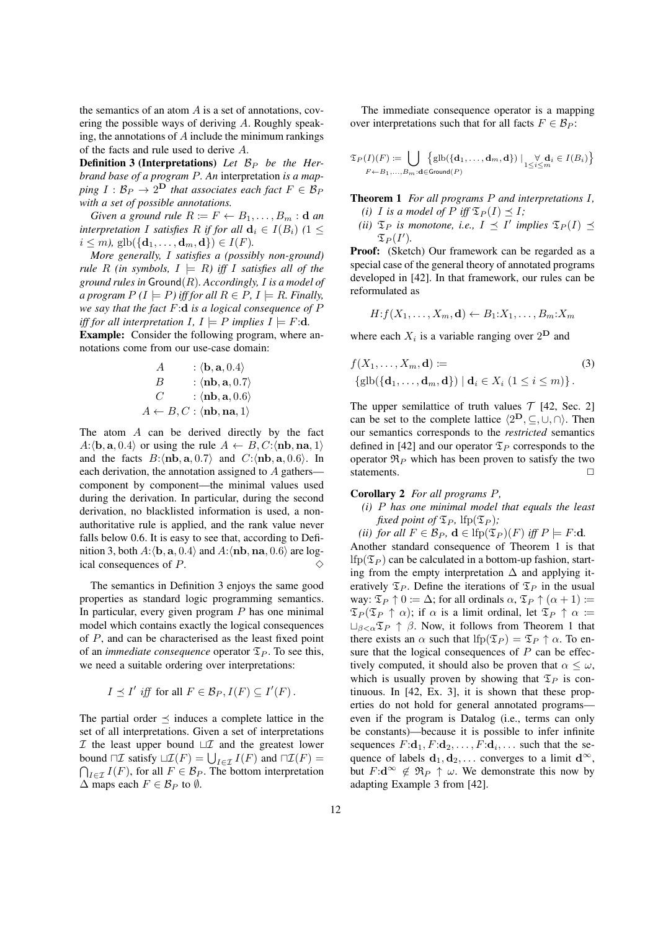the semantics of an atom  $A$  is a set of annotations, covering the possible ways of deriving A. Roughly speaking, the annotations of A include the minimum rankings of the facts and rule used to derive A.

**Definition 3 (Interpretations)** Let  $\mathcal{B}_P$  be the Her*brand base of a program* P*. An* interpretation *is a map*ping  $I: \mathcal{B}_P \rightarrow 2^{\mathbf{D}}$  *that associates each fact*  $F \in \mathcal{B}_P$ *with a set of possible annotations.*

*Given a ground rule*  $R := F \leftarrow B_1, \ldots, B_m : \mathbf{d}$  *an interpretation* I *satisfies* R *if for all*  $\mathbf{d}_i \in I(B_i)$  (1 ≤  $i \leq m$ ),  $\mathrm{glb}(\{\mathbf{d}_1,\ldots,\mathbf{d}_m,\mathbf{d}\}) \in I(F)$ .

*More generally,* I *satisfies a (possibly non-ground) rule* R (in symbols,  $I \models R$ ) iff I satisfies all of the *ground rules in* Ground(R)*. Accordingly,* I *is a model of a program*  $P(I \models P)$  *iff for all*  $R \in P$ ,  $I \models R$ *. Finally, we say that the fact* F:d *is a logical consequence of* P *iff for all interpretation*  $I, I \models P$  *implies*  $I \models F:\mathbf{d}$ . Example: Consider the following program, where annotations come from our use-case domain:

A : 
$$
\langle \mathbf{b}, \mathbf{a}, 0.4 \rangle
$$
  
\nB :  $\langle \mathbf{nb}, \mathbf{a}, 0.7 \rangle$   
\nC :  $\langle \mathbf{nb}, \mathbf{a}, 0.6 \rangle$   
\nA \leftarrow B, C :  $\langle \mathbf{nb}, \mathbf{na}, 1 \rangle$ 

The atom A can be derived directly by the fact  $A:\langle \mathbf{b}, \mathbf{a}, 0.4 \rangle$  or using the rule  $A \leftarrow B, C:\langle \mathbf{nb}, \mathbf{na}, 1 \rangle$ and the facts  $B:\langle nb, a, 0.7 \rangle$  and  $C:\langle nb, a, 0.6 \rangle$ . In each derivation, the annotation assigned to  $A$  gathers component by component—the minimal values used during the derivation. In particular, during the second derivation, no blacklisted information is used, a nonauthoritative rule is applied, and the rank value never falls below 0.6. It is easy to see that, according to Definition 3, both  $A:\langle$ **b**, **a**, 0.4 $\rangle$  and  $A:\langle$ **nb**, **na**, 0.6 $\rangle$  are logical consequences of  $P$ .  $\Diamond$ 

The semantics in Definition 3 enjoys the same good properties as standard logic programming semantics. In particular, every given program  $P$  has one minimal model which contains exactly the logical consequences of P, and can be characterised as the least fixed point of an *immediate consequence* operator  $\mathfrak{T}_P$ . To see this, we need a suitable ordering over interpretations:

$$
I \preceq I'
$$
 iff for all  $F \in \mathcal{B}_P$ ,  $I(F) \subseteq I'(F)$ .

The partial order  $\preceq$  induces a complete lattice in the set of all interpretations. Given a set of interpretations  $I$  the least upper bound  $\sqcup I$  and the greatest lower bound  $\Box \mathcal{I}$  satisfy  $\Box \mathcal{I}(F) = \bigcup_{I \in \mathcal{I}} I(F)$  and  $\Box \mathcal{I}(F) =$  $\bigcap_{I \in \mathcal{I}} I(F)$ , for all  $F \in \mathcal{B}_P$ . The bottom interpretation  $\Delta$  maps each  $F \in \mathcal{B}_P$  to  $\emptyset$ .

The immediate consequence operator is a mapping over interpretations such that for all facts  $F \in \mathcal{B}_P$ :

$$
\mathfrak{T}_P(I)(F) := \bigcup_{F \leftarrow B_1, \ldots, B_m : \mathbf{d} \in \mathsf{Ground}(P)} \{ \mathrm{glb}(\{\mathbf{d}_1, \ldots, \mathbf{d}_m, \mathbf{d}\}) \mid_{1 \leq i \leq m} \forall_{\mathbf{d}_i \in I(B_i)} \}
$$

Theorem 1 *For all programs* P *and interpretations* I*,*

- *(i) I is a model of*  $P$  *iff*  $\mathfrak{T}_P(I) \preceq I$ *;*
- (*ii*)  $\mathfrak{T}_P$  *is monotone, i.e.,*  $I \preceq I'$  *implies*  $\mathfrak{T}_P(I) \preceq$  $\mathfrak{T}_P(I').$

Proof: (Sketch) Our framework can be regarded as a special case of the general theory of annotated programs developed in [42]. In that framework, our rules can be reformulated as

$$
H: f(X_1, \ldots, X_m, \mathbf{d}) \leftarrow B_1: X_1, \ldots, B_m: X_m
$$

where each  $X_i$  is a variable ranging over  $2^D$  and

$$
f(X_1,...,X_m, \mathbf{d}) := \{glb(\{\mathbf{d}_1,...,\mathbf{d}_m,\mathbf{d}\}) \mid \mathbf{d}_i \in X_i \ (1 \le i \le m) \}.
$$
 (3)

The upper semilattice of truth values  $\mathcal{T}$  [42, Sec. 2] can be set to the complete lattice  $\langle 2^{\mathbf{D}}, \subseteq, \cup, \cap \rangle$ . Then our semantics corresponds to the *restricted* semantics defined in [42] and our operator  $\mathfrak{T}_P$  corresponds to the operator  $\mathfrak{R}_P$  which has been proven to satisfy the two statements.

### Corollary 2 *For all programs* P*,*

- *(i)* P *has one minimal model that equals the least fixed point of*  $\mathfrak{T}_P$ *,* lfp $(\mathfrak{T}_P)$ *;*
- *(ii) for all*  $F \in \mathcal{B}_P$ ,  $\mathbf{d} \in \text{lfp}(\mathfrak{T}_P)(F)$  *iff*  $P \models F:\mathbf{d}$ .

Another standard consequence of Theorem 1 is that lfp( $\mathfrak{T}_P$ ) can be calculated in a bottom-up fashion, starting from the empty interpretation  $\Delta$  and applying iteratively  $\mathfrak{T}_P$ . Define the iterations of  $\mathfrak{T}_P$  in the usual way:  $\mathfrak{T}_P \uparrow 0 := \Delta$ ; for all ordinals  $\alpha$ ,  $\mathfrak{T}_P \uparrow (\alpha + 1) :=$  $\mathfrak{T}_P(\mathfrak{T}_P \uparrow \alpha)$ ; if  $\alpha$  is a limit ordinal, let  $\mathfrak{T}_P \uparrow \alpha :=$  $\Box_{\beta<\alpha}\mathfrak{T}_P \uparrow \beta$ . Now, it follows from Theorem 1 that there exists an  $\alpha$  such that  $lfp(\mathfrak{T}_P) = \mathfrak{T}_P \uparrow \alpha$ . To ensure that the logical consequences of  $P$  can be effectively computed, it should also be proven that  $\alpha \leq \omega$ , which is usually proven by showing that  $\mathfrak{T}_P$  is continuous. In [42, Ex. 3], it is shown that these properties do not hold for general annotated programs even if the program is Datalog (i.e., terms can only be constants)—because it is possible to infer infinite sequences  $F: \mathbf{d}_1, F: \mathbf{d}_2, \dots, F: \mathbf{d}_i, \dots$  such that the sequence of labels  $d_1, d_2, \ldots$  converges to a limit  $d^{\infty}$ , but  $F: d^{\infty} \notin \mathfrak{R}_P \uparrow \omega$ . We demonstrate this now by adapting Example 3 from [42].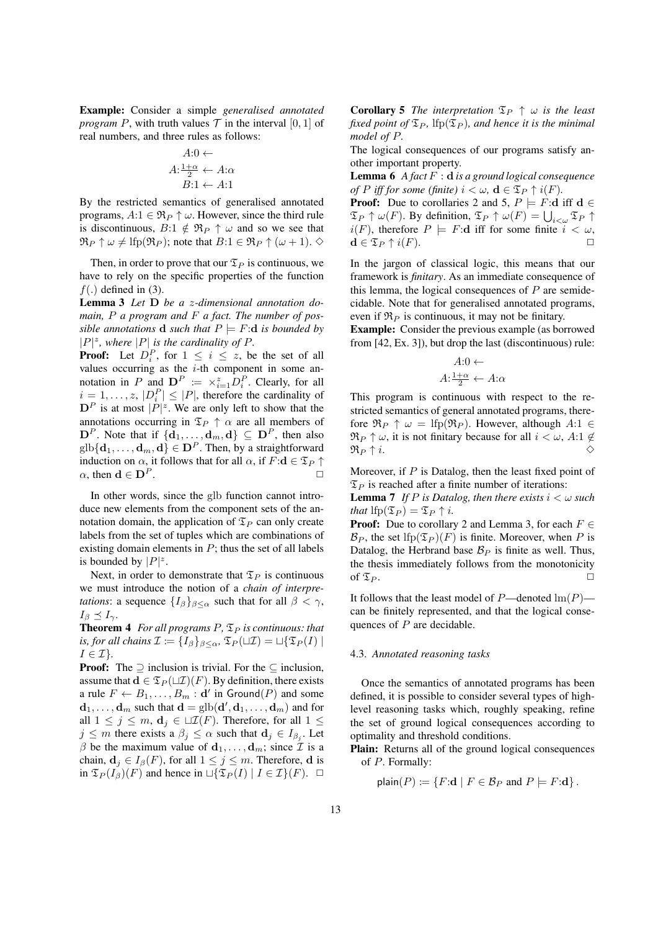Example: Consider a simple *generalised annotated program* P, with truth values  $\mathcal T$  in the interval [0, 1] of real numbers, and three rules as follows:

$$
A:0 \leftarrow
$$
  

$$
A: \frac{1+\alpha}{2} \leftarrow A:\alpha
$$
  

$$
B:1 \leftarrow A:1
$$

By the restricted semantics of generalised annotated programs,  $A:1 \in \mathfrak{R}_P \uparrow \omega$ . However, since the third rule is discontinuous,  $B:1 \notin \mathfrak{R}_P \uparrow \omega$  and so we see that  $\mathfrak{R}_P \uparrow \omega \neq \text{lfp}(\mathfrak{R}_P)$ ; note that  $B:1 \in \mathfrak{R}_P \uparrow (\omega + 1).$ 

Then, in order to prove that our  $\mathfrak{T}_P$  is continuous, we have to rely on the specific properties of the function  $f(.)$  defined in (3).

Lemma 3 *Let* D *be a* z*-dimensional annotation domain,* P *a program and* F *a fact. The number of possible annotations* **d** *such that*  $P \models F:\mathbf{d}$  *is bounded by*  $|P|^z$ , where  $|P|$  *is the cardinality of* P.

**Proof:** Let  $D_i^P$ , for  $1 \leq i \leq z$ , be the set of all values occurring as the  $i$ -th component in some annotation in P and  $\mathbf{D}^P := \times_{i=1}^z D_i^P$ . Clearly, for all  $i = 1, \ldots, z, |D_i^P| \leq |P|$ , therefore the cardinality of  $\mathbf{D}^{P}$  is at most  $|P|^z$ . We are only left to show that the annotations occurring in  $\mathfrak{T}_P \uparrow \alpha$  are all members of  $\mathbf{D}^P$ . Note that if  $\{\mathbf{d}_1, \dots, \mathbf{d}_m, \mathbf{d}\} \subseteq \mathbf{D}^P$ , then also  $glb\{\mathbf{d}_1,\ldots,\mathbf{d}_m,\mathbf{d}\}\in \mathbf{D}^P$ . Then, by a straightforward induction on  $\alpha$ , it follows that for all  $\alpha$ , if  $F: \mathbf{d} \in \mathfrak{T}_P \uparrow$  $\alpha$ , then  $\mathbf{d} \in \mathbf{D}^P$ .

In other words, since the glb function cannot introduce new elements from the component sets of the annotation domain, the application of  $\mathfrak{T}_P$  can only create labels from the set of tuples which are combinations of existing domain elements in  $P$ ; thus the set of all labels is bounded by  $|P|^z$ .

Next, in order to demonstrate that  $\mathfrak{T}_P$  is continuous we must introduce the notion of a *chain of interpretations*: a sequence  $\{I_\beta\}_{\beta<\alpha}$  such that for all  $\beta<\gamma$ ,  $I_\beta \preceq I_\gamma.$ 

**Theorem 4** *For all programs*  $P$ *,*  $\mathfrak{T}_P$  *is continuous: that is, for all chains*  $\mathcal{I} := \{I_\beta\}_{\beta \leq \alpha}, \mathfrak{T}_P(\sqcup \mathcal{I}) = \sqcup \{\mathfrak{T}_P(I) \mid$  $I \in \mathcal{I}$ .

**Proof:** The  $\supseteq$  inclusion is trivial. For the  $\subseteq$  inclusion, assume that  $\mathbf{d} \in \mathfrak{T}_P(\sqcup \mathcal{I})(F)$ . By definition, there exists a rule  $F \leftarrow B_1, \ldots, B_m : \mathbf{d}'$  in  $\mathsf{Ground}(P)$  and some  **such that**  $**d** = glb(**d**', **d**<sub>1</sub>,..., **d**<sub>m</sub>)$  **and for** all  $1 \leq j \leq m$ ,  $\mathbf{d}_j \in \Box \mathcal{I}(F)$ . Therefore, for all  $1 \leq j \leq m$  $j \leq m$  there exists a  $\beta_j \leq \alpha$  such that  $\mathbf{d}_j \in I_{\beta_j}$ . Let  $\beta$  be the maximum value of  $\mathbf{d}_1, \dots, \mathbf{d}_m$ ; since  $\mathcal{I}$  is a chain,  $\mathbf{d}_i \in I_\beta(F)$ , for all  $1 \leq j \leq m$ . Therefore, d is in  $\mathfrak{T}_P(I_\beta)(F)$  and hence in  $\Box {\mathfrak{T}_P(I)} | I \in \mathcal{I} \backslash \{F\}$ .  $\Box$ 

**Corollary 5** *The interpretation*  $\mathfrak{T}_P \uparrow \omega$  *is the least fixed point of*  $\mathfrak{T}_P$ ,  $\text{lfp}(\mathfrak{T}_P)$ *, and hence it is the minimal model of* P*.*

The logical consequences of our programs satisfy another important property.

Lemma 6 *A fact* F : d *is a ground logical consequence of* P *iff for some (finite)*  $i < \omega$ ,  $d \in \mathfrak{T}_P \uparrow i(F)$ .

**Proof:** Due to corollaries 2 and 5,  $P \models F:\text{d iff } \text{d } \in$  $\mathfrak{T}_P \uparrow \omega(F)$ . By definition,  $\mathfrak{T}_P \uparrow \omega(F) = \bigcup_{i < \omega} \mathfrak{T}_P \uparrow$  $i(F)$ , therefore  $P \models F:\text{d}$  iff for some finite  $i < \omega$ ,  $\mathbf{d} \in \mathfrak{T}_P \uparrow i(F)$ .

In the jargon of classical logic, this means that our framework is *finitary*. As an immediate consequence of this lemma, the logical consequences of  $P$  are semidecidable. Note that for generalised annotated programs, even if  $\mathfrak{R}_P$  is continuous, it may not be finitary.

Example: Consider the previous example (as borrowed from [42, Ex. 3]), but drop the last (discontinuous) rule:

$$
A:0 \leftarrow
$$
  

$$
A: \frac{1+\alpha}{2} \leftarrow A:\alpha
$$

This program is continuous with respect to the restricted semantics of general annotated programs, therefore  $\Re P \uparrow \omega = \text{Ifp}(\Re P)$ . However, although  $A:1 \in$  $\mathfrak{R}_P \uparrow \omega$ , it is not finitary because for all  $i < \omega$ ,  $A:1 \notin$  $\mathfrak{R}_P \uparrow i.$ 

Moreover, if  $P$  is Datalog, then the least fixed point of  $\mathfrak{T}_P$  is reached after a finite number of iterations:

**Lemma 7** *If* P is Datalog, then there exists  $i < \omega$  such *that*  $\text{lfp}(\mathfrak{T}_P) = \mathfrak{T}_P \uparrow i$ .

**Proof:** Due to corollary 2 and Lemma 3, for each  $F \in$  $\mathcal{B}_P$ , the set lfp $(\mathfrak{T}_P)(F)$  is finite. Moreover, when P is Datalog, the Herbrand base  $B_P$  is finite as well. Thus, the thesis immediately follows from the monotonicity of  $\mathfrak{T}_P$ .

It follows that the least model of P—denoted  $\text{Im}(P)$  can be finitely represented, and that the logical consequences of  $P$  are decidable.

#### 4.3. *Annotated reasoning tasks*

Once the semantics of annotated programs has been defined, it is possible to consider several types of highlevel reasoning tasks which, roughly speaking, refine the set of ground logical consequences according to optimality and threshold conditions.

Plain: Returns all of the ground logical consequences of P. Formally:

$$
plain(P) := \{F : \mathbf{d} \mid F \in \mathcal{B}_P \text{ and } P \models F : \mathbf{d}\}.
$$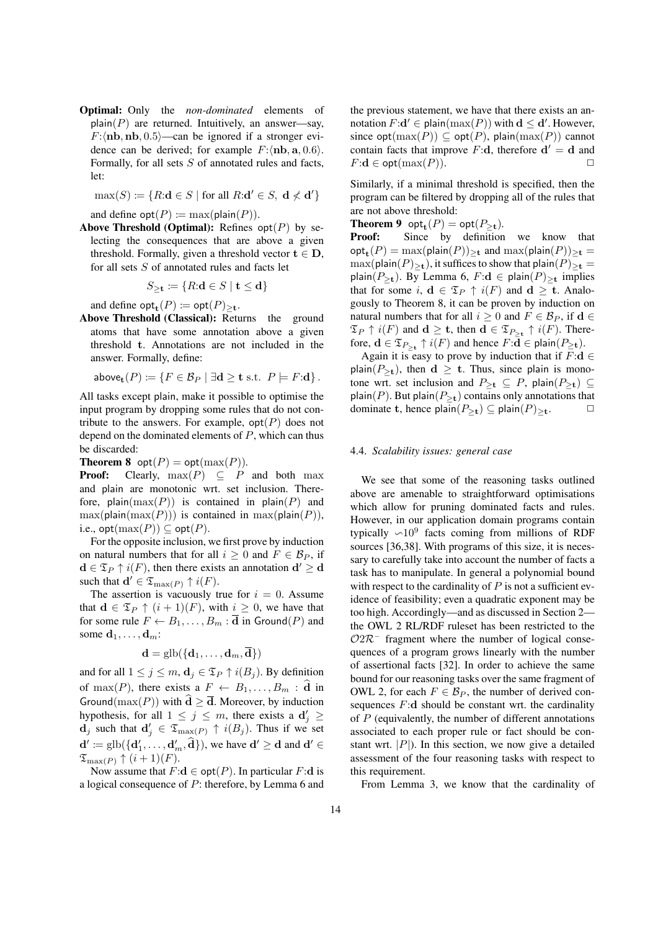Optimal: Only the *non-dominated* elements of plain( $P$ ) are returned. Intuitively, an answer—say,  $F:\langle nb, nb, 0.5\rangle$ —can be ignored if a stronger evidence can be derived; for example  $F:\langle nb, a, 0.6 \rangle$ . Formally, for all sets  $S$  of annotated rules and facts, let:

$$
\max(S) := \{ R: \mathbf{d} \in S \mid \text{for all } R: \mathbf{d}' \in S, \ \mathbf{d} \nless \mathbf{d}' \}
$$

and define  $opt(P) := max(plain(P)).$ 

Above Threshold (Optimal): Refines  $opt(P)$  by selecting the consequences that are above a given threshold. Formally, given a threshold vector  $t \in D$ , for all sets  $S$  of annotated rules and facts let

$$
S_{\geq \mathbf{t}} := \{ R: \mathbf{d} \in S \mid \mathbf{t} \leq \mathbf{d} \}
$$

and define  $\mathsf{opt}_{\mathbf{t}}(P) := \mathsf{opt}(P)_{\geq \mathbf{t}}$ .

Above Threshold (Classical): Returns the ground atoms that have some annotation above a given threshold t. Annotations are not included in the answer. Formally, define:

$$
\mathsf{above}_{\mathbf{t}}(P) := \{ F \in \mathcal{B}_P \mid \exists \mathbf{d} \ge \mathbf{t} \text{ s.t. } P \models F : \mathbf{d} \}.
$$

All tasks except plain, make it possible to optimise the input program by dropping some rules that do not contribute to the answers. For example,  $opt(P)$  does not depend on the dominated elements of  $P$ , which can thus be discarded:

**Theorem 8** opt $(P) =$  opt $(\max(P))$ .

**Proof:** Clearly,  $\max(P) \subseteq P$  and both  $\max$ and plain are monotonic wrt. set inclusion. Therefore, plain( $\max(P)$ ) is contained in plain(P) and  $max(plain(max(P)))$  is contained in  $max(plain(P)),$ i.e.,  $\text{opt}(\max(P)) \subseteq \text{opt}(P)$ .

For the opposite inclusion, we first prove by induction on natural numbers that for all  $i > 0$  and  $F \in \mathcal{B}_P$ , if  $\mathbf{d} \in \mathfrak{T}_P \uparrow i(F)$ , then there exists an annotation  $\mathbf{d}' \geq \mathbf{d}$ such that  $\mathbf{d}' \in \mathfrak{T}_{\max(P)} \uparrow i(F)$ .

The assertion is vacuously true for  $i = 0$ . Assume that  $\mathbf{d} \in \mathfrak{T}_P \uparrow (i+1)(F)$ , with  $i \geq 0$ , we have that for some rule  $F \leftarrow B_1, \ldots, B_m : \overline{\mathbf{d}}$  in Ground $(P)$  and some  $\mathbf{d}_1, \ldots, \mathbf{d}_m$ :

$$
\mathbf{d} = \text{glb}(\{\mathbf{d}_1, \ldots, \mathbf{d}_m, \overline{\mathbf{d}}\})
$$

and for all  $1 \leq j \leq m$ ,  $\mathbf{d}_i \in \mathfrak{T}_P \uparrow i(B_i)$ . By definition of max(P), there exists a  $F \leftarrow B_1, \ldots, B_m : \hat{d}$  in Ground( $\max(P)$ ) with  $\hat{\mathbf{d}} \geq \overline{\mathbf{d}}$ . Moreover, by induction hypothesis, for all  $1 \leq j \leq m$ , there exists a  $\mathbf{d}'_j \geq$  $\mathbf{d}_j$  such that  $\mathbf{d}'_j \in \mathfrak{T}_{\max(P)} \uparrow i(B_j)$ . Thus if we set  $\mathbf{d}' \coloneqq \text{glb}(\{\mathbf{d}'_1,\ldots,\mathbf{d}'_m,\hat{\mathbf{d}}\})$ , we have  $\mathbf{d}' \geq \mathbf{d}$  and  $\mathbf{d}' \in \mathbb{Z}$  $\mathfrak{T}_{\max(P)} \uparrow (i+1)(F).$ 

Now assume that  $F: \mathbf{d} \in \text{opt}(P)$ . In particular  $F: \mathbf{d}$  is a logical consequence of P: therefore, by Lemma 6 and the previous statement, we have that there exists an annotation  $F: d' \in \text{plain}(\max(P))$  with  $d \le d'$ . However, since  $opt(max(P)) \subseteq opt(P)$ , plain $(max(P))$  cannot contain facts that improve  $F:$ d, therefore  $d' = d$  and  $F: \mathbf{d} \in \text{opt}(\max(P)).$ 

Similarly, if a minimal threshold is specified, then the program can be filtered by dropping all of the rules that are not above threshold:

**Theorem 9**  $\text{opt}_{\mathbf{t}}(P) = \text{opt}(P_{\geq \mathbf{t}})$ .

Proof: Since by definition we know that  $\textsf{opt}_{\mathbf{t}}(P) = \max(\textsf{plain}(P))_{\geq \mathbf{t}}$  and  $\max(\textsf{plain}(P))_{\geq \mathbf{t}} =$  $max($ plain $(P)_{\geq t}$ ), it suffices to show that plain $(P)_{\geq t}$  = plain( $P_{\geq t}$ ). By Lemma 6,  $F: d \in \text{plain}(P)_{\geq t}$  implies that for some i,  $d \in \mathfrak{T}_P \uparrow i(F)$  and  $d \geq t$ . Analogously to Theorem 8, it can be proven by induction on natural numbers that for all  $i \geq 0$  and  $F \in \mathcal{B}_P$ , if  $\mathbf{d} \in$  $\mathfrak{T}_P \uparrow i(F)$  and  $\mathbf{d} \geq \mathbf{t}$ , then  $\mathbf{d} \in \mathfrak{T}_{P_{\geq \mathbf{t}}} \uparrow i(F)$ . Therefore,  $\mathbf{d} \in \mathfrak{T}_{P_{\geq \mathbf{t}}} \uparrow i(F)$  and hence  $F: \mathbf{d} \in \mathsf{plain}(P_{\geq \mathbf{t}})$ .

Again it is easy to prove by induction that if  $F: d \in$ plain( $P_{\geq t}$ ), then  $d \geq t$ . Thus, since plain is monotone wrt. set inclusion and  $P_{\geq t} \subseteq P$ , plain $(P_{\geq t}) \subseteq$ plain(P). But plain( $P_{\geq t}$ ) contains only annotations that dominate **t**, hence  $\text{plain}(P_{\geq t}) \subseteq \text{plain}(P)_{\geq t}$ .

#### 4.4. *Scalability issues: general case*

We see that some of the reasoning tasks outlined above are amenable to straightforward optimisations which allow for pruning dominated facts and rules. However, in our application domain programs contain typically  $\sim 10^9$  facts coming from millions of RDF sources [36,38]. With programs of this size, it is necessary to carefully take into account the number of facts a task has to manipulate. In general a polynomial bound with respect to the cardinality of  $P$  is not a sufficient evidence of feasibility; even a quadratic exponent may be too high. Accordingly—and as discussed in Section 2 the OWL 2 RL/RDF ruleset has been restricted to the  $O2R^-$  fragment where the number of logical consequences of a program grows linearly with the number of assertional facts [32]. In order to achieve the same bound for our reasoning tasks over the same fragment of OWL 2, for each  $F \in \mathcal{B}_P$ , the number of derived consequences  $F$ : d should be constant wrt. the cardinality of  $P$  (equivalently, the number of different annotations associated to each proper rule or fact should be constant wrt.  $|P|$ ). In this section, we now give a detailed assessment of the four reasoning tasks with respect to this requirement.

From Lemma 3, we know that the cardinality of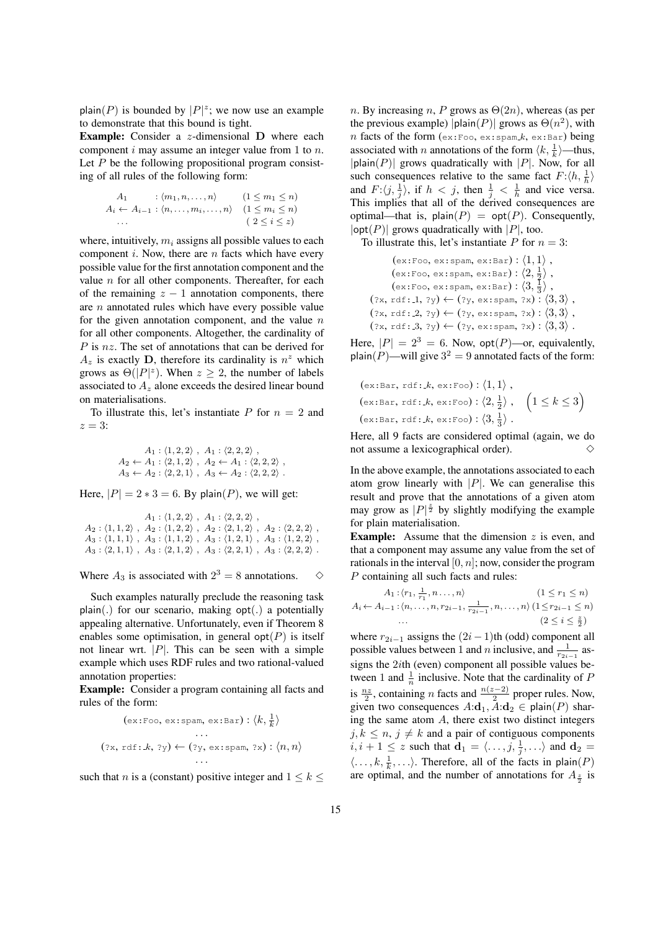plain(P) is bounded by  $|P|^z$ ; we now use an example to demonstrate that this bound is tight.

Example: Consider a z-dimensional D where each component  $i$  may assume an integer value from 1 to  $n$ . Let  $P$  be the following propositional program consisting of all rules of the following form:

$$
A_1 : \langle m_1, n, \dots, n \rangle \qquad (1 \le m_1 \le n)
$$
  
\n
$$
A_i \leftarrow A_{i-1} : \langle n, \dots, m_i, \dots, n \rangle \quad (1 \le m_i \le n)
$$
  
\n
$$
\dots \qquad (2 \le i \le z)
$$

where, intuitively,  $m_i$  assigns all possible values to each component  $i$ . Now, there are  $n$  facts which have every possible value for the first annotation component and the value  $n$  for all other components. Thereafter, for each of the remaining  $z - 1$  annotation components, there are n annotated rules which have every possible value for the given annotation component, and the value  $n$ for all other components. Altogether, the cardinality of  $P$  is nz. The set of annotations that can be derived for  $A_z$  is exactly D, therefore its cardinality is  $n^z$  which grows as  $\Theta(|P|^z)$ . When  $z \geq 2$ , the number of labels associated to  $A_z$  alone exceeds the desired linear bound on materialisations.

To illustrate this, let's instantiate P for  $n = 2$  and  $z=3$ :

$$
A_1: \langle 1, 2, 2 \rangle , A_1: \langle 2, 2, 2 \rangle ,
$$
  

$$
A_2 \leftarrow A_1: \langle 2, 1, 2 \rangle , A_2 \leftarrow A_1: \langle 2, 2, 2 \rangle ,
$$
  

$$
A_3 \leftarrow A_2: \langle 2, 2, 1 \rangle , A_3 \leftarrow A_2: \langle 2, 2, 2 \rangle .
$$

Here,  $|P| = 2 \times 3 = 6$ . By plain(P), we will get:

 $A_1$  :  $\langle 1, 2, 2 \rangle$  ,  $A_1$  :  $\langle 2, 2, 2 \rangle$  ,  $A_2 : \langle 1, 1, 2 \rangle, A_2 : \langle 1, 2, 2 \rangle, A_2 : \langle 2, 1, 2 \rangle, A_2 : \langle 2, 2, 2 \rangle,$  $A_3 : \langle 1, 1, 1 \rangle$ ,  $A_3 : \langle 1, 1, 2 \rangle$ ,  $A_3 : \langle 1, 2, 1 \rangle$ ,  $A_3 : \langle 1, 2, 2 \rangle$ ,  $A_3 : \langle 2, 1, 1 \rangle$ ,  $A_3 : \langle 2, 1, 2 \rangle$ ,  $A_3 : \langle 2, 2, 1 \rangle$ ,  $A_3 : \langle 2, 2, 2 \rangle$ .

## Where  $A_3$  is associated with  $2^3 = 8$  annotations.  $\diamond$

Such examples naturally preclude the reasoning task plain(.) for our scenario, making opt(.) a potentially appealing alternative. Unfortunately, even if Theorem 8 enables some optimisation, in general  $opt(P)$  is itself not linear wrt.  $|P|$ . This can be seen with a simple example which uses RDF rules and two rational-valued annotation properties:

Example: Consider a program containing all facts and rules of the form:

$$
(\text{ex:Foo, ex:spam, ex:Bar}): \langle k, \frac{1}{k} \rangle
$$
  
...  

$$
(\text{?x, rdf:}.k, \text{?y}) \leftarrow (\text{?y, ex:spam, ?x}): \langle n, n \rangle
$$
  
...

such that *n* is a (constant) positive integer and  $1 \leq k \leq$ 

n. By increasing n, P grows as  $\Theta(2n)$ , whereas (as per the previous example)  $|$ plain $(P)|$  grows as  $\Theta(n^2)$ , with  $n$  facts of the form (ex:Foo, ex:spam\_k, ex:Bar) being associated with *n* annotations of the form  $\langle k, \frac{1}{k} \rangle$ —thus,  $|p|$ lain $(P)|$  grows quadratically with  $|P|$ . Now, for all such consequences relative to the same fact  $F: \langle h, \frac{1}{h} \rangle$ and  $F: \langle j, \frac{1}{j} \rangle$ , if  $h < j$ , then  $\frac{1}{j} < \frac{1}{h}$  and vice versa. This implies that all of the derived consequences are optimal—that is, plain( $P$ ) = opt( $P$ ). Consequently,  $|opt(P)|$  grows quadratically with  $|P|$ , too.

To illustrate this, let's instantiate P for  $n = 3$ :

 $(ex:Foo, ex:span, ex:Bar)$ :  $\langle 1, 1 \rangle$ , (ex:Foo, ex:spam, ex:Bar):  $\langle 2,\frac{1}{2}\rangle$  , (ex:Foo, ex:spam, ex:Bar):  $\langle 3,\frac{1}{3}\rangle$  ,  $(x, \text{rdf:1, } y) \leftarrow (y, \text{ex:spam, } x) : (3, 3),$  $(?x, rdf: 2, ?y) \leftarrow (?y, ex:spam, ?x) : \langle 3, 3 \rangle$ ,  $(?x, rdf: 3, ?y) \leftarrow (?y, ex:spam, ?x) : \langle 3, 3 \rangle$ .

Here,  $|P| = 2^3 = 6$ . Now,  $\operatorname{opt}(P)$ —or, equivalently, plain(P)—will give  $3^2 = 9$  annotated facts of the form:

$$
(\text{ex:Bar, rdf:}.k, \text{ex:Foo}): \langle 1, 1 \rangle,
$$
  

$$
(\text{ex:Bar, rdf:}.k, \text{ex:Foo}): \langle 2, \frac{1}{2} \rangle, \quad \left(1 \le k \le 3\right)
$$
  

$$
(\text{ex:Bar, rdf:}.k, \text{ex:Foo}): \langle 3, \frac{1}{3} \rangle.
$$

Here, all 9 facts are considered optimal (again, we do not assume a lexicographical order).  $\diamond$ 

In the above example, the annotations associated to each atom grow linearly with  $|P|$ . We can generalise this result and prove that the annotations of a given atom may grow as  $|P|^{\frac{2}{2}}$  by slightly modifying the example for plain materialisation.

**Example:** Assume that the dimension  $z$  is even, and that a component may assume any value from the set of rationals in the interval  $[0, n]$ ; now, consider the program P containing all such facts and rules:

$$
A_1: \langle r_1, \frac{1}{r_1}, n \dots, n \rangle \qquad (1 \le r_1 \le n)
$$
  

$$
A_i \leftarrow A_{i-1}: \langle n, \dots, n, r_{2i-1}, \frac{1}{r_{2i-1}}, n, \dots, n \rangle \ (1 \le r_{2i-1} \le n)
$$
  
...  

$$
(2 \le i \le \frac{z}{2})
$$

where  $r_{2i-1}$  assigns the  $(2i-1)$ th (odd) component all possible values between 1 and *n* inclusive, and  $\frac{1}{r_{2i-1}}$  assigns the  $2i$ th (even) component all possible values between 1 and  $\frac{1}{n}$  inclusive. Note that the cardinality of *F* is  $\frac{nz}{2}$ , containing *n* facts and  $\frac{n(z-2)}{2}$  proper rules. Now, given two consequences  $A: \mathbf{d}_1, A: \mathbf{d}_2 \in \mathsf{plain}(P)$  sharing the same atom  $A$ , there exist two distinct integers  $j, k \leq n, j \neq k$  and a pair of contiguous components  $i, i + 1 \leq z$  such that  $\mathbf{d}_1 = \langle \dots, j, \frac{1}{j}, \dots \rangle$  and  $\mathbf{d}_2 =$  $\langle \ldots, k, \frac{1}{k}, \ldots \rangle$ . Therefore, all of the facts in plain(P) are optimal, and the number of annotations for  $A_{\frac{z}{2}}$  is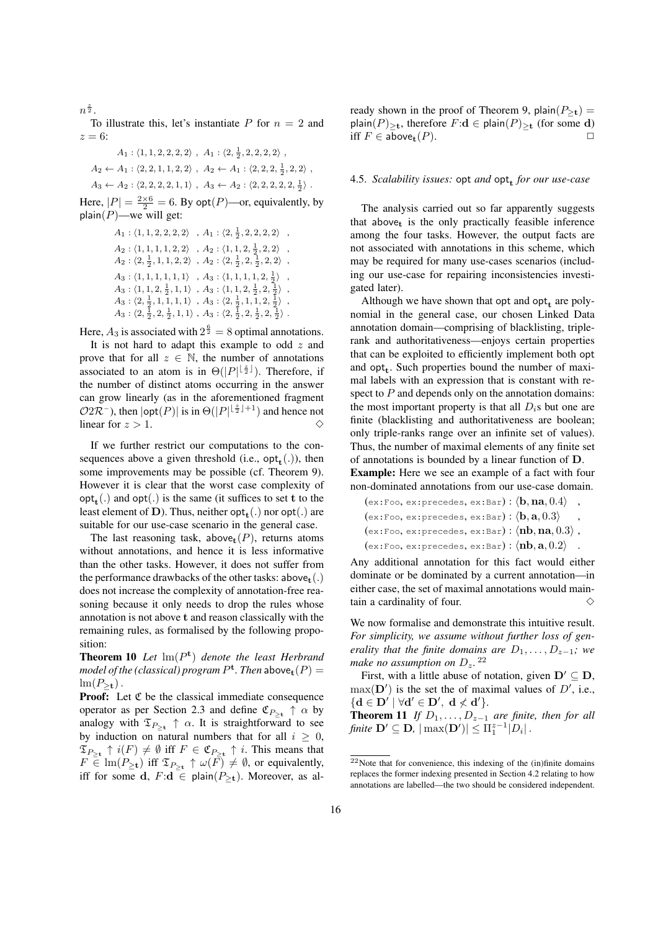$n^{\frac{z}{2}}.$ To illustrate this, let's instantiate  $P$  for  $n = 2$  and  $z=6$ :

 $A_1$ :  $\langle 1, 1, 2, 2, 2, 2 \rangle$ ,  $A_1$ :  $\langle 2, \frac{1}{2}, 2, 2, 2, 2 \rangle$ ,  $A_2 \leftarrow A_1 : \langle 2, 2, 1, 1, 2, 2 \rangle , A_2 \leftarrow A_1 : \langle 2, 2, 2, \frac{1}{2}, 2, 2 \rangle ,$  $A_3 \leftarrow A_2 : \langle 2, 2, 2, 2, 1, 1 \rangle, A_3 \leftarrow A_2 : \langle 2, 2, 2, 2, 2, \frac{1}{2} \rangle.$ Here,  $|P| = \frac{2 \times 6}{2} = 6$ . By opt $(P)$ —or, equivalently, by

plain( $P$ )—we will get:

```
A_1 : \langle 1, 1, 2, 2, 2, 2 \rangle , A_1 : \langle 2, \frac{1}{2}, 2, 2, 2, 2 \rangle ,
A_2: \langle 1, 1, 1, 1, 2, 2 \rangle, A_2: \langle 1, 1, 2, \frac{1}{2}, 2, 2 \rangle,
A_2 : \langle 2, \frac{1}{2}, 1, 1, 2, 2 \rangle , A_2 : \langle 2, \frac{1}{2}, 2, \frac{1}{2}, 2, 2 \rangle ,
A_3: \langle 1, 1, 1, 1, 1, 1 \rangle , A_3: \langle 1, 1, 1, 1, 2, \frac{1}{2} \rangle ,A_3: \langle 1, 1, 2, \frac{1}{2}, 1, 1 \rangle, A_3: \langle 1, 1, 2, \frac{1}{2}, 2, \frac{1}{2} \rangle,
A_3: \langle 2, \frac{1}{2}, 1, 1, 1, 1 \rangle, A_3: \langle 2, \frac{1}{2}, 1, 1, 2, \frac{1}{2} \rangle,
A_3: \langle 2, \frac{\overline{1}}{2}, 2, \frac{1}{2}, 1, 1 \rangle , A_3: \langle 2, \frac{\overline{1}}{2}, 2, \frac{1}{2}, 2, \frac{\overline{1}}{2} \rangle.
```
Here,  $A_3$  is associated with  $2^{\frac{6}{2}} = 8$  optimal annotations. It is not hard to adapt this example to odd  $z$  and prove that for all  $z \in \mathbb{N}$ , the number of annotations associated to an atom is in  $\Theta(|P|^{\lfloor \frac{s}{2} \rfloor})$ . Therefore, if the number of distinct atoms occurring in the answer can grow linearly (as in the aforementioned fragment  $O2\mathcal{R}^-$ , then  $|\text{opt}(P)|$  is in  $\Theta(|P|^{\lfloor \frac{s}{2} \rfloor + 1})$  and hence not linear for  $z > 1$ .  $\diamondsuit$ 

If we further restrict our computations to the consequences above a given threshold (i.e.,  $opt<sub>t</sub>(.)$ ), then some improvements may be possible (cf. Theorem 9). However it is clear that the worst case complexity of  $opt_t(.)$  and  $opt(.)$  is the same (it suffices to set t to the least element of **D**). Thus, neither  $opt_t(.)$  nor  $opt(.)$  are suitable for our use-case scenario in the general case.

The last reasoning task, above $_{t}(P)$ , returns atoms without annotations, and hence it is less informative than the other tasks. However, it does not suffer from the performance drawbacks of the other tasks:  $above<sub>t</sub>(.)$ does not increase the complexity of annotation-free reasoning because it only needs to drop the rules whose annotation is not above t and reason classically with the remaining rules, as formalised by the following proposition:

**Theorem 10** Let  $\text{Im}(P^{\text{t}})$  denote the least Herbrand model of the (classical) program  $P^{\mathbf{t}}.$  Then  $\mathsf{above}_{\mathbf{t}}(P) =$  $\text{lm}(P_{\geq t})$ .

**Proof:** Let  $C$  be the classical immediate consequence operator as per Section 2.3 and define  $\mathfrak{C}_{P_{\geq t}} \uparrow \alpha$  by analogy with  $\mathfrak{T}_{P_{\geq t}} \uparrow \alpha$ . It is straightforward to see by induction on natural numbers that for all  $i \geq 0$ ,  $\mathfrak{T}_{P_{\geq t}} \uparrow i(F) \neq \emptyset$  iff  $F \in \mathfrak{C}_{P_{\geq t}} \uparrow i$ . This means that  $F \in \text{Im}(P_{\geq t})$  iff  $\mathfrak{T}_{P_{\geq t}} \uparrow \omega(F) \neq \emptyset$ , or equivalently, iff for some d,  $F: d \in \text{plain}(P_{\geq t})$ . Moreover, as already shown in the proof of Theorem 9, plain $(P_{\geq t})$  = plain $(P)_{\geq t}$ , therefore  $F:$ d $\in$  plain $(P)_{\geq t}$  (for some d) iff  $F \in above_{\mathbf{t}}(P)$ .

## 4.5. *Scalability issues:*  $opt$  *and*  $opt_t$  *for our use-case*

The analysis carried out so far apparently suggests that above<sub>t</sub> is the only practically feasible inference among the four tasks. However, the output facts are not associated with annotations in this scheme, which may be required for many use-cases scenarios (including our use-case for repairing inconsistencies investigated later).

Although we have shown that  $opt$  and  $opt$ <sub>t</sub> are polynomial in the general case, our chosen Linked Data annotation domain—comprising of blacklisting, triplerank and authoritativeness—enjoys certain properties that can be exploited to efficiently implement both opt and  $\mathsf{opt}_t$ . Such properties bound the number of maximal labels with an expression that is constant with respect to  $P$  and depends only on the annotation domains: the most important property is that all  $D_i$ s but one are finite (blacklisting and authoritativeness are boolean; only triple-ranks range over an infinite set of values). Thus, the number of maximal elements of any finite set of annotations is bounded by a linear function of D.

Example: Here we see an example of a fact with four non-dominated annotations from our use-case domain.

```
(ex: Foo, ex: precedes, ex: Bar) : \langle b, na, 0.4 \rangle,
(ex:Foo, ex:precedes, ex:Bar) : \langle \mathbf{b}, \mathbf{a}, 0.3 \rangle(ex: Foo, ex: precedes, ex: Bar): \langle nb, na, 0.3 \rangle,
(ex:Foo, ex:precedes, ex:Bar) : \langle nb, a, 0.2 \rangle
```
Any additional annotation for this fact would either dominate or be dominated by a current annotation—in either case, the set of maximal annotations would maintain a cardinality of four.  $\Diamond$ 

We now formalise and demonstrate this intuitive result. *For simplicity, we assume without further loss of generality that the finite domains are*  $D_1, \ldots, D_{z-1}$ *; we make no assumption on*  $D_z$ .<sup>22</sup>

First, with a little abuse of notation, given  $D' \subseteq D$ ,  $\max(D')$  is the set the of maximal values of D', i.e.,  ${d \in D' \mid \forall d' \in D', d \nless d'}.$ 

**Theorem 11** *If*  $D_1, \ldots, D_{z-1}$  *are finite, then for all finite*  $\mathbf{D}' \subseteq \mathbf{D}$ ,  $|\max(\mathbf{D}')| \leq \Pi_1^{z-1} |D_i|$ .

<sup>22</sup>Note that for convenience, this indexing of the (in)finite domains replaces the former indexing presented in Section 4.2 relating to how annotations are labelled—the two should be considered independent.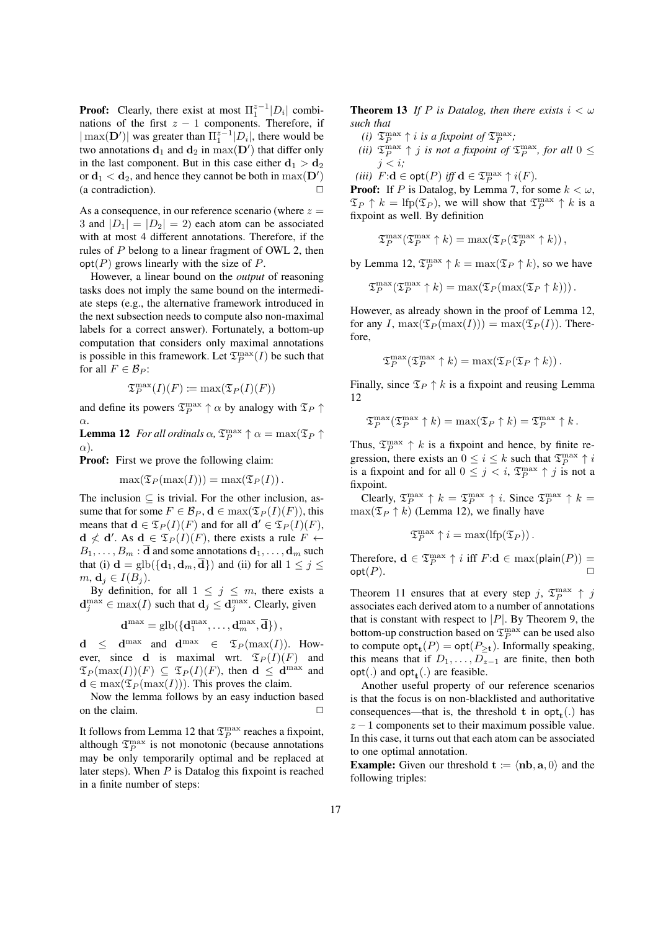**Proof:** Clearly, there exist at most  $\Pi_1^{z-1}|D_i|$  combinations of the first  $z - 1$  components. Therefore, if  $|\max(D')|$  was greater than  $\Pi_1^{z-1}|D_i|$ , there would be two annotations  $\mathbf{d}_1$  and  $\mathbf{d}_2$  in  $\max(\mathbf{D}')$  that differ only in the last component. But in this case either  $d_1 > d_2$ or  $\mathbf{d}_1 < \mathbf{d}_2$ , and hence they cannot be both in  $\max(\mathbf{D}')$ (a contradiction).

As a consequence, in our reference scenario (where  $z =$ 3 and  $|D_1| = |D_2| = 2$  each atom can be associated with at most 4 different annotations. Therefore, if the rules of P belong to a linear fragment of OWL 2, then  $\text{opt}(P)$  grows linearly with the size of P.

However, a linear bound on the *output* of reasoning tasks does not imply the same bound on the intermediate steps (e.g., the alternative framework introduced in the next subsection needs to compute also non-maximal labels for a correct answer). Fortunately, a bottom-up computation that considers only maximal annotations is possible in this framework. Let  $\mathfrak{T}_P^{\max}(I)$  be such that for all  $F \in \mathcal{B}_P$ :

$$
\mathfrak{T}_P^{\max}(I)(F):=\max(\mathfrak{T}_P(I)(F))
$$

and define its powers  $\mathfrak{T}_P^{\max} \uparrow \alpha$  by analogy with  $\mathfrak{T}_P \uparrow$ α.

**Lemma 12** *For all ordinals*  $\alpha$ ,  $\mathfrak{T}_P^{\max} \uparrow \alpha = \max(\mathfrak{T}_P \uparrow)$ α)*.*

**Proof:** First we prove the following claim:

$$
\max(\mathfrak{T}_P(\max(I))) = \max(\mathfrak{T}_P(I)).
$$

The inclusion  $\subset$  is trivial. For the other inclusion, assume that for some  $F \in \mathcal{B}_P$ ,  $\mathbf{d} \in \max(\mathfrak{T}_P(I)(F))$ , this means that  $\mathbf{d} \in \mathfrak{T}_P(I)(F)$  and for all  $\mathbf{d}' \in \mathfrak{T}_P(I)(F)$ ,  $\mathbf{d} \nless \mathbf{d}'$ . As  $\mathbf{d} \in \mathfrak{T}_P(I)(F)$ , there exists a rule  $F \leftarrow$  $B_1, \ldots, B_m : \overline{\mathbf{d}}$  and some annotations  $\mathbf{d}_1, \ldots, \mathbf{d}_m$  such that (i)  $\mathbf{d} = \text{glb}(\{\mathbf{d}_1, \mathbf{d}_m, \overline{\mathbf{d}}\})$  and (ii) for all  $1 \leq j \leq$  $m, d_i \in I(B_i).$ 

By definition, for all  $1 \leq j \leq m$ , there exists a  $\mathbf{d}_j^{\max} \in \max(I)$  such that  $\mathbf{d}_j \leq \mathbf{d}_j^{\max}$ . Clearly, given

$$
\mathbf{d}^{\max} = \text{glb}(\{\mathbf{d}_1^{\max}, \dots, \mathbf{d}_m^{\max}, \overline{\mathbf{d}}\}),
$$

 $\mathbf{d} \leq \mathbf{d}^{\max}$  and  $\mathbf{d}^{\max} \in \mathfrak{T}_P(\max(I)).$  However, since d is maximal wrt.  $\mathfrak{T}_P(I)(F)$  and  $\mathfrak{T}_P(\max(I))(F) \subseteq \mathfrak{T}_P(I)(F)$ , then  $\mathbf{d} \leq \mathbf{d}^{\max}$  and  $\mathbf{d} \in \max(\mathfrak{T}_P(\max(I)))$ . This proves the claim.

Now the lemma follows by an easy induction based on the claim.  $\Box$ 

It follows from Lemma 12 that  $\mathfrak{T}_P^{\max}$  reaches a fixpoint, although  $\mathfrak{T}_P^{\max}$  is not monotonic (because annotations may be only temporarily optimal and be replaced at later steps). When  $P$  is Datalog this fixpoint is reached in a finite number of steps:

**Theorem 13** *If P is Datalog, then there exists*  $i < \omega$ *such that*

- *(i)*  $\mathfrak{T}_P^{\max} \uparrow i$  *is a fixpoint of*  $\mathfrak{T}_P^{\max}$ *;*
- (*ii*)  $\mathfrak{T}_P^{\max} \uparrow j$  *is not a fixpoint of*  $\mathfrak{T}_P^{\max}$ *, for all*  $0 \leq$  $j < i$ ;

(*iii*)  $F: \mathbf{d} \in \mathsf{opt}(P)$  *iff*  $\mathbf{d} \in \mathfrak{T}_P^{\max} \uparrow i(F)$ *.* 

**Proof:** If P is Datalog, by Lemma 7, for some  $k < \omega$ ,  $\mathfrak{T}_P \uparrow k = \text{lfp}(\mathfrak{T}_P)$ , we will show that  $\mathfrak{T}_P^{\max} \uparrow k$  is a fixpoint as well. By definition

$$
\mathfrak{T}_P^{\max}(\mathfrak{T}_P^{\max} \uparrow k) = \max(\mathfrak{T}_P(\mathfrak{T}_P^{\max} \uparrow k)),
$$

by Lemma 12,  $\mathfrak{T}_P^{\max} \uparrow k = \max(\mathfrak{T}_P \uparrow k)$ , so we have

 $\mathfrak{T}_P^{\max}(\mathfrak{T}_P^{\max} \uparrow k) = \max(\mathfrak{T}_P(\max(\mathfrak{T}_P \uparrow k)))$ .

However, as already shown in the proof of Lemma 12, for any I,  $\max(\mathfrak{T}_P(\max(I))) = \max(\mathfrak{T}_P(I))$ . Therefore,

$$
\mathfrak{T}_P^{\max}(\mathfrak{T}_P^{\max} \uparrow k) = \max(\mathfrak{T}_P(\mathfrak{T}_P \uparrow k)).
$$

Finally, since  $\mathfrak{T}_P \uparrow k$  is a fixpoint and reusing Lemma 12

$$
\mathfrak{T}_P^{\max}(\mathfrak{T}_P^{\max} \uparrow k) = \max(\mathfrak{T}_P \uparrow k) = \mathfrak{T}_P^{\max} \uparrow k.
$$

Thus,  $\mathfrak{T}_P^{\max} \uparrow k$  is a fixpoint and hence, by finite regression, there exists an  $0 \le i \le k$  such that  $\mathfrak{T}_P^{\max} \uparrow i$ is a fixpoint and for all  $0 \leq j < i$ ,  $\mathfrak{T}_P^{\max} \uparrow j$  is not a fixpoint.

Clearly,  $\mathfrak{T}_P^{\max} \uparrow k = \mathfrak{T}_P^{\max} \uparrow i$ . Since  $\mathfrak{T}_P^{\max} \uparrow k =$  $\max(\mathfrak{T}_P \uparrow k)$  (Lemma 12), we finally have

$$
\mathfrak{T}_P^{\max} \uparrow i = \max(\mathrm{lfp}(\mathfrak{T}_P)).
$$

Therefore,  $\mathbf{d} \in \mathfrak{T}_P^{\max} \uparrow i$  iff  $F: \mathbf{d} \in \max(\mathsf{plain}(P)) =$  $opt(P)$ .

Theorem 11 ensures that at every step j,  $\mathfrak{T}_P^{\max} \uparrow j$ associates each derived atom to a number of annotations that is constant with respect to  $|P|$ . By Theorem 9, the bottom-up construction based on  $\mathfrak{T}_P^{\max}$  can be used also to compute  $opt_{\mathbf{t}}(P) = opt(P_{\geq \mathbf{t}})$ . Informally speaking, this means that if  $D_1, \ldots, D_{z-1}$  are finite, then both  $opt(.)$  and  $opt_t(.)$  are feasible.

Another useful property of our reference scenarios is that the focus is on non-blacklisted and authoritative consequences—that is, the threshold **t** in  $opt_t(.)$  has  $z - 1$  components set to their maximum possible value. In this case, it turns out that each atom can be associated to one optimal annotation.

**Example:** Given our threshold  $\mathbf{t} := \langle \mathbf{nb}, \mathbf{a}, 0 \rangle$  and the following triples: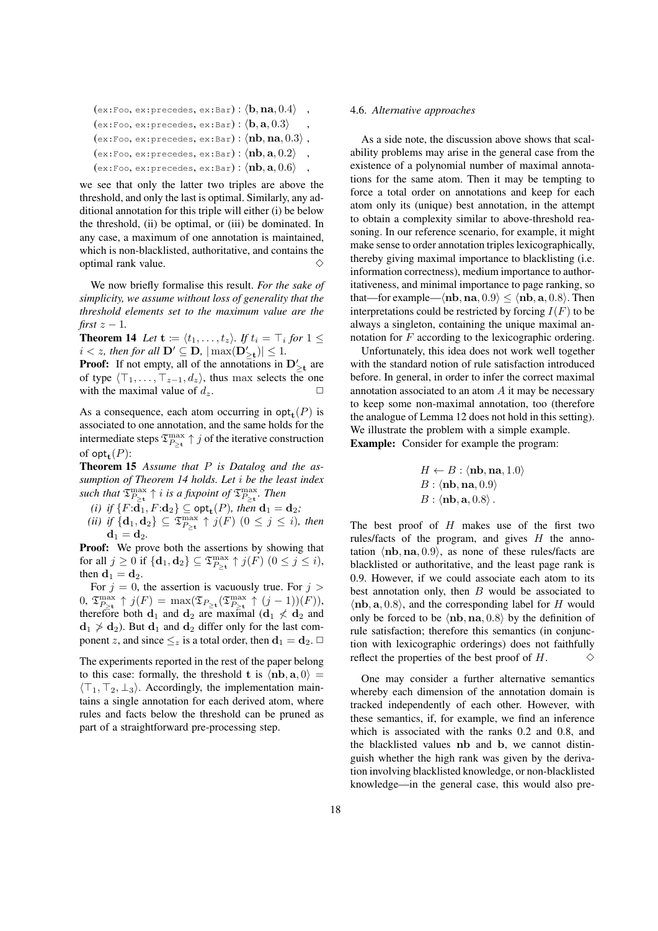| $(ex: Foo, ex: precedes, ex:Bar): \langle b, na, 0.4 \rangle$                   |  |
|---------------------------------------------------------------------------------|--|
| $(ex: Foo, ex: precedes, ex: Bar): \langle \mathbf{b}, \mathbf{a}, 0.3 \rangle$ |  |
| $(ex: Foo, ex: precedes, ex:Bar): \langle nb, na, 0.3 \rangle$ ,                |  |
| (ex:Foo, ex:precedes, ex:Bar) : $\langle nb, a, 0.2 \rangle$                    |  |
| (ex:Foo, ex:precedes, ex:Bar) : $\langle nb, a, 0.6 \rangle$                    |  |

we see that only the latter two triples are above the threshold, and only the last is optimal. Similarly, any additional annotation for this triple will either (i) be below the threshold, (ii) be optimal, or (iii) be dominated. In any case, a maximum of one annotation is maintained, which is non-blacklisted, authoritative, and contains the optimal rank value.

We now briefly formalise this result. *For the sake of simplicity, we assume without loss of generality that the threshold elements set to the maximum value are the first*  $z - 1$ .

**Theorem 14** *Let*  $\mathbf{t} := \langle t_1, \ldots, t_z \rangle$ *. If*  $t_i = \top_i$  *for*  $1 \leq$  $i < z$ , then for all  $\mathbf{D}' \subseteq \mathbf{D}$ ,  $|\max(\mathbf{D}_{\geq \mathbf{t}}')| \leq 1$ .

**Proof:** If not empty, all of the annotations in  $D'_{\geq t}$  are of type  $\langle \top_1, \ldots, \top_{z-1}, d_z \rangle$ , thus max selects the one with the maximal value of  $d_z$ .

As a consequence, each atom occurring in  $\text{opt}_{t}(P)$  is associated to one annotation, and the same holds for the intermediate steps  $\mathfrak{T}_{P>\mathbf{t}}^{\max}\uparrow j$  of the iterative construction of  $\mathsf{opt}_{\mathbf{t}}(P)$ :

Theorem 15 *Assume that* P *is Datalog and the assumption of Theorem 14 holds. Let* i *be the least index* such that  $\mathfrak{T}_{P_{\geq \mathbf{t}}}^{\max} \uparrow i$  is a fixpoint of  $\mathfrak{T}_{P_{\geq \mathbf{t}}}^{\max}$ . Then

- $(i)$  if  $\{F:\mathbf{d}_1, F:\mathbf{d}_2\} \subseteq \mathsf{opt}_{\mathbf{t}}(P)$ , then  $\mathbf{d}_1 = \mathbf{d}_2$ ;
- (*ii*) *if*  $\{d_1, d_2\} \subseteq \mathfrak{T}_{P_{\geq t}}^{\max} \uparrow j(F)$   $(0 \leq j \leq i)$ , then  $\mathbf{d}_1 = \mathbf{d}_2.$

Proof: We prove both the assertions by showing that for all  $j \geq 0$  if  $\{d_1, d_2\} \subseteq \mathfrak{T}_{P_{\geq t}}^{\max} \uparrow j(F)$   $(0 \leq j \leq i)$ , then  $\mathbf{d}_1 = \mathbf{d}_2$ .

For  $j = 0$ , the assertion is vacuously true. For  $j >$ 0,  $\mathfrak{T}_{P_{\geq t}}^{\max} \uparrow j(F) = \max(\mathfrak{T}_{P_{\geq t}}(\mathfrak{T}_{P_{\geq t}}^{\max} \uparrow (j-1))(F)),$ therefore both  $\mathbf{d}_1$  and  $\mathbf{d}_2$  are maximal  $(\mathbf{d}_1 \nless \mathbf{d}_2)$  and  $d_1 \ngtr d_2$ ). But  $d_1$  and  $d_2$  differ only for the last component z, and since  $\leq_z$  is a total order, then  $\mathbf{d}_1 = \mathbf{d}_2$ .  $\Box$ 

The experiments reported in the rest of the paper belong to this case: formally, the threshold t is  $\langle nb, a, 0 \rangle =$  $\langle \top_1, \top_2, \bot_3 \rangle$ . Accordingly, the implementation maintains a single annotation for each derived atom, where rules and facts below the threshold can be pruned as part of a straightforward pre-processing step.

#### 4.6. *Alternative approaches*

As a side note, the discussion above shows that scalability problems may arise in the general case from the existence of a polynomial number of maximal annotations for the same atom. Then it may be tempting to force a total order on annotations and keep for each atom only its (unique) best annotation, in the attempt to obtain a complexity similar to above-threshold reasoning. In our reference scenario, for example, it might make sense to order annotation triples lexicographically, thereby giving maximal importance to blacklisting (i.e. information correctness), medium importance to authoritativeness, and minimal importance to page ranking, so that—for example— $\langle nb, na, 0.9 \rangle < \langle nb, a, 0.8 \rangle$ . Then interpretations could be restricted by forcing  $I(F)$  to be always a singleton, containing the unique maximal annotation for  $F$  according to the lexicographic ordering.

Unfortunately, this idea does not work well together with the standard notion of rule satisfaction introduced before. In general, in order to infer the correct maximal annotation associated to an atom  $A$  it may be necessary to keep some non-maximal annotation, too (therefore the analogue of Lemma 12 does not hold in this setting). We illustrate the problem with a simple example. Example: Consider for example the program:

$$
H \leftarrow B : \langle \mathbf{nb}, \mathbf{na}, 1.0 \rangle
$$
  

$$
B : \langle \mathbf{nb}, \mathbf{na}, 0.9 \rangle
$$
  

$$
B : \langle \mathbf{nb}, \mathbf{a}, 0.8 \rangle.
$$

The best proof of  $H$  makes use of the first two rules/facts of the program, and gives  $H$  the annotation  $\langle nb, na, 0.9 \rangle$ , as none of these rules/facts are blacklisted or authoritative, and the least page rank is 0.9. However, if we could associate each atom to its best annotation only, then  $B$  would be associated to  $\langle$ **nb**, **a**, 0.8 $\rangle$ , and the corresponding label for H would only be forced to be  $\langle nb, na, 0.8 \rangle$  by the definition of rule satisfaction; therefore this semantics (in conjunction with lexicographic orderings) does not faithfully reflect the properties of the best proof of  $H$ .

One may consider a further alternative semantics whereby each dimension of the annotation domain is tracked independently of each other. However, with these semantics, if, for example, we find an inference which is associated with the ranks 0.2 and 0.8, and the blacklisted values nb and b, we cannot distinguish whether the high rank was given by the derivation involving blacklisted knowledge, or non-blacklisted knowledge—in the general case, this would also pre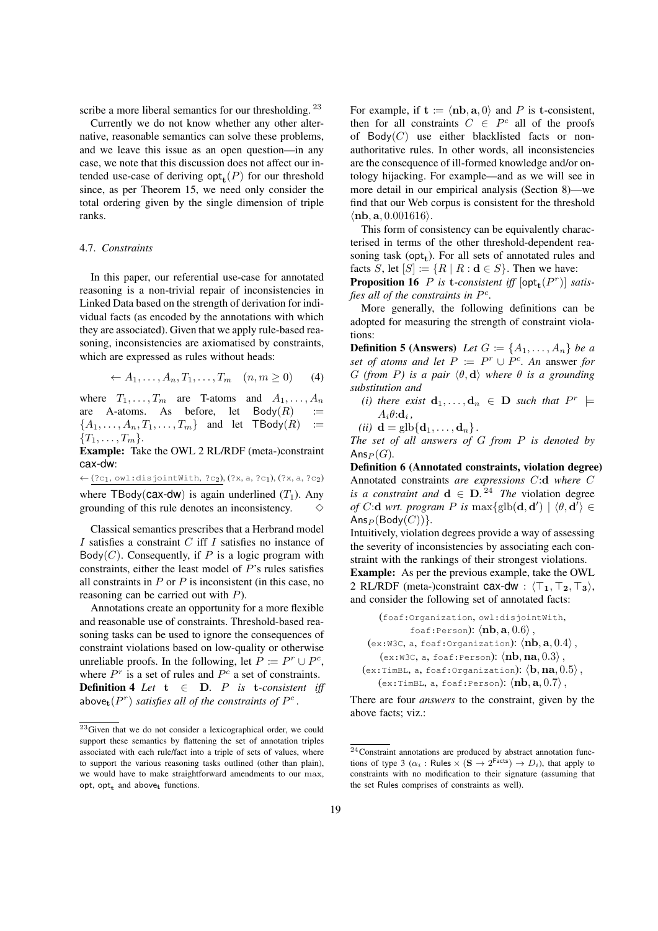scribe a more liberal semantics for our thresholding. <sup>23</sup>

Currently we do not know whether any other alternative, reasonable semantics can solve these problems, and we leave this issue as an open question—in any case, we note that this discussion does not affect our intended use-case of deriving  $opt_t(P)$  for our threshold since, as per Theorem 15, we need only consider the total ordering given by the single dimension of triple ranks.

#### 4.7. *Constraints*

In this paper, our referential use-case for annotated reasoning is a non-trivial repair of inconsistencies in Linked Data based on the strength of derivation for individual facts (as encoded by the annotations with which they are associated). Given that we apply rule-based reasoning, inconsistencies are axiomatised by constraints, which are expressed as rules without heads:

$$
\leftarrow A_1, \dots, A_n, T_1, \dots, T_m \quad (n, m \ge 0) \tag{4}
$$

where  $T_1, \ldots, T_m$  are T-atoms and  $A_1, \ldots, A_n$ are A-atoms. As before, let  $Body(R)$  :=  ${A_1, \ldots, A_n, T_1, \ldots, T_m}$  and let  $\textsf{TBody}(R) :=$  $\{T_1, \ldots, T_m\}.$ 

Example: Take the OWL 2 RL/RDF (meta-)constraint cax-dw:

← (?c<sub>1</sub>, owl:disjointWith, ?c<sub>2</sub>), (?x, a, ?c<sub>1</sub>), (?x, a, ?c<sub>2</sub>) where TBody(cax-dw) is again underlined  $(T_1)$ . Any grounding of this rule denotes an inconsistency.

Classical semantics prescribes that a Herbrand model I satisfies a constraint  $C$  iff I satisfies no instance of Body(C). Consequently, if P is a logic program with constraints, either the least model of P's rules satisfies all constraints in  $P$  or  $P$  is inconsistent (in this case, no reasoning can be carried out with P).

Annotations create an opportunity for a more flexible and reasonable use of constraints. Threshold-based reasoning tasks can be used to ignore the consequences of constraint violations based on low-quality or otherwise unreliable proofs. In the following, let  $P := P^r \cup P^c$ , where  $P^r$  is a set of rules and  $P^c$  a set of constraints. Definition 4 *Let* t ∈ D*.* P *is* t*-consistent iff* above<sub>t</sub>  $(P<sup>r</sup>)$  *satisfies all of the constraints of*  $P<sup>c</sup>$ *.* 

For example, if  $\mathbf{t} := \langle \mathbf{nb}, \mathbf{a}, 0 \rangle$  and P is t-consistent, then for all constraints  $C \in P^c$  all of the proofs of  $Body(C)$  use either blacklisted facts or nonauthoritative rules. In other words, all inconsistencies are the consequence of ill-formed knowledge and/or ontology hijacking. For example—and as we will see in more detail in our empirical analysis (Section 8)—we find that our Web corpus is consistent for the threshold  $\langle$ **nb**, **a**, 0.001616 $\rangle$ .

This form of consistency can be equivalently characterised in terms of the other threshold-dependent reasoning task ( $opt_t$ ). For all sets of annotated rules and facts S, let  $[S] := \{R \mid R : d \in S\}$ . Then we have: **Proposition 16** P is **t**-consistent iff  $[\text{opt}_{t}(P^r)]$  satisfies all of the constraints in  $P^c$ .

More generally, the following definitions can be adopted for measuring the strength of constraint violations:

**Definition 5 (Answers)** Let  $G := \{A_1, \ldots, A_n\}$  be a *set of atoms and let*  $P := P^r \cup P^c$ *. An answer for*  $G$  (from P) is a pair  $\langle \theta, \mathbf{d} \rangle$  where  $\theta$  is a grounding *substitution and*

(*i*) *there exist*  $\mathbf{d}_1, \ldots, \mathbf{d}_n \in \mathbf{D}$  *such that*  $P^r \models$  $A_i\theta$ **:d**<sub>*i*</sub>,

(*ii*)  $\mathbf{d} = \text{glb}\{\mathbf{d}_1, \ldots, \mathbf{d}_n\}$ .

*The set of all answers of* G *from* P *is denoted by* Ans $_P(G)$ .

Definition 6 (Annotated constraints, violation degree) Annotated constraints *are expressions* C:d *where* C *is a constraint and*  $d \in D$ . <sup>24</sup> *The* violation degree *of* C:d *wrt.* program P is  $\max{\text{glb}(\mathbf{d}, \mathbf{d}')}$   $\mid \langle \theta, \mathbf{d}' \rangle \in$  $Ans_P(Body(C))$ .

Intuitively, violation degrees provide a way of assessing the severity of inconsistencies by associating each constraint with the rankings of their strongest violations. Example: As per the previous example, take the OWL 2 RL/RDF (meta-)constraint cax-dw :  $\langle \top_1, \top_2, \top_3 \rangle$ , and consider the following set of annotated facts:

(foaf:Organization, owl:disjointWith, foaf:Person):  $\langle nb, a, 0.6 \rangle$ , (ex:W3C, a, foaf:Organization):  $\langle nb, a, 0.4 \rangle$ , (ex:W3C, a, foaf:Person):  $\langle nb, na, 0.3 \rangle$ , (ex:TimBL, a, foaf:Organization):  $\langle \mathbf{b}, \mathbf{n}\mathbf{a}, 0.5 \rangle$ , (ex:TimBL, a, foaf:Person):  $\langle nb, a, 0.7 \rangle$ ,

There are four *answers* to the constraint, given by the above facts; viz.:

<sup>23</sup>Given that we do not consider a lexicographical order, we could support these semantics by flattening the set of annotation triples associated with each rule/fact into a triple of sets of values, where to support the various reasoning tasks outlined (other than plain), we would have to make straightforward amendments to our max, opt, opt<sub>t</sub> and above<sub>t</sub> functions.

<sup>24</sup>Constraint annotations are produced by abstract annotation functions of type 3 ( $\alpha_i$ : Rules  $\times$  (S  $\rightarrow$  2<sup>Facts</sup>)  $\rightarrow$  D<sub>i</sub>), that apply to constraints with no modification to their signature (assuming that the set Rules comprises of constraints as well).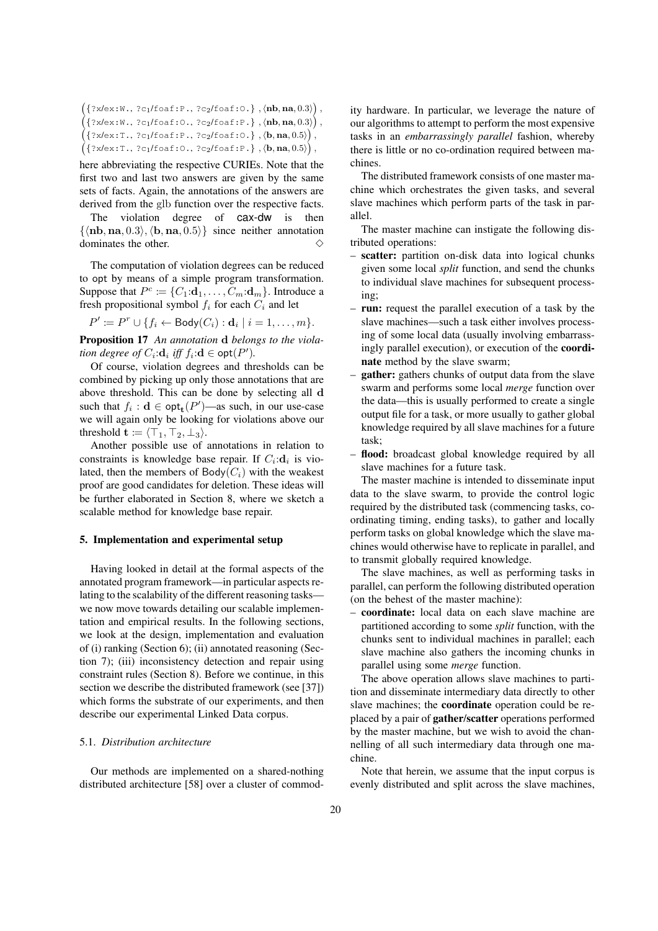$({?x}/ex:W., ?c1/foaf:P., ?c2/foaf:0.}, \langle nb, na, 0.3\rangle),$  $({2x}/ex:W., 2c1}/foaf:0., 2c2}/foaf:P. \n}, \langle nb, na, 0.3 \rangle),$  $({2x}/ex:T., 2c_1/foaf:P., 2c_2/foaf:0.}, {\langle b, na, 0.5 \rangle}),$  $({2x}/ex:T., 2c_1/foaf:0., 2c_2/foaf:P.}, {\langle b, na, 0.5 \rangle}),$ 

here abbreviating the respective CURIEs. Note that the first two and last two answers are given by the same sets of facts. Again, the annotations of the answers are derived from the glb function over the respective facts.

The violation degree of cax-dw is then  $\{\langle nb, na, 0.3\rangle, \langle b, na, 0.5\rangle\}$  since neither annotation dominates the other.  $\Diamond$ 

The computation of violation degrees can be reduced to opt by means of a simple program transformation. Suppose that  $P^c := \{C_1 : \mathbf{d}_1, \dots, C_m : \mathbf{d}_m\}$ . Introduce a fresh propositional symbol  $f_i$  for each  $C_i$  and let

 $P' := P^r \cup \{f_i \leftarrow \mathsf{Body}(C_i) : \mathbf{d}_i \mid i = 1, \ldots, m\}.$ 

Proposition 17 *An annotation* d *belongs to the violation degree of*  $C_i$ : $\mathbf{d}_i$  *iff*  $f_i$ : $\mathbf{d} \in \text{opt}(P')$ .

Of course, violation degrees and thresholds can be combined by picking up only those annotations that are above threshold. This can be done by selecting all d such that  $f_i$ :  $d \in \text{opt}_{t}(P')$ —as such, in our use-case we will again only be looking for violations above our threshold  $\mathbf{t} := \langle \top_1, \top_2, \bot_3 \rangle$ .

Another possible use of annotations in relation to constraints is knowledge base repair. If  $C_i$ :  $\mathbf{d}_i$  is violated, then the members of  $Body(C_i)$  with the weakest proof are good candidates for deletion. These ideas will be further elaborated in Section 8, where we sketch a scalable method for knowledge base repair.

#### 5. Implementation and experimental setup

Having looked in detail at the formal aspects of the annotated program framework—in particular aspects relating to the scalability of the different reasoning tasks we now move towards detailing our scalable implementation and empirical results. In the following sections, we look at the design, implementation and evaluation of (i) ranking (Section 6); (ii) annotated reasoning (Section 7); (iii) inconsistency detection and repair using constraint rules (Section 8). Before we continue, in this section we describe the distributed framework (see [37]) which forms the substrate of our experiments, and then describe our experimental Linked Data corpus.

#### 5.1. *Distribution architecture*

Our methods are implemented on a shared-nothing distributed architecture [58] over a cluster of commodity hardware. In particular, we leverage the nature of our algorithms to attempt to perform the most expensive tasks in an *embarrassingly parallel* fashion, whereby there is little or no co-ordination required between machines.

The distributed framework consists of one master machine which orchestrates the given tasks, and several slave machines which perform parts of the task in parallel.

The master machine can instigate the following distributed operations:

- scatter: partition on-disk data into logical chunks given some local *split* function, and send the chunks to individual slave machines for subsequent processing;
- run: request the parallel execution of a task by the slave machines—such a task either involves processing of some local data (usually involving embarrassingly parallel execution), or execution of the coordinate method by the slave swarm;
- gather: gathers chunks of output data from the slave swarm and performs some local *merge* function over the data—this is usually performed to create a single output file for a task, or more usually to gather global knowledge required by all slave machines for a future task;
- flood: broadcast global knowledge required by all slave machines for a future task.

The master machine is intended to disseminate input data to the slave swarm, to provide the control logic required by the distributed task (commencing tasks, coordinating timing, ending tasks), to gather and locally perform tasks on global knowledge which the slave machines would otherwise have to replicate in parallel, and to transmit globally required knowledge.

The slave machines, as well as performing tasks in parallel, can perform the following distributed operation (on the behest of the master machine):

– coordinate: local data on each slave machine are partitioned according to some *split* function, with the chunks sent to individual machines in parallel; each slave machine also gathers the incoming chunks in parallel using some *merge* function.

The above operation allows slave machines to partition and disseminate intermediary data directly to other slave machines; the coordinate operation could be replaced by a pair of gather/scatter operations performed by the master machine, but we wish to avoid the channelling of all such intermediary data through one machine.

Note that herein, we assume that the input corpus is evenly distributed and split across the slave machines,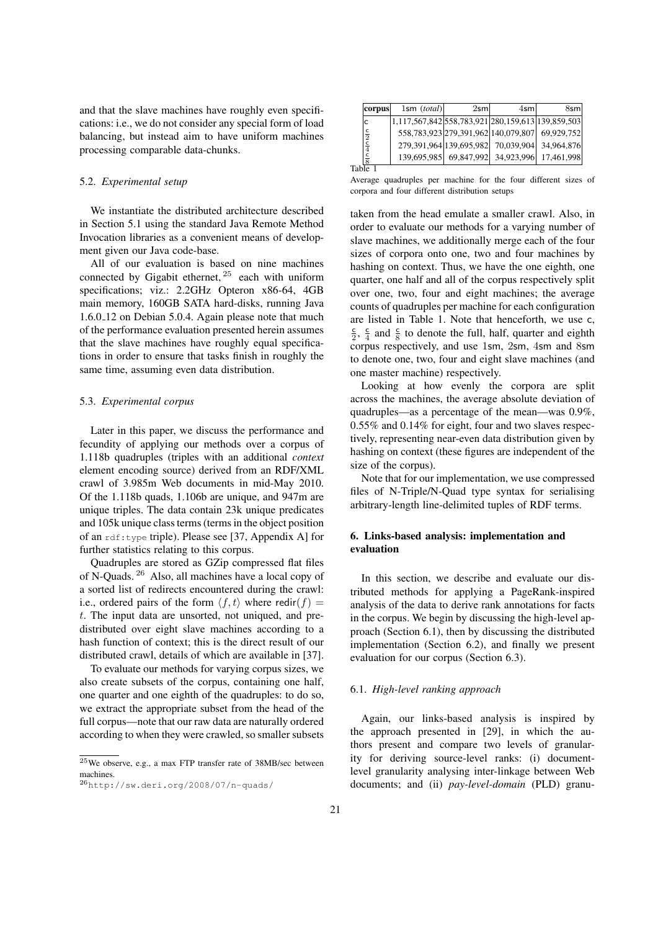and that the slave machines have roughly even specifications: i.e., we do not consider any special form of load balancing, but instead aim to have uniform machines processing comparable data-chunks.

#### 5.2. *Experimental setup*

We instantiate the distributed architecture described in Section 5.1 using the standard Java Remote Method Invocation libraries as a convenient means of development given our Java code-base.

All of our evaluation is based on nine machines connected by Gigabit ethernet,  $25$  each with uniform specifications; viz.: 2.2GHz Opteron x86-64, 4GB main memory, 160GB SATA hard-disks, running Java 1.6.0 12 on Debian 5.0.4. Again please note that much of the performance evaluation presented herein assumes that the slave machines have roughly equal specifications in order to ensure that tasks finish in roughly the same time, assuming even data distribution.

#### 5.3. *Experimental corpus*

Later in this paper, we discuss the performance and fecundity of applying our methods over a corpus of 1.118b quadruples (triples with an additional *context* element encoding source) derived from an RDF/XML crawl of 3.985m Web documents in mid-May 2010. Of the 1.118b quads, 1.106b are unique, and 947m are unique triples. The data contain 23k unique predicates and 105k unique class terms (terms in the object position of an rdf:type triple). Please see [37, Appendix A] for further statistics relating to this corpus.

Quadruples are stored as GZip compressed flat files of N-Quads. <sup>26</sup> Also, all machines have a local copy of a sorted list of redirects encountered during the crawl: i.e., ordered pairs of the form  $\langle f, t \rangle$  where redir $(f)$  = t. The input data are unsorted, not uniqued, and predistributed over eight slave machines according to a hash function of context; this is the direct result of our distributed crawl, details of which are available in [37].

To evaluate our methods for varying corpus sizes, we also create subsets of the corpus, containing one half, one quarter and one eighth of the quadruples: to do so, we extract the appropriate subset from the head of the full corpus—note that our raw data are naturally ordered according to when they were crawled, so smaller subsets

| corpus         | $1$ sm $(total)$                                  | $2$ sml | 4sml                                           | 8sml |
|----------------|---------------------------------------------------|---------|------------------------------------------------|------|
| .c             | 1,117,567,842 558,783,921 280,159,613 139,859,503 |         |                                                |      |
| $\frac{c}{2}$  |                                                   |         | 558,783,923 279,391,962 140,079,807 69,929,752 |      |
| $\overline{c}$ | 279,391,964 139,695,982 70,039,904 34,964,876     |         |                                                |      |
|                |                                                   |         | 139,695,985 69,847,992 34,923,996 17,461,998   |      |
| Table          |                                                   |         |                                                |      |

Average quadruples per machine for the four different sizes of corpora and four different distribution setups

taken from the head emulate a smaller crawl. Also, in order to evaluate our methods for a varying number of slave machines, we additionally merge each of the four sizes of corpora onto one, two and four machines by hashing on context. Thus, we have the one eighth, one quarter, one half and all of the corpus respectively split over one, two, four and eight machines; the average counts of quadruples per machine for each configuration are listed in Table 1. Note that henceforth, we use c,  $\frac{c}{2}$ ,  $\frac{c}{4}$  and  $\frac{c}{8}$  to denote the full, half, quarter and eighth corpus respectively, and use 1sm, 2sm, 4sm and 8sm to denote one, two, four and eight slave machines (and one master machine) respectively.

Looking at how evenly the corpora are split across the machines, the average absolute deviation of quadruples—as a percentage of the mean—was 0.9%, 0.55% and 0.14% for eight, four and two slaves respectively, representing near-even data distribution given by hashing on context (these figures are independent of the size of the corpus).

Note that for our implementation, we use compressed files of N-Triple/N-Quad type syntax for serialising arbitrary-length line-delimited tuples of RDF terms.

## 6. Links-based analysis: implementation and evaluation

In this section, we describe and evaluate our distributed methods for applying a PageRank-inspired analysis of the data to derive rank annotations for facts in the corpus. We begin by discussing the high-level approach (Section 6.1), then by discussing the distributed implementation (Section 6.2), and finally we present evaluation for our corpus (Section 6.3).

#### 6.1. *High-level ranking approach*

Again, our links-based analysis is inspired by the approach presented in [29], in which the authors present and compare two levels of granularity for deriving source-level ranks: (i) documentlevel granularity analysing inter-linkage between Web documents; and (ii) *pay-level-domain* (PLD) granu-

<sup>25</sup>We observe, e.g., a max FTP transfer rate of 38MB/sec between machines.

<sup>26</sup>http://sw.deri.org/2008/07/n-quads/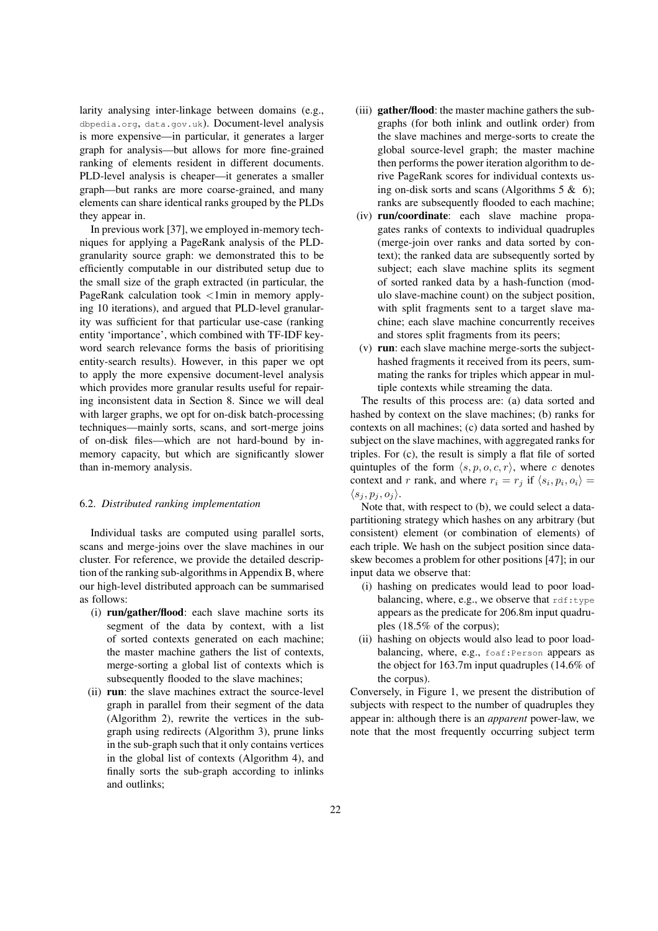larity analysing inter-linkage between domains (e.g., dbpedia.org, data.gov.uk). Document-level analysis is more expensive—in particular, it generates a larger graph for analysis—but allows for more fine-grained ranking of elements resident in different documents. PLD-level analysis is cheaper—it generates a smaller graph—but ranks are more coarse-grained, and many elements can share identical ranks grouped by the PLDs they appear in.

In previous work [37], we employed in-memory techniques for applying a PageRank analysis of the PLDgranularity source graph: we demonstrated this to be efficiently computable in our distributed setup due to the small size of the graph extracted (in particular, the PageRank calculation took <1min in memory applying 10 iterations), and argued that PLD-level granularity was sufficient for that particular use-case (ranking entity 'importance', which combined with TF-IDF keyword search relevance forms the basis of prioritising entity-search results). However, in this paper we opt to apply the more expensive document-level analysis which provides more granular results useful for repairing inconsistent data in Section 8. Since we will deal with larger graphs, we opt for on-disk batch-processing techniques—mainly sorts, scans, and sort-merge joins of on-disk files—which are not hard-bound by inmemory capacity, but which are significantly slower than in-memory analysis.

#### 6.2. *Distributed ranking implementation*

Individual tasks are computed using parallel sorts, scans and merge-joins over the slave machines in our cluster. For reference, we provide the detailed description of the ranking sub-algorithms in Appendix B, where our high-level distributed approach can be summarised as follows:

- (i) run/gather/flood: each slave machine sorts its segment of the data by context, with a list of sorted contexts generated on each machine; the master machine gathers the list of contexts, merge-sorting a global list of contexts which is subsequently flooded to the slave machines;
- (ii) run: the slave machines extract the source-level graph in parallel from their segment of the data (Algorithm 2), rewrite the vertices in the subgraph using redirects (Algorithm 3), prune links in the sub-graph such that it only contains vertices in the global list of contexts (Algorithm 4), and finally sorts the sub-graph according to inlinks and outlinks;
- (iii) **gather/flood**: the master machine gathers the subgraphs (for both inlink and outlink order) from the slave machines and merge-sorts to create the global source-level graph; the master machine then performs the power iteration algorithm to derive PageRank scores for individual contexts using on-disk sorts and scans (Algorithms  $5 & 6$ ); ranks are subsequently flooded to each machine;
- (iv) run/coordinate: each slave machine propagates ranks of contexts to individual quadruples (merge-join over ranks and data sorted by context); the ranked data are subsequently sorted by subject; each slave machine splits its segment of sorted ranked data by a hash-function (modulo slave-machine count) on the subject position, with split fragments sent to a target slave machine; each slave machine concurrently receives and stores split fragments from its peers;
- (v) run: each slave machine merge-sorts the subjecthashed fragments it received from its peers, summating the ranks for triples which appear in multiple contexts while streaming the data.

The results of this process are: (a) data sorted and hashed by context on the slave machines; (b) ranks for contexts on all machines; (c) data sorted and hashed by subject on the slave machines, with aggregated ranks for triples. For (c), the result is simply a flat file of sorted quintuples of the form  $\langle s, p, o, c, r \rangle$ , where c denotes context and r rank, and where  $r_i = r_j$  if  $\langle s_i, p_i, o_i \rangle =$  $\langle s_j, p_j, o_j \rangle.$ 

Note that, with respect to (b), we could select a datapartitioning strategy which hashes on any arbitrary (but consistent) element (or combination of elements) of each triple. We hash on the subject position since dataskew becomes a problem for other positions [47]; in our input data we observe that:

- (i) hashing on predicates would lead to poor loadbalancing, where, e.g., we observe that  $ref:type$ appears as the predicate for 206.8m input quadruples (18.5% of the corpus);
- (ii) hashing on objects would also lead to poor loadbalancing, where, e.g., foaf:Person appears as the object for 163.7m input quadruples (14.6% of the corpus).

Conversely, in Figure 1, we present the distribution of subjects with respect to the number of quadruples they appear in: although there is an *apparent* power-law, we note that the most frequently occurring subject term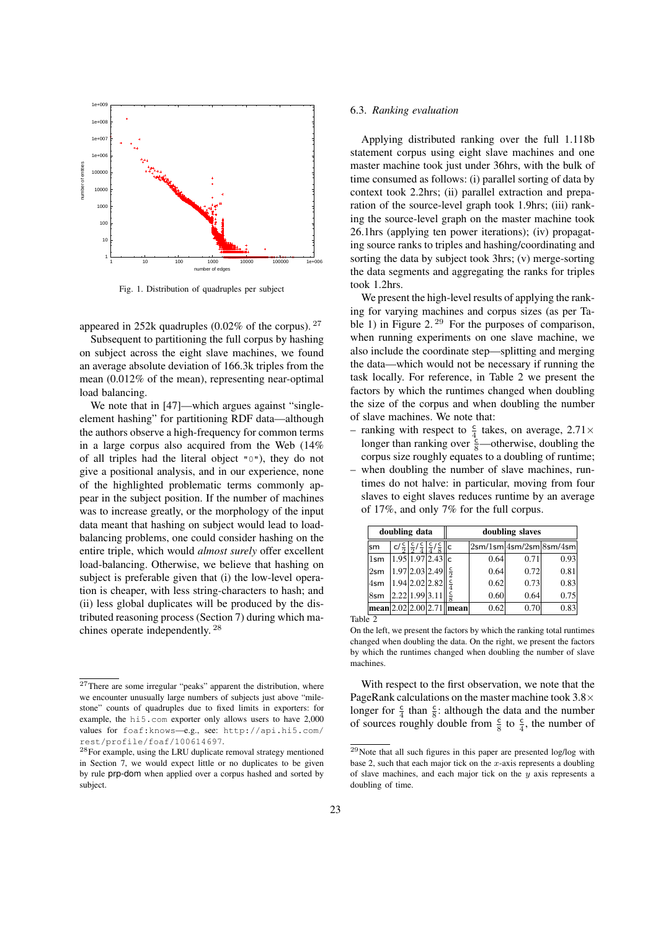

Fig. 1. Distribution of quadruples per subject

appeared in 252k quadruples  $(0.02\%$  of the corpus). <sup>27</sup>

Subsequent to partitioning the full corpus by hashing on subject across the eight slave machines, we found an average absolute deviation of 166.3k triples from the mean (0.012% of the mean), representing near-optimal load balancing.

We note that in [47]—which argues against "singleelement hashing" for partitioning RDF data—although the authors observe a high-frequency for common terms in a large corpus also acquired from the Web (14% of all triples had the literal object "0"), they do not give a positional analysis, and in our experience, none of the highlighted problematic terms commonly appear in the subject position. If the number of machines was to increase greatly, or the morphology of the input data meant that hashing on subject would lead to loadbalancing problems, one could consider hashing on the entire triple, which would *almost surely* offer excellent load-balancing. Otherwise, we believe that hashing on subject is preferable given that (i) the low-level operation is cheaper, with less string-characters to hash; and (ii) less global duplicates will be produced by the distributed reasoning process (Section 7) during which machines operate independently. <sup>28</sup>

#### 6.3. *Ranking evaluation*

Applying distributed ranking over the full 1.118b statement corpus using eight slave machines and one master machine took just under 36hrs, with the bulk of time consumed as follows: (i) parallel sorting of data by context took 2.2hrs; (ii) parallel extraction and preparation of the source-level graph took 1.9hrs; (iii) ranking the source-level graph on the master machine took 26.1hrs (applying ten power iterations); (iv) propagating source ranks to triples and hashing/coordinating and sorting the data by subject took 3hrs; (v) merge-sorting the data segments and aggregating the ranks for triples took 1.2hrs.

We present the high-level results of applying the ranking for varying machines and corpus sizes (as per Table 1) in Figure 2.<sup>29</sup> For the purposes of comparison, when running experiments on one slave machine, we also include the coordinate step—splitting and merging the data—which would not be necessary if running the task locally. For reference, in Table 2 we present the factors by which the runtimes changed when doubling the size of the corpus and when doubling the number of slave machines. We note that:

- ranking with respect to  $\frac{c}{4}$  takes, on average,  $2.71 \times$ longer than ranking over  $\frac{c}{8}$ —otherwise, doubling the corpus size roughly equates to a doubling of runtime;
- when doubling the number of slave machines, runtimes do not halve: in particular, moving from four slaves to eight slaves reduces runtime by an average of 17%, and only 7% for the full corpus.

|                     | doubling data  |                                                                                           | doubling slaves |      |      |                                                                                                                  |  |  |
|---------------------|----------------|-------------------------------------------------------------------------------------------|-----------------|------|------|------------------------------------------------------------------------------------------------------------------|--|--|
| lsm                 |                | $\overline{C/\frac{c}{2}} \left  \frac{c}{2}/\frac{c}{4} \right  \frac{c}{4}/\frac{c}{8}$ | .lc             |      |      | $\left 2\mathsf{sm}/1\mathsf{sm}\right 4\mathsf{sm}/2\mathsf{sm}\right \!\left 8\mathsf{sm}/4\mathsf{sm}\right $ |  |  |
| $1$ sm              |                | 1.95 1.97 2.43 c                                                                          |                 | 0.64 | 0.71 | 0.93                                                                                                             |  |  |
| $2$ sm              |                | 1.97 2.03 2.49                                                                            |                 | 0.64 | 0.72 | 0.81                                                                                                             |  |  |
| 4sm                 |                | 1.94 2.02 2.82                                                                            | $rac{c}{4}$     | 0.62 | 0.73 | 0.83                                                                                                             |  |  |
| $8$ sm              | 2.22 1.99 3.11 |                                                                                           | $rac{c}{8}$     | 0.60 | 0.64 | 0.75                                                                                                             |  |  |
| mean 2.02 2.00 2.71 |                |                                                                                           | mean            | 0.62 | 0.70 | 0.83                                                                                                             |  |  |

Table 2

On the left, we present the factors by which the ranking total runtimes changed when doubling the data. On the right, we present the factors by which the runtimes changed when doubling the number of slave machines.

With respect to the first observation, we note that the PageRank calculations on the master machine took  $3.8\times$ longer for  $\frac{c}{4}$  than  $\frac{c}{8}$ : although the data and the number of sources roughly double from  $\frac{c}{8}$  to  $\frac{c}{4}$ , the number of

 $27$ There are some irregular "peaks" apparent the distribution, where we encounter unusually large numbers of subjects just above "milestone" counts of quadruples due to fixed limits in exporters: for example, the hi5.com exporter only allows users to have 2,000 values for foaf:knows—e.g., see: http://api.hi5.com/ rest/profile/foaf/100614697.

<sup>28</sup>For example, using the LRU duplicate removal strategy mentioned in Section 7, we would expect little or no duplicates to be given by rule prp-dom when applied over a corpus hashed and sorted by subject.

<sup>29</sup>Note that all such figures in this paper are presented log/log with base 2, such that each major tick on the  $x$ -axis represents a doubling of slave machines, and each major tick on the  $y$  axis represents a doubling of time.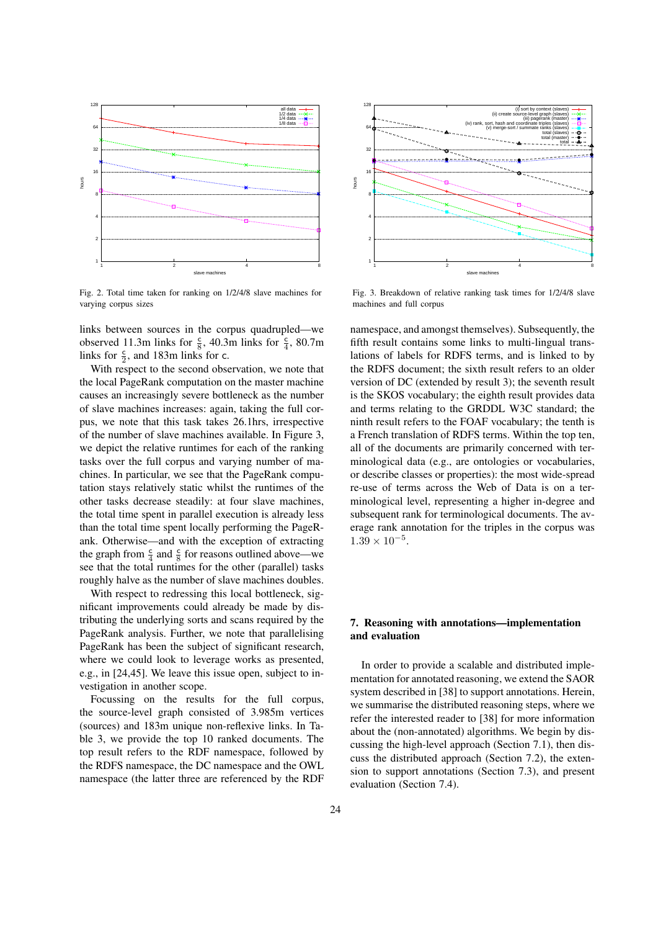

Fig. 2. Total time taken for ranking on 1/2/4/8 slave machines for varying corpus sizes

links between sources in the corpus quadrupled—we observed 11.3m links for  $\frac{c}{8}$ , 40.3m links for  $\frac{c}{4}$ , 80.7m links for  $\frac{c}{2}$ , and 183m links for c.

With respect to the second observation, we note that the local PageRank computation on the master machine causes an increasingly severe bottleneck as the number of slave machines increases: again, taking the full corpus, we note that this task takes 26.1hrs, irrespective of the number of slave machines available. In Figure 3, we depict the relative runtimes for each of the ranking tasks over the full corpus and varying number of machines. In particular, we see that the PageRank computation stays relatively static whilst the runtimes of the other tasks decrease steadily: at four slave machines, the total time spent in parallel execution is already less than the total time spent locally performing the PageRank. Otherwise—and with the exception of extracting the graph from  $\frac{c}{4}$  and  $\frac{c}{8}$  for reasons outlined above—we see that the total runtimes for the other (parallel) tasks roughly halve as the number of slave machines doubles.

With respect to redressing this local bottleneck, significant improvements could already be made by distributing the underlying sorts and scans required by the PageRank analysis. Further, we note that parallelising PageRank has been the subject of significant research, where we could look to leverage works as presented, e.g., in [24,45]. We leave this issue open, subject to investigation in another scope.

Focussing on the results for the full corpus, the source-level graph consisted of 3.985m vertices (sources) and 183m unique non-reflexive links. In Table 3, we provide the top 10 ranked documents. The top result refers to the RDF namespace, followed by the RDFS namespace, the DC namespace and the OWL namespace (the latter three are referenced by the RDF



Fig. 3. Breakdown of relative ranking task times for 1/2/4/8 slave machines and full corpus

namespace, and amongst themselves). Subsequently, the fifth result contains some links to multi-lingual translations of labels for RDFS terms, and is linked to by the RDFS document; the sixth result refers to an older version of DC (extended by result 3); the seventh result is the SKOS vocabulary; the eighth result provides data and terms relating to the GRDDL W3C standard; the ninth result refers to the FOAF vocabulary; the tenth is a French translation of RDFS terms. Within the top ten, all of the documents are primarily concerned with terminological data (e.g., are ontologies or vocabularies, or describe classes or properties): the most wide-spread re-use of terms across the Web of Data is on a terminological level, representing a higher in-degree and subsequent rank for terminological documents. The average rank annotation for the triples in the corpus was  $1.39\times10^{-5}.$ 

## 7. Reasoning with annotations—implementation and evaluation

In order to provide a scalable and distributed implementation for annotated reasoning, we extend the SAOR system described in [38] to support annotations. Herein, we summarise the distributed reasoning steps, where we refer the interested reader to [38] for more information about the (non-annotated) algorithms. We begin by discussing the high-level approach (Section 7.1), then discuss the distributed approach (Section 7.2), the extension to support annotations (Section 7.3), and present evaluation (Section 7.4).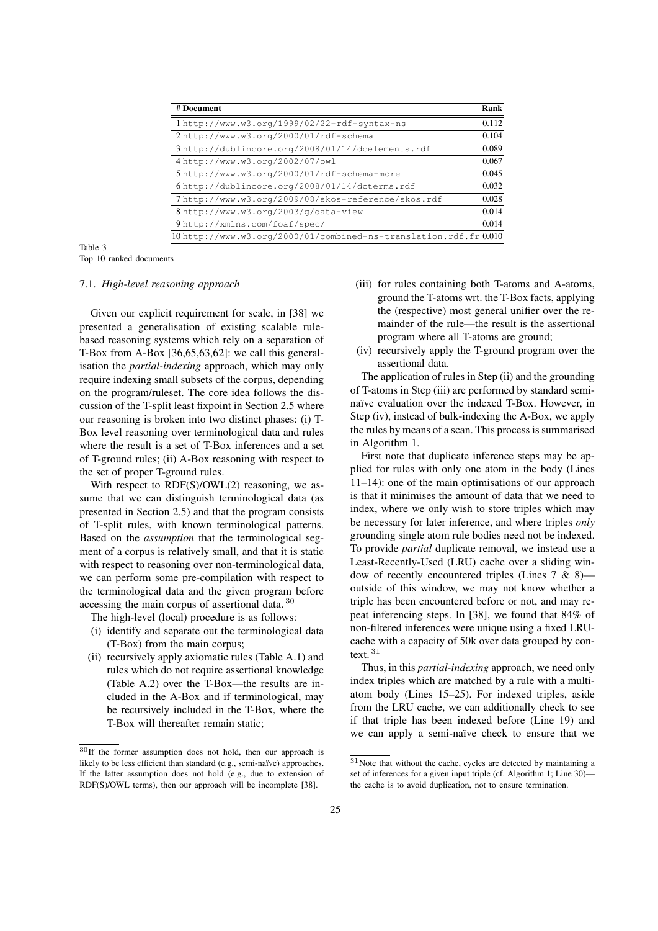| #Document                                                            | Rank  |
|----------------------------------------------------------------------|-------|
| $1$ http://www.w3.org/1999/02/22-rdf-syntax-ns                       | 0.112 |
| $2$ http://www.w3.org/2000/01/rdf-schema                             | 0.104 |
| 3http://dublincore.org/2008/01/14/dcelements.rdf                     | 0.089 |
| 4http://www.w3.org/2002/07/owl                                       | 0.067 |
| 5http://www.w3.org/2000/01/rdf-schema-more                           | 0.045 |
| 6http://dublincore.org/2008/01/14/dcterms.rdf                        | 0.032 |
| 7http://www.w3.org/2009/08/skos-reference/skos.rdf                   | 0.028 |
| 8http://www.w3.org/2003/g/data-view                                  | 0.014 |
| 9http://xmlns.com/foaf/spec/                                         | 0.014 |
| $10$  http://www.w3.org/2000/01/combined-ns-translation.rdf.fr 0.010 |       |

Table 3 Top 10 ranked documents

#### 7.1. *High-level reasoning approach*

Given our explicit requirement for scale, in [38] we presented a generalisation of existing scalable rulebased reasoning systems which rely on a separation of T-Box from A-Box [36,65,63,62]: we call this generalisation the *partial-indexing* approach, which may only require indexing small subsets of the corpus, depending on the program/ruleset. The core idea follows the discussion of the T-split least fixpoint in Section 2.5 where our reasoning is broken into two distinct phases: (i) T-Box level reasoning over terminological data and rules where the result is a set of T-Box inferences and a set of T-ground rules; (ii) A-Box reasoning with respect to the set of proper T-ground rules.

With respect to RDF(S)/OWL(2) reasoning, we assume that we can distinguish terminological data (as presented in Section 2.5) and that the program consists of T-split rules, with known terminological patterns. Based on the *assumption* that the terminological segment of a corpus is relatively small, and that it is static with respect to reasoning over non-terminological data, we can perform some pre-compilation with respect to the terminological data and the given program before accessing the main corpus of assertional data. <sup>30</sup>

- The high-level (local) procedure is as follows:
- (i) identify and separate out the terminological data (T-Box) from the main corpus;
- (ii) recursively apply axiomatic rules (Table A.1) and rules which do not require assertional knowledge (Table A.2) over the T-Box—the results are included in the A-Box and if terminological, may be recursively included in the T-Box, where the T-Box will thereafter remain static;
- (iii) for rules containing both T-atoms and A-atoms, ground the T-atoms wrt. the T-Box facts, applying the (respective) most general unifier over the remainder of the rule—the result is the assertional program where all T-atoms are ground;
- (iv) recursively apply the T-ground program over the assertional data.

The application of rules in Step (ii) and the grounding of T-atoms in Step (iii) are performed by standard seminaïve evaluation over the indexed T-Box. However, in Step (iv), instead of bulk-indexing the A-Box, we apply the rules by means of a scan. This process is summarised in Algorithm 1.

First note that duplicate inference steps may be applied for rules with only one atom in the body (Lines 11–14): one of the main optimisations of our approach is that it minimises the amount of data that we need to index, where we only wish to store triples which may be necessary for later inference, and where triples *only* grounding single atom rule bodies need not be indexed. To provide *partial* duplicate removal, we instead use a Least-Recently-Used (LRU) cache over a sliding window of recently encountered triples (Lines 7 & 8) outside of this window, we may not know whether a triple has been encountered before or not, and may repeat inferencing steps. In [38], we found that 84% of non-filtered inferences were unique using a fixed LRUcache with a capacity of 50k over data grouped by context. <sup>31</sup>

Thus, in this *partial-indexing* approach, we need only index triples which are matched by a rule with a multiatom body (Lines 15–25). For indexed triples, aside from the LRU cache, we can additionally check to see if that triple has been indexed before (Line 19) and we can apply a semi-naïve check to ensure that we

<sup>30</sup>If the former assumption does not hold, then our approach is likely to be less efficient than standard (e.g., semi-naïve) approaches. If the latter assumption does not hold (e.g., due to extension of RDF(S)/OWL terms), then our approach will be incomplete [38].

 $31$ Note that without the cache, cycles are detected by maintaining a set of inferences for a given input triple (cf. Algorithm 1; Line 30) the cache is to avoid duplication, not to ensure termination.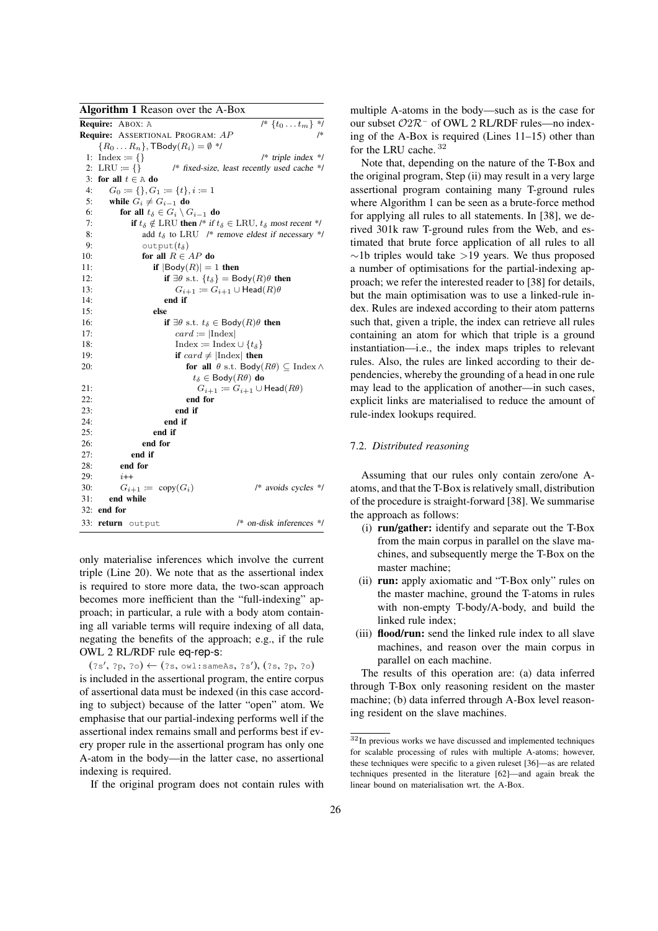Algorithm 1 Reason over the A-Box

**Require:** ABOX: A  $/$   $\{t_0 \ldots t_m\}$  \*/ Require: ASSERTIONAL PROGRAM: AP  ${R_0 \dots R_n}$ , TBody $(R_i) = \emptyset$  \*/ 1: Index := {}  $\qquad \qquad$  /\* triple index \*/<br>2: LRU := {}  $\qquad \qquad$  /\* fixed-size, least recently used cache \*/ /\* fixed-size, least recently used cache \*/ 3: for all  $t \in A$  do 4:  $G_0 := \{\}, G_1 := \{t\}, i := 1$ <br>5: while  $G_i \neq G_{i-1}$  do while  $G_i \neq G_{i-1}$  do 6: for all  $t_\delta \in G_i \setminus G_{i-1}$  do<br>7: if  $t_\delta \notin \text{LRU}$  then /\* if t if  $t_{\delta} \notin \text{LRU}$  then /\* if  $t_{\delta} \in \text{LRU}$ ,  $t_{\delta}$  most recent \*/ 8: add  $t_\delta$  to LRU /\* remove eldest if necessary \*/ 9: output $(t_\delta)$ 10: **for all**  $R \in AP$  **do** 11: if  $|Body(R)| = 1$  then 12: **if**  $\exists \theta$  s.t.  $\{t_\delta\} = \text{Body}(R)\theta$  then 13:  $G_{i+1} := G_{i+1} \cup \text{Head}(R)\theta$ 14: end if 15: else 16: **if**  $\exists \theta$  s.t.  $t_{\delta} \in \text{Body}(R)\theta$  then 17:  $card := |\text{Index}|$ 18: Index := Index ∪  $\{t_\delta\}$ 19: **if**  $card \neq |\text{Index}|$  **then** 20: **for all**  $\theta$  s.t. Body( $R\theta$ ) ⊂ Index ∧  $t_\delta \in \mathsf{Body}(R\theta)$  do 21:  $G_{i+1} := G_{i+1} \cup \text{Head}(R\theta)$ 22: end for 23: end if 24: end if 25: end if 26: end for  $27 \cdot$  end if 28: end for 29:  $i++$ 30:  $G_{i+1} := \text{copy}(G_i)$  /\* avoids cycles \*/ 31: end while 32: end for 33: **return** output /\* on-disk inferences \*/

only materialise inferences which involve the current triple (Line 20). We note that as the assertional index is required to store more data, the two-scan approach becomes more inefficient than the "full-indexing" approach; in particular, a rule with a body atom containing all variable terms will require indexing of all data, negating the benefits of the approach; e.g., if the rule OWL 2 RL/RDF rule eq-rep-s:

 $(?s', ?p, ?o) \leftarrow (?s, \text{owl:sameAs}, ?s'), (?s, ?p, ?o)$ is included in the assertional program, the entire corpus of assertional data must be indexed (in this case according to subject) because of the latter "open" atom. We emphasise that our partial-indexing performs well if the assertional index remains small and performs best if every proper rule in the assertional program has only one A-atom in the body—in the latter case, no assertional indexing is required.

If the original program does not contain rules with

multiple A-atoms in the body—such as is the case for our subset O2R<sup>−</sup> of OWL 2 RL/RDF rules—no indexing of the A-Box is required (Lines 11–15) other than for the LRU cache.  $32$ 

Note that, depending on the nature of the T-Box and the original program, Step (ii) may result in a very large assertional program containing many T-ground rules where Algorithm 1 can be seen as a brute-force method for applying all rules to all statements. In [38], we derived 301k raw T-ground rules from the Web, and estimated that brute force application of all rules to all  $\sim$ 1b triples would take >19 years. We thus proposed a number of optimisations for the partial-indexing approach; we refer the interested reader to [38] for details, but the main optimisation was to use a linked-rule index. Rules are indexed according to their atom patterns such that, given a triple, the index can retrieve all rules containing an atom for which that triple is a ground instantiation—i.e., the index maps triples to relevant rules. Also, the rules are linked according to their dependencies, whereby the grounding of a head in one rule may lead to the application of another—in such cases, explicit links are materialised to reduce the amount of rule-index lookups required.

#### 7.2. *Distributed reasoning*

Assuming that our rules only contain zero/one Aatoms, and that the T-Box is relatively small, distribution of the procedure is straight-forward [38]. We summarise the approach as follows:

- (i) run/gather: identify and separate out the T-Box from the main corpus in parallel on the slave machines, and subsequently merge the T-Box on the master machine;
- (ii) run: apply axiomatic and "T-Box only" rules on the master machine, ground the T-atoms in rules with non-empty T-body/A-body, and build the linked rule index;
- (iii) flood/run: send the linked rule index to all slave machines, and reason over the main corpus in parallel on each machine.

The results of this operation are: (a) data inferred through T-Box only reasoning resident on the master machine; (b) data inferred through A-Box level reasoning resident on the slave machines.

<sup>32</sup>In previous works we have discussed and implemented techniques for scalable processing of rules with multiple A-atoms; however, these techniques were specific to a given ruleset [36]—as are related techniques presented in the literature [62]—and again break the linear bound on materialisation wrt. the A-Box.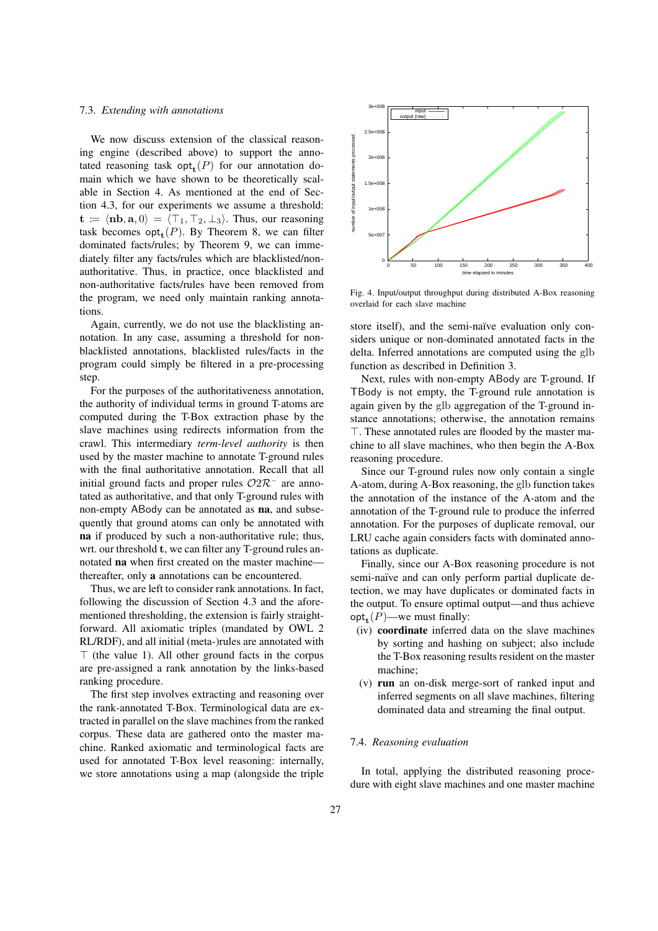#### 7.3. *Extending with annotations*

We now discuss extension of the classical reasoning engine (described above) to support the annotated reasoning task  $opt_{t}(P)$  for our annotation domain which we have shown to be theoretically scalable in Section 4. As mentioned at the end of Section 4.3, for our experiments we assume a threshold:  $\mathbf{t} := \langle \mathbf{nb}, \mathbf{a}, 0 \rangle = \langle \top_1, \top_2, \bot_3 \rangle$ . Thus, our reasoning task becomes  $opt_t(P)$ . By Theorem 8, we can filter dominated facts/rules; by Theorem 9, we can immediately filter any facts/rules which are blacklisted/nonauthoritative. Thus, in practice, once blacklisted and non-authoritative facts/rules have been removed from the program, we need only maintain ranking annotations.

Again, currently, we do not use the blacklisting annotation. In any case, assuming a threshold for nonblacklisted annotations, blacklisted rules/facts in the program could simply be filtered in a pre-processing step.

For the purposes of the authoritativeness annotation, the authority of individual terms in ground T-atoms are computed during the T-Box extraction phase by the slave machines using redirects information from the crawl. This intermediary *term-level authority* is then used by the master machine to annotate T-ground rules with the final authoritative annotation. Recall that all initial ground facts and proper rules  $O2R^-$  are annotated as authoritative, and that only T-ground rules with non-empty ABody can be annotated as na, and subsequently that ground atoms can only be annotated with na if produced by such a non-authoritative rule; thus, wrt. our threshold t, we can filter any T-ground rules annotated na when first created on the master machine thereafter, only a annotations can be encountered.

Thus, we are left to consider rank annotations. In fact, following the discussion of Section 4.3 and the aforementioned thresholding, the extension is fairly straightforward. All axiomatic triples (mandated by OWL 2 RL/RDF), and all initial (meta-)rules are annotated with  $\top$  (the value 1). All other ground facts in the corpus are pre-assigned a rank annotation by the links-based ranking procedure.

The first step involves extracting and reasoning over the rank-annotated T-Box. Terminological data are extracted in parallel on the slave machines from the ranked corpus. These data are gathered onto the master machine. Ranked axiomatic and terminological facts are used for annotated T-Box level reasoning: internally, we store annotations using a map (alongside the triple



Fig. 4. Input/output throughput during distributed A-Box reasoning overlaid for each slave machine

store itself), and the semi-naïve evaluation only considers unique or non-dominated annotated facts in the delta. Inferred annotations are computed using the glb function as described in Definition 3.

Next, rules with non-empty ABody are T-ground. If TBody is not empty, the T-ground rule annotation is again given by the glb aggregation of the T-ground instance annotations; otherwise, the annotation remains  $\top$ . These annotated rules are flooded by the master machine to all slave machines, who then begin the A-Box reasoning procedure.

Since our T-ground rules now only contain a single A-atom, during A-Box reasoning, the glb function takes the annotation of the instance of the A-atom and the annotation of the T-ground rule to produce the inferred annotation. For the purposes of duplicate removal, our LRU cache again considers facts with dominated annotations as duplicate.

Finally, since our A-Box reasoning procedure is not semi-naïve and can only perform partial duplicate detection, we may have duplicates or dominated facts in the output. To ensure optimal output—and thus achieve  $opt_{t}(P)$ —we must finally:

- (iv) coordinate inferred data on the slave machines by sorting and hashing on subject; also include the T-Box reasoning results resident on the master machine;
- (v) run an on-disk merge-sort of ranked input and inferred segments on all slave machines, filtering dominated data and streaming the final output.

## 7.4. *Reasoning evaluation*

In total, applying the distributed reasoning procedure with eight slave machines and one master machine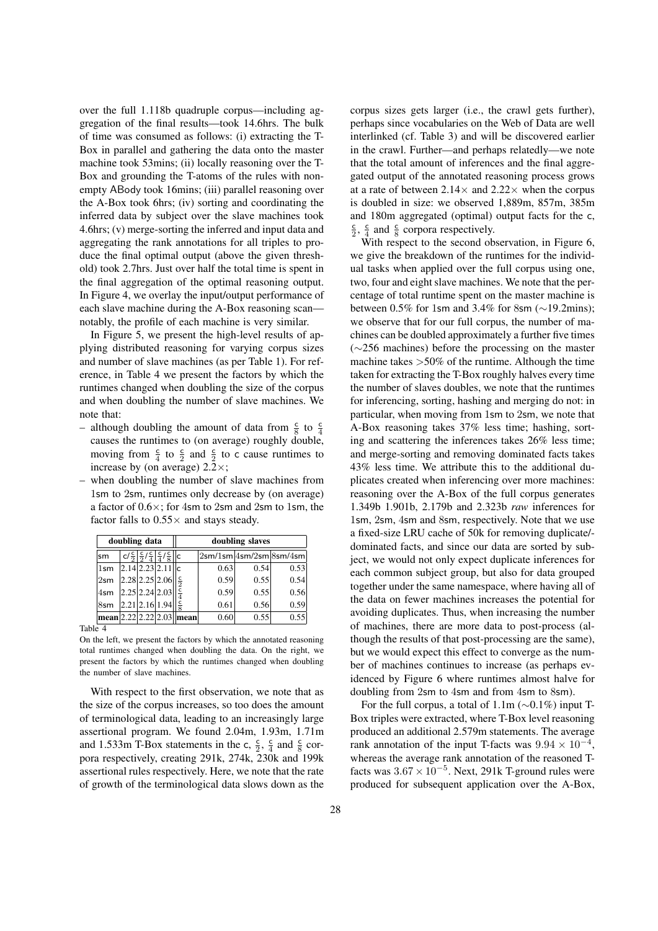over the full 1.118b quadruple corpus—including aggregation of the final results—took 14.6hrs. The bulk of time was consumed as follows: (i) extracting the T-Box in parallel and gathering the data onto the master machine took 53mins; (ii) locally reasoning over the T-Box and grounding the T-atoms of the rules with nonempty ABody took 16mins; (iii) parallel reasoning over the A-Box took 6hrs; (iv) sorting and coordinating the inferred data by subject over the slave machines took 4.6hrs; (v) merge-sorting the inferred and input data and aggregating the rank annotations for all triples to produce the final optimal output (above the given threshold) took 2.7hrs. Just over half the total time is spent in the final aggregation of the optimal reasoning output. In Figure 4, we overlay the input/output performance of each slave machine during the A-Box reasoning scan notably, the profile of each machine is very similar.

In Figure 5, we present the high-level results of applying distributed reasoning for varying corpus sizes and number of slave machines (as per Table 1). For reference, in Table 4 we present the factors by which the runtimes changed when doubling the size of the corpus and when doubling the number of slave machines. We note that:

- although doubling the amount of data from  $\frac{c}{8}$  to  $\frac{c}{4}$ causes the runtimes to (on average) roughly double, moving from  $\frac{c}{4}$  to  $\frac{c}{2}$  and  $\frac{c}{2}$  to c cause runtimes to increase by (on average) 2.2×;
- when doubling the number of slave machines from 1sm to 2sm, runtimes only decrease by (on average) a factor of  $0.6 \times$ ; for 4sm to 2sm and 2sm to 1sm, the factor falls to  $0.55\times$  and stays steady.

|        | doubling data |                                                                                                      | doubling slaves              |      |                                                                 |      |  |  |  |
|--------|---------------|------------------------------------------------------------------------------------------------------|------------------------------|------|-----------------------------------------------------------------|------|--|--|--|
| lsm    |               | $C\left  \frac{c}{2} \right  \frac{c}{2} / \frac{c}{4} \left  \frac{c}{4} / \frac{c}{8} \right   c $ |                              |      | $\left 2$ sm/ $1$ sm $\right 4$ sm/ $2$ sm $\left 8$ sm/ $4$ sm |      |  |  |  |
| 1sm    |               | $ 2.14 2.23 2.11 $ <sub>c</sub>                                                                      |                              | 0.63 | 0.54                                                            | 0.53 |  |  |  |
| $2$ sm |               | 2.28 2.25 2.06                                                                                       | $\frac{c}{2}$                | 0.59 | 0.55                                                            | 0.54 |  |  |  |
| 4sm    |               | 2.25 2.24 2.03                                                                                       | $rac{c}{4}$                  | 0.59 | 0.55                                                            | 0.56 |  |  |  |
| 8sm    |               | 2.21 2.16 1.94                                                                                       | $\frac{c}{8}$                | 0.61 | 0.56                                                            | 0.59 |  |  |  |
|        |               |                                                                                                      | $ mean 2.22 2.22 2.03 $ mean | 0.60 | 0.55                                                            | 0.55 |  |  |  |

Table 4

On the left, we present the factors by which the annotated reasoning total runtimes changed when doubling the data. On the right, we present the factors by which the runtimes changed when doubling the number of slave machines.

With respect to the first observation, we note that as the size of the corpus increases, so too does the amount of terminological data, leading to an increasingly large assertional program. We found 2.04m, 1.93m, 1.71m and 1.533m T-Box statements in the c,  $\frac{c}{2}$ ,  $\frac{c}{4}$  and  $\frac{c}{8}$  corpora respectively, creating 291k, 274k, 230k and 199k assertional rules respectively. Here, we note that the rate of growth of the terminological data slows down as the corpus sizes gets larger (i.e., the crawl gets further), perhaps since vocabularies on the Web of Data are well interlinked (cf. Table 3) and will be discovered earlier in the crawl. Further—and perhaps relatedly—we note that the total amount of inferences and the final aggregated output of the annotated reasoning process grows at a rate of between  $2.14\times$  and  $2.22\times$  when the corpus is doubled in size: we observed 1,889m, 857m, 385m and 180m aggregated (optimal) output facts for the c,  $\frac{c}{2}$ ,  $\frac{c}{4}$  and  $\frac{c}{8}$  corpora respectively.

With respect to the second observation, in Figure 6, we give the breakdown of the runtimes for the individual tasks when applied over the full corpus using one, two, four and eight slave machines. We note that the percentage of total runtime spent on the master machine is between 0.5% for 1sm and 3.4% for 8sm (∼19.2mins); we observe that for our full corpus, the number of machines can be doubled approximately a further five times (∼256 machines) before the processing on the master machine takes  $>50\%$  of the runtime. Although the time taken for extracting the T-Box roughly halves every time the number of slaves doubles, we note that the runtimes for inferencing, sorting, hashing and merging do not: in particular, when moving from 1sm to 2sm, we note that A-Box reasoning takes 37% less time; hashing, sorting and scattering the inferences takes 26% less time; and merge-sorting and removing dominated facts takes 43% less time. We attribute this to the additional duplicates created when inferencing over more machines: reasoning over the A-Box of the full corpus generates 1.349b 1.901b, 2.179b and 2.323b *raw* inferences for 1sm, 2sm, 4sm and 8sm, respectively. Note that we use a fixed-size LRU cache of 50k for removing duplicate/ dominated facts, and since our data are sorted by subject, we would not only expect duplicate inferences for each common subject group, but also for data grouped together under the same namespace, where having all of the data on fewer machines increases the potential for avoiding duplicates. Thus, when increasing the number of machines, there are more data to post-process (although the results of that post-processing are the same), but we would expect this effect to converge as the number of machines continues to increase (as perhaps evidenced by Figure 6 where runtimes almost halve for doubling from 2sm to 4sm and from 4sm to 8sm).

For the full corpus, a total of 1.1m (∼0.1%) input T-Box triples were extracted, where T-Box level reasoning produced an additional 2.579m statements. The average rank annotation of the input T-facts was  $9.94 \times 10^{-4}$ , whereas the average rank annotation of the reasoned Tfacts was  $3.67 \times 10^{-5}$ . Next, 291k T-ground rules were produced for subsequent application over the A-Box,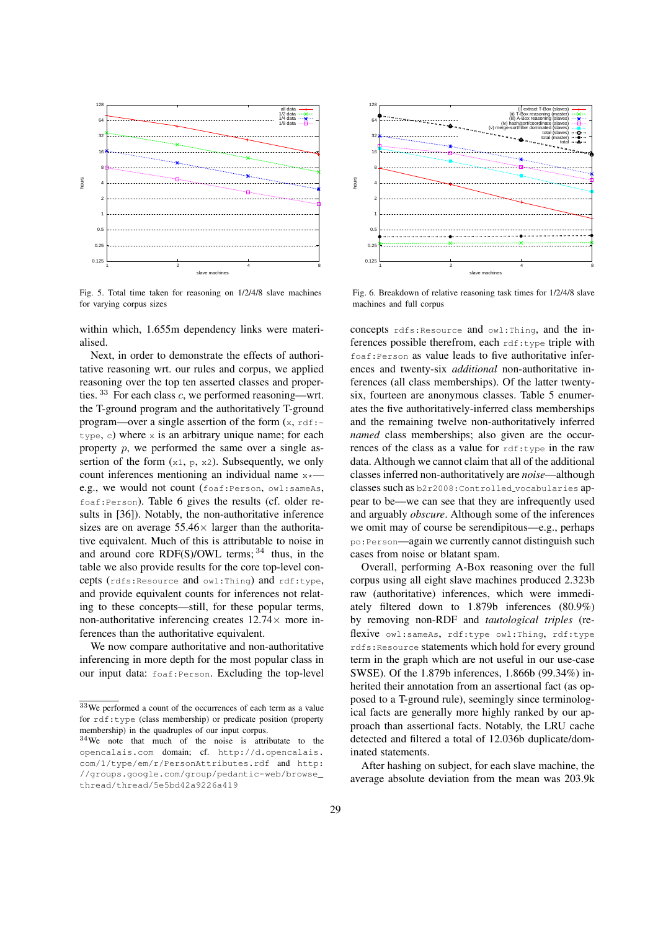

Fig. 5. Total time taken for reasoning on 1/2/4/8 slave machines for varying corpus sizes

within which, 1.655m dependency links were materialised.

Next, in order to demonstrate the effects of authoritative reasoning wrt. our rules and corpus, we applied reasoning over the top ten asserted classes and properties.  $33$  For each class c, we performed reasoning—wrt. the T-ground program and the authoritatively T-ground program—over a single assertion of the form  $(x, rdf)$ : type, c) where  $x$  is an arbitrary unique name; for each property p, we performed the same over a single assertion of the form  $(x_1, p, x_2)$ . Subsequently, we only count inferences mentioning an individual name  $x \rightarrow$ e.g., we would not count (foaf:Person, owl:sameAs, foaf:Person). Table 6 gives the results (cf. older results in [36]). Notably, the non-authoritative inference sizes are on average  $55.46\times$  larger than the authoritative equivalent. Much of this is attributable to noise in and around core RDF(S)/OWL terms;  $34$  thus, in the table we also provide results for the core top-level concepts (rdfs:Resource and owl:Thing) and rdf:type, and provide equivalent counts for inferences not relating to these concepts—still, for these popular terms, non-authoritative inferencing creates  $12.74\times$  more inferences than the authoritative equivalent.

We now compare authoritative and non-authoritative inferencing in more depth for the most popular class in our input data: foaf:Person. Excluding the top-level



Fig. 6. Breakdown of relative reasoning task times for 1/2/4/8 slave machines and full corpus

concepts rdfs:Resource and owl:Thing, and the inferences possible therefrom, each  $\text{rdf:type}$  triple with foaf:Person as value leads to five authoritative inferences and twenty-six *additional* non-authoritative inferences (all class memberships). Of the latter twentysix, fourteen are anonymous classes. Table 5 enumerates the five authoritatively-inferred class memberships and the remaining twelve non-authoritatively inferred *named* class memberships; also given are the occurrences of the class as a value for  $rdf:type$  in the raw data. Although we cannot claim that all of the additional classes inferred non-authoritatively are *noise*—although classes such as b2r2008:Controlled vocabularies appear to be—we can see that they are infrequently used and arguably *obscure*. Although some of the inferences we omit may of course be serendipitous—e.g., perhaps po:Person—again we currently cannot distinguish such cases from noise or blatant spam.

Overall, performing A-Box reasoning over the full corpus using all eight slave machines produced 2.323b raw (authoritative) inferences, which were immediately filtered down to 1.879b inferences (80.9%) by removing non-RDF and *tautological triples* (reflexive owl: sameAs, rdf:type owl: Thing, rdf:type rdfs:Resource statements which hold for every ground term in the graph which are not useful in our use-case SWSE). Of the 1.879b inferences, 1.866b (99.34%) inherited their annotation from an assertional fact (as opposed to a T-ground rule), seemingly since terminological facts are generally more highly ranked by our approach than assertional facts. Notably, the LRU cache detected and filtered a total of 12.036b duplicate/dominated statements.

After hashing on subject, for each slave machine, the average absolute deviation from the mean was 203.9k

<sup>33</sup>We performed a count of the occurrences of each term as a value for rdf:type (class membership) or predicate position (property membership) in the quadruples of our input corpus.

<sup>34</sup>We note that much of the noise is attributate to the opencalais.com domain; cf. http://d.opencalais. com/1/type/em/r/PersonAttributes.rdf and http: //groups.google.com/group/pedantic-web/browse\_ thread/thread/5e5bd42a9226a419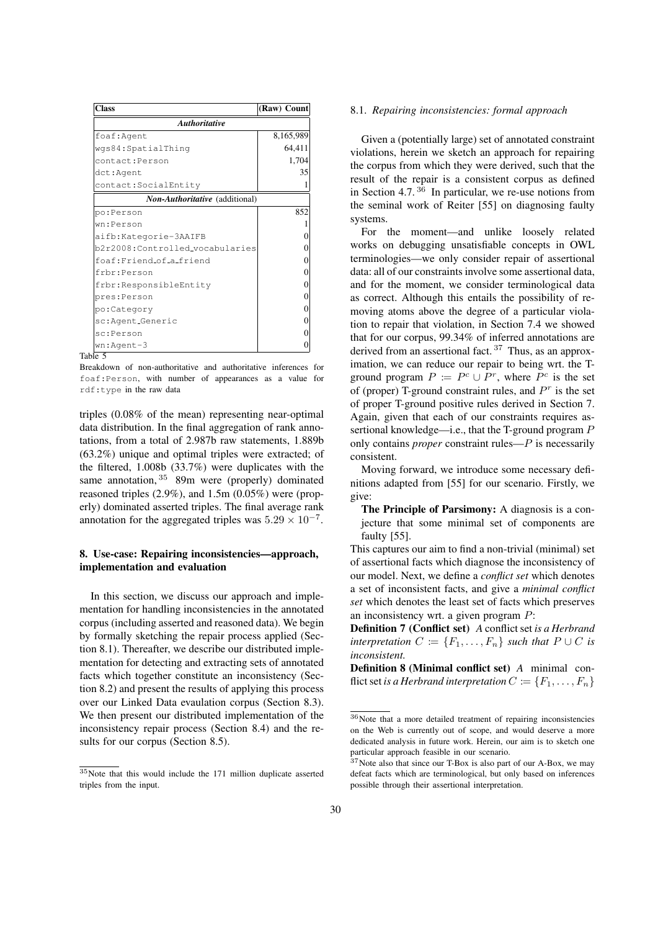| <b>Class</b>                          | (Raw) Count |
|---------------------------------------|-------------|
| <b>Authoritative</b>                  |             |
| foaf:Agent                            | 8,165,989   |
| wqs84:SpatialThinq                    | 64,411      |
| contact:Person                        | 1,704       |
| dct:Aqent                             | 35          |
| contact:SocialEntity                  |             |
| <b>Non-Authoritative</b> (additional) |             |
| po:Person                             | 852         |
| wn:Person                             |             |
| aifb:Kateqorie-3AAIFB                 | 0           |
| b2r2008:Controlled_vocabularies       |             |
| foaf:Friend of a friend               |             |
| frbr:Person                           | 0           |
| frbr:ResponsibleEntity                | O           |
| pres:Person                           | 0           |
| po:Category                           | 0           |
| sc:Aqent_Generic                      |             |
| sc:Person                             | 0           |
| wn:Agent-3                            |             |

Table 5

Breakdown of non-authoritative and authoritative inferences for foaf:Person, with number of appearances as a value for rdf:type in the raw data

triples (0.08% of the mean) representing near-optimal data distribution. In the final aggregation of rank annotations, from a total of 2.987b raw statements, 1.889b (63.2%) unique and optimal triples were extracted; of the filtered, 1.008b (33.7%) were duplicates with the same annotation, <sup>35</sup> 89m were (properly) dominated reasoned triples (2.9%), and 1.5m (0.05%) were (properly) dominated asserted triples. The final average rank annotation for the aggregated triples was  $5.29 \times 10^{-7}$ .

## 8. Use-case: Repairing inconsistencies—approach, implementation and evaluation

In this section, we discuss our approach and implementation for handling inconsistencies in the annotated corpus (including asserted and reasoned data). We begin by formally sketching the repair process applied (Section 8.1). Thereafter, we describe our distributed implementation for detecting and extracting sets of annotated facts which together constitute an inconsistency (Section 8.2) and present the results of applying this process over our Linked Data evaulation corpus (Section 8.3). We then present our distributed implementation of the inconsistency repair process (Section 8.4) and the results for our corpus (Section 8.5).

#### 8.1. *Repairing inconsistencies: formal approach*

Given a (potentially large) set of annotated constraint violations, herein we sketch an approach for repairing the corpus from which they were derived, such that the result of the repair is a consistent corpus as defined in Section 4.7. $36$  In particular, we re-use notions from the seminal work of Reiter [55] on diagnosing faulty systems.

For the moment—and unlike loosely related works on debugging unsatisfiable concepts in OWL terminologies—we only consider repair of assertional data: all of our constraints involve some assertional data, and for the moment, we consider terminological data as correct. Although this entails the possibility of removing atoms above the degree of a particular violation to repair that violation, in Section 7.4 we showed that for our corpus, 99.34% of inferred annotations are derived from an assertional fact.  $37$  Thus, as an approximation, we can reduce our repair to being wrt. the Tground program  $P := P^c \cup P^r$ , where  $P^c$  is the set of (proper) T-ground constraint rules, and  $P^r$  is the set of proper T-ground positive rules derived in Section 7. Again, given that each of our constraints requires assertional knowledge—i.e., that the T-ground program P only contains *proper* constraint rules—P is necessarily consistent.

Moving forward, we introduce some necessary definitions adapted from [55] for our scenario. Firstly, we give:

The Principle of Parsimony: A diagnosis is a conjecture that some minimal set of components are faulty [55].

This captures our aim to find a non-trivial (minimal) set of assertional facts which diagnose the inconsistency of our model. Next, we define a *conflict set* which denotes a set of inconsistent facts, and give a *minimal conflict set* which denotes the least set of facts which preserves an inconsistency wrt. a given program P:

Definition 7 (Conflict set) *A* conflict set *is a Herbrand interpretation*  $C := \{F_1, \ldots, F_n\}$  *such that*  $P \cup C$  *is inconsistent.*

Definition 8 (Minimal conflict set) *A* minimal conflict set *is a Herbrand interpretation*  $C := \{F_1, \ldots, F_n\}$ 

 $35$ Note that this would include the 171 million duplicate asserted triples from the input.

 $36$ Note that a more detailed treatment of repairing inconsistencies on the Web is currently out of scope, and would deserve a more dedicated analysis in future work. Herein, our aim is to sketch one particular approach feasible in our scenario.

<sup>&</sup>lt;sup>37</sup>Note also that since our T-Box is also part of our A-Box, we may defeat facts which are terminological, but only based on inferences possible through their assertional interpretation.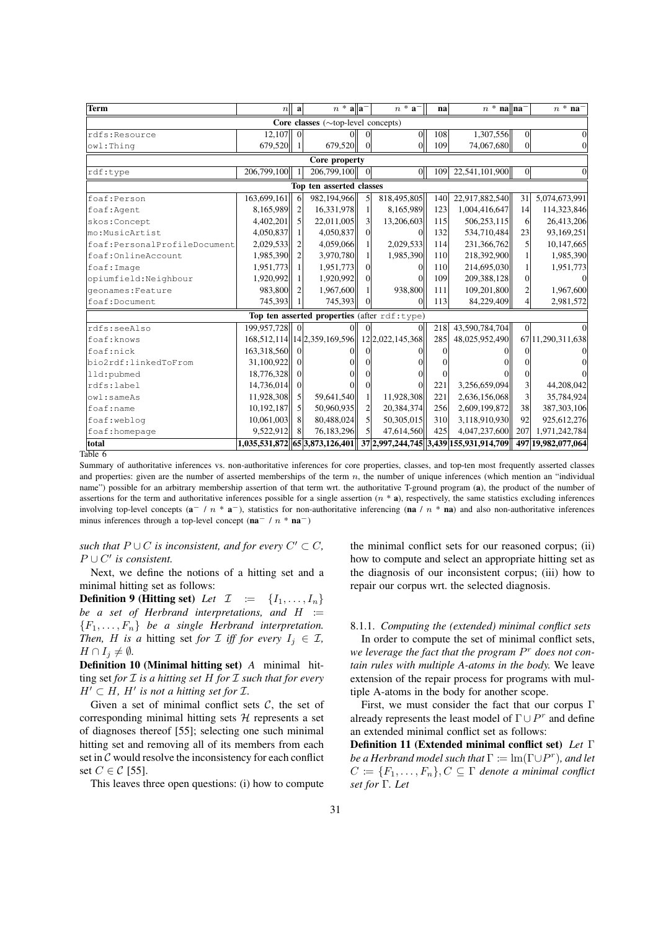| Term                         | n           | a              | $\overline{n}$ * a  a <sup>-</sup>        |                | $n * a^-$                                    | na  | $n *$ na  na <sup>-1</sup>                                                |                | $n * na^-$           |
|------------------------------|-------------|----------------|-------------------------------------------|----------------|----------------------------------------------|-----|---------------------------------------------------------------------------|----------------|----------------------|
|                              |             |                | Core classes ( $\sim$ top-level concepts) |                |                                              |     |                                                                           |                |                      |
| rdfs:Resource                | 12,107      | $\Omega$       |                                           |                | $\Omega$                                     | 108 | 1,307,556                                                                 | $\overline{0}$ | $\Omega$             |
| owl:Thing                    | 679,520     |                | 679,520                                   | $\Omega$       | $\overline{0}$                               | 109 | 74,067,680                                                                | $\Omega$       | $\overline{0}$       |
|                              |             |                | Core property                             |                |                                              |     |                                                                           |                |                      |
| rdf:type                     | 206,799,100 |                | 206,799,100                               | $\Omega$       | 0                                            | 109 | 22,541,101,900                                                            | 0              | $\overline{0}$       |
|                              |             |                | Top ten asserted classes                  |                |                                              |     |                                                                           |                |                      |
| foaf:Person                  | 163,699,161 | $\epsilon$     | 982,194,966                               | $\mathbf{5}$   | 818,495,805                                  | 140 | 22,917,882,540                                                            | 31             | 5,074,673,991        |
| foaf:Agent                   | 8,165,989   | $\overline{2}$ | 16,331,978                                | $\mathbf{1}$   | 8,165,989                                    | 123 | 1,004,416,647                                                             | 14             | 114,323,846          |
| skos: Concept                | 4,402,201   | $\mathfrak{S}$ | 22,011,005                                | $\overline{3}$ | 13,206,603                                   | 115 | 506,253,115                                                               | 6              | 26,413,206           |
| lmo:MusicArtist              | 4,050,837   |                | 4,050,837                                 | $\Omega$       |                                              | 132 | 534,710,484                                                               | 23             | 93,169,251           |
| foaf:PersonalProfileDocument | 2,029,533   | 2              | 4,059,066                                 | $\mathbf{1}$   | 2,029,533                                    | 114 | 231,366,762                                                               | 5              | 10,147,665           |
| foaf:OnlineAccount           | 1,985,390   | 2              | 3,970,780                                 | 1              | 1,985,390                                    | 110 | 218,392,900                                                               |                | 1,985,390            |
| foaf:Image                   | 1,951,773   |                | 1,951,773                                 | $\Omega$       |                                              | 110 | 214,695,030                                                               |                | 1,951,773            |
| opiumfield: Neighbour        | 1,920,992   |                | 1,920,992                                 | $\Omega$       |                                              | 109 | 209,388,128                                                               | $\Omega$       | $\Omega$             |
| deonames:Feature             | 983,800     | $\overline{2}$ | 1,967,600                                 | 1              | 938,800                                      | 111 | 109,201,800                                                               | $\overline{2}$ | 1,967,600            |
| foaf:Document                | 745,393     |                | 745,393                                   | $\Omega$       |                                              | 113 | 84,229,409                                                                |                | 2,981,572            |
|                              |             |                |                                           |                | Top ten asserted properties (after rdf:type) |     |                                                                           |                |                      |
| rdfs:seeAlso                 | 199,957,728 | $\Omega$       | $\Omega$                                  | $\Omega$       |                                              | 218 | 43,590,784,704                                                            | $\Omega$       |                      |
| foaf:knows                   |             |                | 168,512,114  14 2,359,169,596             |                | 12 2,022,145,368                             | 285 | 48,025,952,490                                                            |                | 67 11, 290, 311, 638 |
| foaf:nick                    | 163,318,560 |                |                                           |                |                                              |     |                                                                           |                | $\Omega$             |
| bio2rdf:linkedToFrom         | 31,100,922  |                | $\Omega$                                  |                |                                              |     |                                                                           |                | $\vert$ 0            |
| lld:pubmed                   | 18,776,328  |                |                                           |                |                                              |     |                                                                           | 0              |                      |
| rdfs:label                   | 14,736,014  | $\Omega$       | 0                                         | $\Omega$       |                                              | 221 | 3,256,659,094                                                             | 3              | 44,208,042           |
| owl:sameAs                   | 11,928,308  | $\mathfrak{S}$ | 59,641,540                                | $\mathbf{1}$   | 11,928,308                                   | 221 | 2,636,156,068                                                             | 3              | 35,784,924           |
| foaf:name                    | 10,192,187  | $\mathcal{S}$  | 50,960,935                                | $\frac{2}{5}$  | 20,384,374                                   | 256 | 2,609,199,872                                                             | 38             | 387, 303, 106        |
| foaf:weblog                  | 10,061,003  | 8              | 80,488,024                                |                | 50,305,015                                   | 310 | 3,118,910,930                                                             | 92             | 925,612,276          |
| foaf:homepage                | 9,522,912   | 8              | 76,183,296                                | $\mathfrak{S}$ | 47,614,560                                   | 425 | 4,047,237,600                                                             | 207            | 1,971,242,784        |
| total                        |             |                |                                           |                |                                              |     | 1,035,531,872  65 3,873,126,401   37 2,997,244,745  3,439 155,931,914,709 |                | 497 19,982,077,064   |

Table 6

Summary of authoritative inferences vs. non-authoritative inferences for core properties, classes, and top-ten most frequently asserted classes and properties: given are the number of asserted memberships of the term  $n$ , the number of unique inferences (which mention an "individual name") possible for an arbitrary membership assertion of that term wrt. the authoritative T-ground program (a), the product of the number of assertions for the term and authoritative inferences possible for a single assertion  $(n * a)$ , respectively, the same statistics excluding inferences involving top-level concepts  $(a - / n * a^-)$ , statistics for non-authoritative inferencing  $(na / n * na)$  and also non-authoritative inferences minus inferences through a top-level concept ( $na^- / n * na^-$ )

*such that*  $P \cup C$  *is inconsistent, and for every*  $C' \subset C$ *,*  $P \cup C'$  is consistent.

Next, we define the notions of a hitting set and a minimal hitting set as follows:

**Definition 9 (Hitting set)** Let  $\mathcal{I} := \{I_1, \ldots, I_n\}$ *be a set of Herbrand interpretations, and* H :=  ${F_1, \ldots, F_n}$  *be a single Herbrand interpretation. Then, H is a* hitting set *for*  $\mathcal{I}$  *iff for every*  $I_j \in \mathcal{I}$ *,*  $H \cap I_j \neq \emptyset$ .

Definition 10 (Minimal hitting set) *A* minimal hitting set *for* I *is a hitting set* H *for* I *such that for every*  $H' \subset H$ ,  $H'$  is not a hitting set for  $I$ .

Given a set of minimal conflict sets  $C$ , the set of corresponding minimal hitting sets  $H$  represents a set of diagnoses thereof [55]; selecting one such minimal hitting set and removing all of its members from each set in C would resolve the inconsistency for each conflict set  $C \in \mathcal{C}$  [55].

This leaves three open questions: (i) how to compute

the minimal conflict sets for our reasoned corpus; (ii) how to compute and select an appropriate hitting set as the diagnosis of our inconsistent corpus; (iii) how to repair our corpus wrt. the selected diagnosis.

#### 8.1.1. *Computing the (extended) minimal conflict sets*

In order to compute the set of minimal conflict sets, we leverage the fact that the program P<sup>r</sup> does not con*tain rules with multiple A-atoms in the body.* We leave extension of the repair process for programs with multiple A-atoms in the body for another scope.

First, we must consider the fact that our corpus Γ already represents the least model of  $\Gamma \cup P^r$  and define an extended minimal conflict set as follows:

Definition 11 (Extended minimal conflict set) *Let* Γ *be a Herbrand model such that*  $\Gamma := \text{Im}(\Gamma \cup P^r)$ *, and let*  $C := \{F_1, \ldots, F_n\}, C \subseteq \Gamma$  denote a minimal conflict *set for* Γ*. Let*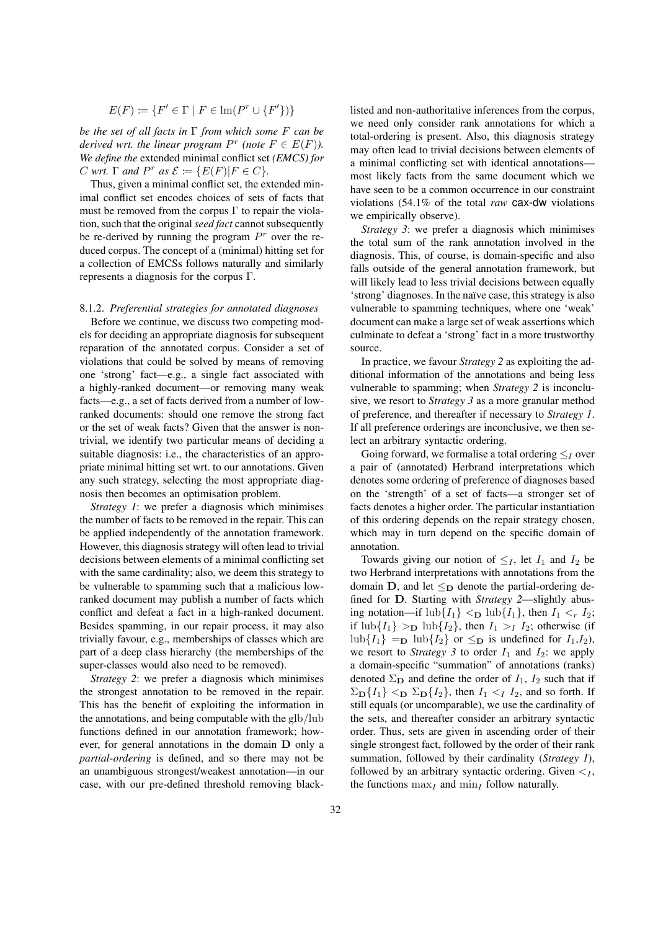$$
E(F) := \{ F' \in \Gamma \mid F \in \text{lm}(P^r \cup \{F'\}) \}
$$

*be the set of all facts in* Γ *from which some* F *can be derived wrt. the linear program*  $P^r$  (note  $F \in E(F)$ ). *We define the* extended minimal conflict set *(EMCS) for* C wrt.  $\Gamma$  and  $P^r$  as  $\mathcal{E} := \{E(F)|F \in C\}.$ 

Thus, given a minimal conflict set, the extended minimal conflict set encodes choices of sets of facts that must be removed from the corpus  $\Gamma$  to repair the violation, such that the original*seed fact* cannot subsequently be re-derived by running the program  $P<sup>r</sup>$  over the reduced corpus. The concept of a (minimal) hitting set for a collection of EMCSs follows naturally and similarly represents a diagnosis for the corpus Γ.

#### 8.1.2. *Preferential strategies for annotated diagnoses*

Before we continue, we discuss two competing models for deciding an appropriate diagnosis for subsequent reparation of the annotated corpus. Consider a set of violations that could be solved by means of removing one 'strong' fact—e.g., a single fact associated with a highly-ranked document—or removing many weak facts—e.g., a set of facts derived from a number of lowranked documents: should one remove the strong fact or the set of weak facts? Given that the answer is nontrivial, we identify two particular means of deciding a suitable diagnosis: i.e., the characteristics of an appropriate minimal hitting set wrt. to our annotations. Given any such strategy, selecting the most appropriate diagnosis then becomes an optimisation problem.

*Strategy 1*: we prefer a diagnosis which minimises the number of facts to be removed in the repair. This can be applied independently of the annotation framework. However, this diagnosis strategy will often lead to trivial decisions between elements of a minimal conflicting set with the same cardinality; also, we deem this strategy to be vulnerable to spamming such that a malicious lowranked document may publish a number of facts which conflict and defeat a fact in a high-ranked document. Besides spamming, in our repair process, it may also trivially favour, e.g., memberships of classes which are part of a deep class hierarchy (the memberships of the super-classes would also need to be removed).

*Strategy 2*: we prefer a diagnosis which minimises the strongest annotation to be removed in the repair. This has the benefit of exploiting the information in the annotations, and being computable with the glb/lub functions defined in our annotation framework; however, for general annotations in the domain D only a *partial-ordering* is defined, and so there may not be an unambiguous strongest/weakest annotation—in our case, with our pre-defined threshold removing black-

listed and non-authoritative inferences from the corpus, we need only consider rank annotations for which a total-ordering is present. Also, this diagnosis strategy may often lead to trivial decisions between elements of a minimal conflicting set with identical annotations most likely facts from the same document which we have seen to be a common occurrence in our constraint violations (54.1% of the total *raw* cax-dw violations we empirically observe).

*Strategy 3*: we prefer a diagnosis which minimises the total sum of the rank annotation involved in the diagnosis. This, of course, is domain-specific and also falls outside of the general annotation framework, but will likely lead to less trivial decisions between equally 'strong' diagnoses. In the naïve case, this strategy is also vulnerable to spamming techniques, where one 'weak' document can make a large set of weak assertions which culminate to defeat a 'strong' fact in a more trustworthy source.

In practice, we favour *Strategy 2* as exploiting the additional information of the annotations and being less vulnerable to spamming; when *Strategy 2* is inconclusive, we resort to *Strategy 3* as a more granular method of preference, and thereafter if necessary to *Strategy 1*. If all preference orderings are inconclusive, we then select an arbitrary syntactic ordering.

Going forward, we formalise a total ordering  $\leq_I$  over a pair of (annotated) Herbrand interpretations which denotes some ordering of preference of diagnoses based on the 'strength' of a set of facts—a stronger set of facts denotes a higher order. The particular instantiation of this ordering depends on the repair strategy chosen, which may in turn depend on the specific domain of annotation.

Towards giving our notion of  $\leq_I$ , let  $I_1$  and  $I_2$  be two Herbrand interpretations with annotations from the domain D, and let  $\leq_D$  denote the partial-ordering defined for D. Starting with *Strategy 2*—slightly abusing notation—if  $\text{lub}\{I_1\} <_{\mathbf{D}} \text{lub}\{I_1\}$ , then  $I_1 <_{r} I_2$ ; if  $\text{lub}\{I_1\} >_{\mathbf{D}} \text{lub}\{I_2\}$ , then  $I_1 >_{I} I_2$ ; otherwise (if  $\text{lub}\{I_1\} =_{\mathbf{D}} \text{lub}\{I_2\}$  or  $\leq_{\mathbf{D}}$  is undefined for  $I_1,I_2$ ), we resort to *Strategy 3* to order  $I_1$  and  $I_2$ : we apply a domain-specific "summation" of annotations (ranks) denoted  $\Sigma_{\mathbf{D}}$  and define the order of  $I_1$ ,  $I_2$  such that if  $\Sigma_{\mathbf{D}}\{I_1\} <_{\mathbf{D}} \Sigma_{\mathbf{D}}\{I_2\}$ , then  $I_1 < I_2$ , and so forth. If still equals (or uncomparable), we use the cardinality of the sets, and thereafter consider an arbitrary syntactic order. Thus, sets are given in ascending order of their single strongest fact, followed by the order of their rank summation, followed by their cardinality (*Strategy 1*), followed by an arbitrary syntactic ordering. Given  $\lt_I$ , the functions  $\max_I$  and  $\min_I$  follow naturally.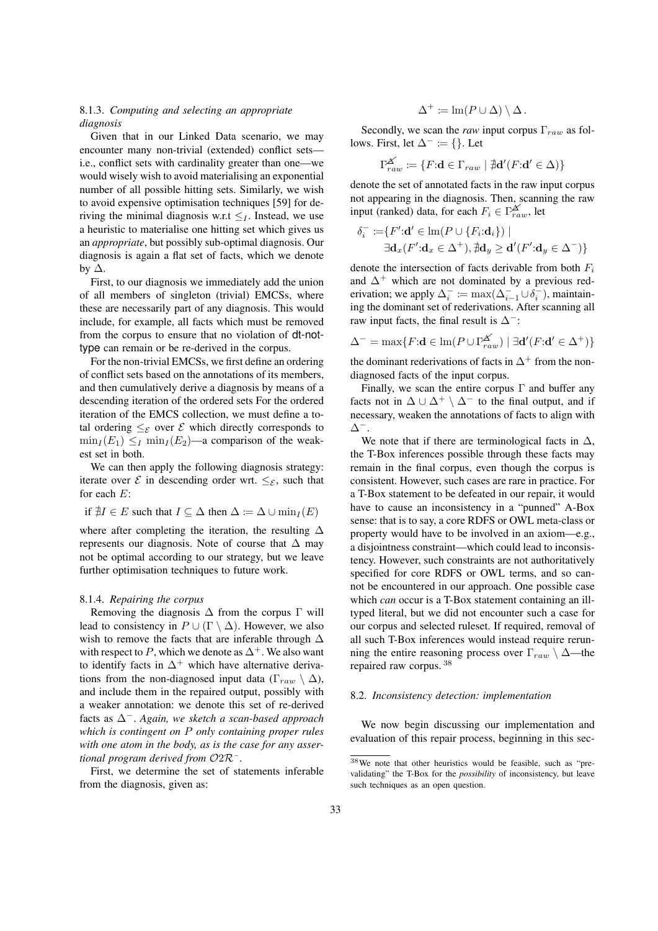## 8.1.3. *Computing and selecting an appropriate diagnosis*

Given that in our Linked Data scenario, we may encounter many non-trivial (extended) conflict sets i.e., conflict sets with cardinality greater than one—we would wisely wish to avoid materialising an exponential number of all possible hitting sets. Similarly, we wish to avoid expensive optimisation techniques [59] for deriving the minimal diagnosis w.r.t  $\leq_I$ . Instead, we use a heuristic to materialise one hitting set which gives us an *appropriate*, but possibly sub-optimal diagnosis. Our diagnosis is again a flat set of facts, which we denote by  $\Delta$ .

First, to our diagnosis we immediately add the union of all members of singleton (trivial) EMCSs, where these are necessarily part of any diagnosis. This would include, for example, all facts which must be removed from the corpus to ensure that no violation of dt-nottype can remain or be re-derived in the corpus.

For the non-trivial EMCSs, we first define an ordering of conflict sets based on the annotations of its members, and then cumulatively derive a diagnosis by means of a descending iteration of the ordered sets For the ordered iteration of the EMCS collection, we must define a total ordering  $\leq_{\mathcal{E}}$  over  $\mathcal E$  which directly corresponds to  $\min_I (E_1) \leq_I \min_I (E_2)$ —a comparison of the weakest set in both.

We can then apply the following diagnosis strategy: iterate over  $\mathcal E$  in descending order wrt.  $\leq_{\mathcal E}$ , such that for each E:

if 
$$
\nexists I \in E
$$
 such that  $I \subseteq \Delta$  then  $\Delta := \Delta \cup \min_I(E)$ 

where after completing the iteration, the resulting  $\Delta$ represents our diagnosis. Note of course that  $\Delta$  may not be optimal according to our strategy, but we leave further optimisation techniques to future work.

#### 8.1.4. *Repairing the corpus*

Removing the diagnosis  $\Delta$  from the corpus Γ will lead to consistency in  $P \cup (\Gamma \setminus \Delta)$ . However, we also wish to remove the facts that are inferable through  $\Delta$ with respect to P, which we denote as  $\Delta^+$ . We also want to identify facts in  $\Delta^+$  which have alternative derivations from the non-diagnosed input data (Γ<sub>raw</sub> \  $\Delta$ ), and include them in the repaired output, possibly with a weaker annotation: we denote this set of re-derived facts as ∆<sup>−</sup>. *Again, we sketch a scan-based approach which is contingent on* P *only containing proper rules with one atom in the body, as is the case for any assertional program derived from* O2R−*.*

First, we determine the set of statements inferable from the diagnosis, given as:

 $\Delta^+ := \text{Im}(P \cup \Delta) \setminus \Delta$ .

Secondly, we scan the *raw* input corpus  $\Gamma_{raw}$  as follows. First, let  $\Delta^- := \{\}$ . Let

$$
\Gamma_{raw}^{\cancel{\alpha}}:=\{F\mathord{:}\mathbf{d}\in\Gamma_{raw}\mid \not\exists \mathbf{d}'(F\mathord{:}\mathbf{d}'\in\Delta)\}
$$

denote the set of annotated facts in the raw input corpus not appearing in the diagnosis. Then, scanning the raw input (ranked) data, for each  $F_i \in \Gamma_{raw}^{\cancel{K}}$ , let

$$
\begin{aligned} \delta_i^- := & \{ F' {:} \mathbf{d}' \in \operatorname{Im} (P \cup \{ F_i{:} \mathbf{d}_i \}) \mid \\ \exists \mathbf{d}_x (F' {:} \mathbf{d}_x \in \Delta^+), & \nexists \mathbf{d}_y \geq \mathbf{d}' (F' {:} \mathbf{d}_y \in \Delta^-) \} \end{aligned}
$$

denote the intersection of facts derivable from both  $F_i$ and  $\Delta^+$  which are not dominated by a previous rederivation; we apply  $\Delta_i^- := \max(\Delta_{i-1}^- \cup \delta_i^-)$ , maintaining the dominant set of rederivations. After scanning all raw input facts, the final result is  $\Delta^-$ :

$$
\Delta^{-} = \max\{F: \mathbf{d} \in \text{Im}(P \cup \Gamma_{raw}^{\cancel{\Delta}}) \mid \exists \mathbf{d}'(F: \mathbf{d}' \in \Delta^{+})\}
$$

the dominant rederivations of facts in  $\Delta^+$  from the nondiagnosed facts of the input corpus.

Finally, we scan the entire corpus  $\Gamma$  and buffer any facts not in  $\Delta \cup \Delta^+ \setminus \Delta^-$  to the final output, and if necessary, weaken the annotations of facts to align with ∆<sup>−</sup>.

We note that if there are terminological facts in  $\Delta$ , the T-Box inferences possible through these facts may remain in the final corpus, even though the corpus is consistent. However, such cases are rare in practice. For a T-Box statement to be defeated in our repair, it would have to cause an inconsistency in a "punned" A-Box sense: that is to say, a core RDFS or OWL meta-class or property would have to be involved in an axiom—e.g., a disjointness constraint—which could lead to inconsistency. However, such constraints are not authoritatively specified for core RDFS or OWL terms, and so cannot be encountered in our approach. One possible case which *can* occur is a T-Box statement containing an illtyped literal, but we did not encounter such a case for our corpus and selected ruleset. If required, removal of all such T-Box inferences would instead require rerunning the entire reasoning process over  $\Gamma_{raw} \setminus \Delta$ —the repaired raw corpus. <sup>38</sup>

#### 8.2. *Inconsistency detection: implementation*

We now begin discussing our implementation and evaluation of this repair process, beginning in this sec-

<sup>38</sup>We note that other heuristics would be feasible, such as "prevalidating" the T-Box for the *possibility* of inconsistency, but leave such techniques as an open question.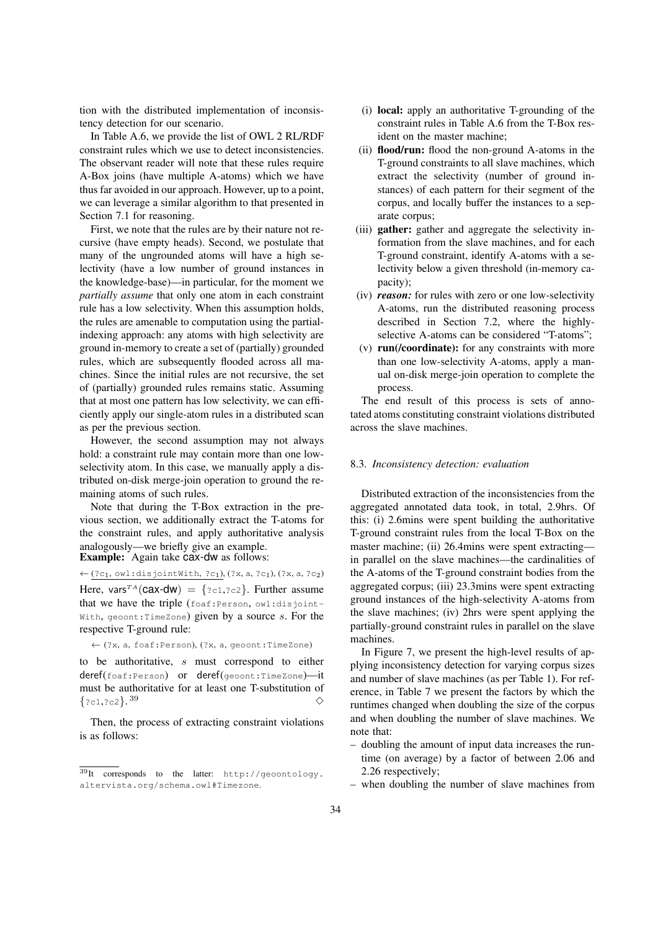tion with the distributed implementation of inconsistency detection for our scenario.

In Table A.6, we provide the list of OWL 2 RL/RDF constraint rules which we use to detect inconsistencies. The observant reader will note that these rules require A-Box joins (have multiple A-atoms) which we have thus far avoided in our approach. However, up to a point, we can leverage a similar algorithm to that presented in Section 7.1 for reasoning.

First, we note that the rules are by their nature not recursive (have empty heads). Second, we postulate that many of the ungrounded atoms will have a high selectivity (have a low number of ground instances in the knowledge-base)—in particular, for the moment we *partially assume* that only one atom in each constraint rule has a low selectivity. When this assumption holds, the rules are amenable to computation using the partialindexing approach: any atoms with high selectivity are ground in-memory to create a set of (partially) grounded rules, which are subsequently flooded across all machines. Since the initial rules are not recursive, the set of (partially) grounded rules remains static. Assuming that at most one pattern has low selectivity, we can efficiently apply our single-atom rules in a distributed scan as per the previous section.

However, the second assumption may not always hold: a constraint rule may contain more than one lowselectivity atom. In this case, we manually apply a distributed on-disk merge-join operation to ground the remaining atoms of such rules.

Note that during the T-Box extraction in the previous section, we additionally extract the T-atoms for the constraint rules, and apply authoritative analysis analogously—we briefly give an example. Example: Again take cax-dw as follows:

← (?c<sub>1</sub>, owl:disjointWith, ?c<sub>1</sub>), (?x, a, ?c<sub>1</sub>), (?x, a, ?c<sub>2</sub>) Here, vars<sup>TA</sup>(cax-dw) = { $?c1, ?c2$ }. Further assume that we have the triple (foaf:Person, owl:disjoint-With, geoont: TimeZone) given by a source  $s$ . For the respective T-ground rule:

← (?x, a, foaf:Person), (?x, a, geoont:TimeZone)

to be authoritative, s must correspond to either deref(foaf:Person) or deref(geoont:TimeZone)—it must be authoritative for at least one T-substitution of  $\{?c1,?c2\}$ . 39  $39$   $\diamond$ 

Then, the process of extracting constraint violations is as follows:

- (i) local: apply an authoritative T-grounding of the constraint rules in Table A.6 from the T-Box resident on the master machine;
- (ii) flood/run: flood the non-ground A-atoms in the T-ground constraints to all slave machines, which extract the selectivity (number of ground instances) of each pattern for their segment of the corpus, and locally buffer the instances to a separate corpus;
- (iii) gather: gather and aggregate the selectivity information from the slave machines, and for each T-ground constraint, identify A-atoms with a selectivity below a given threshold (in-memory capacity);
- (iv) *reason:* for rules with zero or one low-selectivity A-atoms, run the distributed reasoning process described in Section 7.2, where the highlyselective A-atoms can be considered "T-atoms";
- (v) run(/coordinate): for any constraints with more than one low-selectivity A-atoms, apply a manual on-disk merge-join operation to complete the process.

The end result of this process is sets of annotated atoms constituting constraint violations distributed across the slave machines.

#### 8.3. *Inconsistency detection: evaluation*

Distributed extraction of the inconsistencies from the aggregated annotated data took, in total, 2.9hrs. Of this: (i) 2.6mins were spent building the authoritative T-ground constraint rules from the local T-Box on the master machine; (ii) 26.4mins were spent extracting in parallel on the slave machines—the cardinalities of the A-atoms of the T-ground constraint bodies from the aggregated corpus; (iii) 23.3mins were spent extracting ground instances of the high-selectivity A-atoms from the slave machines; (iv) 2hrs were spent applying the partially-ground constraint rules in parallel on the slave machines.

In Figure 7, we present the high-level results of applying inconsistency detection for varying corpus sizes and number of slave machines (as per Table 1). For reference, in Table 7 we present the factors by which the runtimes changed when doubling the size of the corpus and when doubling the number of slave machines. We note that:

- doubling the amount of input data increases the runtime (on average) by a factor of between 2.06 and 2.26 respectively;
- when doubling the number of slave machines from

 $\frac{1}{39}$ It corresponds to the latter: http://geoontology. altervista.org/schema.owl#Timezone.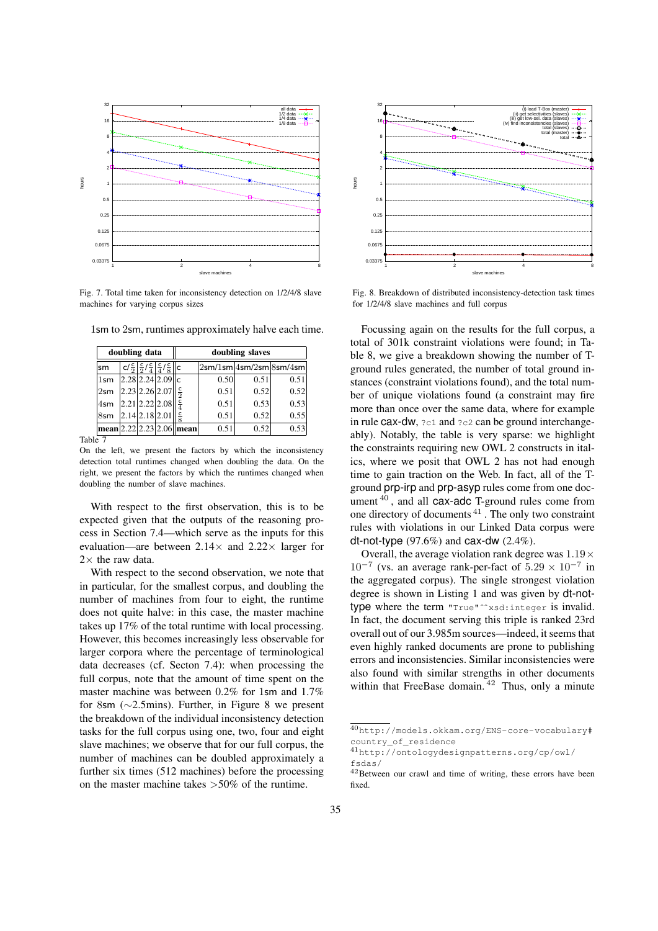

Fig. 7. Total time taken for inconsistency detection on 1/2/4/8 slave machines for varying corpus sizes

1sm to 2sm, runtimes approximately halve each time.

| doubling data       |    |                |                  | doubling slaves |               |      |                                                                                       |  |  |
|---------------------|----|----------------|------------------|-----------------|---------------|------|---------------------------------------------------------------------------------------|--|--|
| sm                  | c/ |                |                  |                 |               |      | $\left 2\text{sm}/1\text{sm}\right 4\text{sm}/2\text{sm}\right 8\text{sm}/4\text{sm}$ |  |  |
| ılsm                |    |                | 2.28 2.24 2.09 c |                 | 0.50          | 0.51 | 0.51                                                                                  |  |  |
| 2sm                 |    | 2.23 2.26 2.07 |                  |                 | 0.51          | 0.52 | 0.52                                                                                  |  |  |
| 4sm                 |    |                | 2.21 2.22 2.08   | $rac{c}{4}$     | 0.51          | 0.53 | 0.53                                                                                  |  |  |
| $8$ sm              |    | 2.14 2.18 2.01 |                  |                 | 0.51          | 0.52 | 0.55                                                                                  |  |  |
| mean 2.22 2.23 2.06 |    |                |                  | mean            | $0.5^{\circ}$ | 0.52 | 0.53                                                                                  |  |  |

Table 7

On the left, we present the factors by which the inconsistency detection total runtimes changed when doubling the data. On the right, we present the factors by which the runtimes changed when doubling the number of slave machines.

With respect to the first observation, this is to be expected given that the outputs of the reasoning process in Section 7.4—which serve as the inputs for this evaluation—are between  $2.14\times$  and  $2.22\times$  larger for  $2\times$  the raw data.

With respect to the second observation, we note that in particular, for the smallest corpus, and doubling the number of machines from four to eight, the runtime does not quite halve: in this case, the master machine takes up 17% of the total runtime with local processing. However, this becomes increasingly less observable for larger corpora where the percentage of terminological data decreases (cf. Secton 7.4): when processing the full corpus, note that the amount of time spent on the master machine was between 0.2% for 1sm and 1.7% for 8sm (∼2.5mins). Further, in Figure 8 we present the breakdown of the individual inconsistency detection tasks for the full corpus using one, two, four and eight slave machines; we observe that for our full corpus, the number of machines can be doubled approximately a further six times (512 machines) before the processing on the master machine takes >50% of the runtime.



Fig. 8. Breakdown of distributed inconsistency-detection task times for 1/2/4/8 slave machines and full corpus

Focussing again on the results for the full corpus, a total of 301k constraint violations were found; in Table 8, we give a breakdown showing the number of Tground rules generated, the number of total ground instances (constraint violations found), and the total number of unique violations found (a constraint may fire more than once over the same data, where for example in rule cax-dw,  $2c1$  and  $2c2$  can be ground interchangeably). Notably, the table is very sparse: we highlight the constraints requiring new OWL 2 constructs in italics, where we posit that OWL 2 has not had enough time to gain traction on the Web. In fact, all of the Tground prp-irp and prp-asyp rules come from one document  $40$ , and all cax-adc T-ground rules come from one directory of documents <sup>41</sup> . The only two constraint rules with violations in our Linked Data corpus were dt-not-type  $(97.6%)$  and cax-dw  $(2.4%)$ .

Overall, the average violation rank degree was  $1.19 \times$  $10^{-7}$  (vs. an average rank-per-fact of  $5.29 \times 10^{-7}$  in the aggregated corpus). The single strongest violation degree is shown in Listing 1 and was given by dt-nottype where the term "True"ˆˆxsd:integer is invalid. In fact, the document serving this triple is ranked 23rd overall out of our 3.985m sources—indeed, it seems that even highly ranked documents are prone to publishing errors and inconsistencies. Similar inconsistencies were also found with similar strengths in other documents within that FreeBase domain.  $42$  Thus, only a minute

<sup>40</sup>http://models.okkam.org/ENS-core-vocabulary# country\_of\_residence

<sup>41</sup>http://ontologydesignpatterns.org/cp/owl/ fsdas/

<sup>42</sup>Between our crawl and time of writing, these errors have been fixed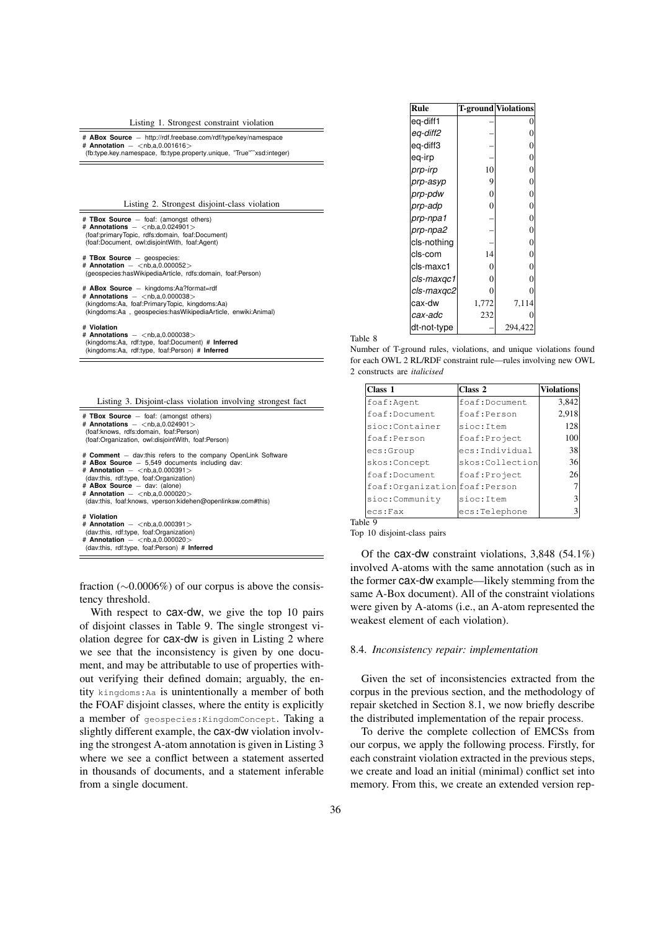|  |  |  | Listing 1. Strongest constraint violation |  |
|--|--|--|-------------------------------------------|--|
|--|--|--|-------------------------------------------|--|

# **ABox Source** − http://rdf.freebase.com/rdf/type/key/namespace

# **Annotation** − <nb,a,0.001616> (fb:type.key.namespace, fb:type.property.unique, "True"ˆˆxsd:integer)

Listing 2. Strongest disjoint-class violation

| # TBox Source $-$ foaf: (amongst others)<br># Annotations $-$ <nb,a,0.024901><br/>(foaf:primaryTopic, rdfs:domain, foaf:Document)<br/>(foaf:Document, owl:disjointWith, foaf:Agent)</nb,a,0.024901> |
|-----------------------------------------------------------------------------------------------------------------------------------------------------------------------------------------------------|
| # TBox Source $-$ geospecies:<br># Annotation $-$ < nb.a.0.000052><br>(geospecies:hasWikipediaArticle, rdfs:domain, foaf:Person)                                                                    |
| # ABox Source - kingdoms:Aa?format=rdf<br># Annotations $-$ < nb,a,0,000038><br>(kingdoms:Aa, foaf:PrimaryTopic, kingdoms:Aa)<br>(kingdoms:Aa, geospecies:hasWikipediaArticle, enwiki:Animal)       |
| # Violation<br># Annotations $-$ <nb,a,0.000038><br/>(kingdoms:Aa, rdf:type, foaf:Document) # Inferred<br/>(kingdoms:Aa, rdf:type, foaf:Person) # Inferred</nb,a,0.000038>                          |

| Listing 3. Disjoint-class violation involving strongest fact |  |  |
|--------------------------------------------------------------|--|--|
|                                                              |  |  |

| # TBox Source - foaf: (amongst others)<br># <b>Annotations</b> $-$ <nb,a,0.024901><br/>(foaf:knows, rdfs:domain, foaf:Person)<br/>(foaf:Organization, owl:disjointWith, foaf:Person)</nb,a,0.024901>                                                                                                                                                                            |
|---------------------------------------------------------------------------------------------------------------------------------------------------------------------------------------------------------------------------------------------------------------------------------------------------------------------------------------------------------------------------------|
| # Comment - dav:this refers to the company OpenLink Software<br># ABox Source - 5.549 documents including day:<br># Annotation $-$ <nb.a.0.000391><br/>(dav:this, rdf:type, foaf:Organization)<br/># ABox Source - dav: (alone)<br/># Annotation <math>-</math> <nb.a.0.000020><br/>(dav:this, foaf:knows, vperson:kidehen@openlinksw.com#this)</nb.a.0.000020></nb.a.0.000391> |
| # Violation<br># <b>Annotation</b> $-$ <nb, 0.000391="" a,=""><br/>(dav:this, rdf:type, foaf:Organization)<br/><math>#</math> Annotation <math>\leq</math>nh a 0.000020<math>\leq</math></nb,>                                                                                                                                                                                  |

# **Annotation** − <nb,a,0.000020> (dav:this, rdf:type, foaf:Person) # **Inferred**

fraction (∼0.0006%) of our corpus is above the consistency threshold.

With respect to cax-dw, we give the top 10 pairs of disjoint classes in Table 9. The single strongest violation degree for cax-dw is given in Listing 2 where we see that the inconsistency is given by one document, and may be attributable to use of properties without verifying their defined domain; arguably, the entity kingdoms:Aa is unintentionally a member of both the FOAF disjoint classes, where the entity is explicitly a member of geospecies:KingdomConcept. Taking a slightly different example, the cax-dw violation involving the strongest A-atom annotation is given in Listing 3 where we see a conflict between a statement asserted in thousands of documents, and a statement inferable from a single document.

| Rule        |                | <b>T-ground</b> Violations |
|-------------|----------------|----------------------------|
| eq-diff1    |                | 0                          |
| eq-diff2    |                | $\boldsymbol{0}$           |
| eq-diff3    |                | $\overline{0}$             |
| eq-irp      |                | $\mathbf{0}$               |
| prp-irp     | 10             | $\mathbf{0}$               |
| prp-asyp    | 9              | $\mathbf{0}$               |
| prp-pdw     | $\overline{0}$ | $\mathbf{0}$               |
| prp-adp     | $\overline{0}$ | $\overline{0}$             |
| prp-npa1    |                | $\overline{0}$             |
| prp-npa2    |                | $\mathbf{0}$               |
| cls-nothing |                | $\mathbf{0}$               |
| cls-com     | 14             | $\mathbf{0}$               |
| cls-maxc1   | $\overline{0}$ | $\mathbf{0}$               |
| cls-maxqc1  | $\overline{0}$ | $\mathbf{0}$               |
| cls-maxqc2  | $\overline{0}$ | $\overline{0}$             |
| cax-dw      | 1,772          | 7,114                      |
| cax-adc     | 232            |                            |
| dt-not-type |                | 294,422                    |

Table 8

Number of T-ground rules, violations, and unique violations found for each OWL 2 RL/RDF constraint rule—rules involving new OWL 2 constructs are *italicised*

| Class 2                       | Violations |
|-------------------------------|------------|
| foaf:Document                 | 3,842      |
| foaf:Person                   | 2,918      |
| sioc:Ttem                     | 128        |
| foaf:Project                  | 100        |
| ecs:Individual                | 38         |
| skos: Collection              | 36         |
| foaf:Project                  | 26         |
| foaf:Organization foaf:Person |            |
| sioc:Item                     |            |
| ecs:Telephone                 |            |
|                               |            |

Top 10 disjoint-class pairs

Of the cax-dw constraint violations, 3,848 (54.1%) involved A-atoms with the same annotation (such as in the former cax-dw example—likely stemming from the same A-Box document). All of the constraint violations were given by A-atoms (i.e., an A-atom represented the weakest element of each violation).

#### 8.4. *Inconsistency repair: implementation*

Given the set of inconsistencies extracted from the corpus in the previous section, and the methodology of repair sketched in Section 8.1, we now briefly describe the distributed implementation of the repair process.

To derive the complete collection of EMCSs from our corpus, we apply the following process. Firstly, for each constraint violation extracted in the previous steps, we create and load an initial (minimal) conflict set into memory. From this, we create an extended version rep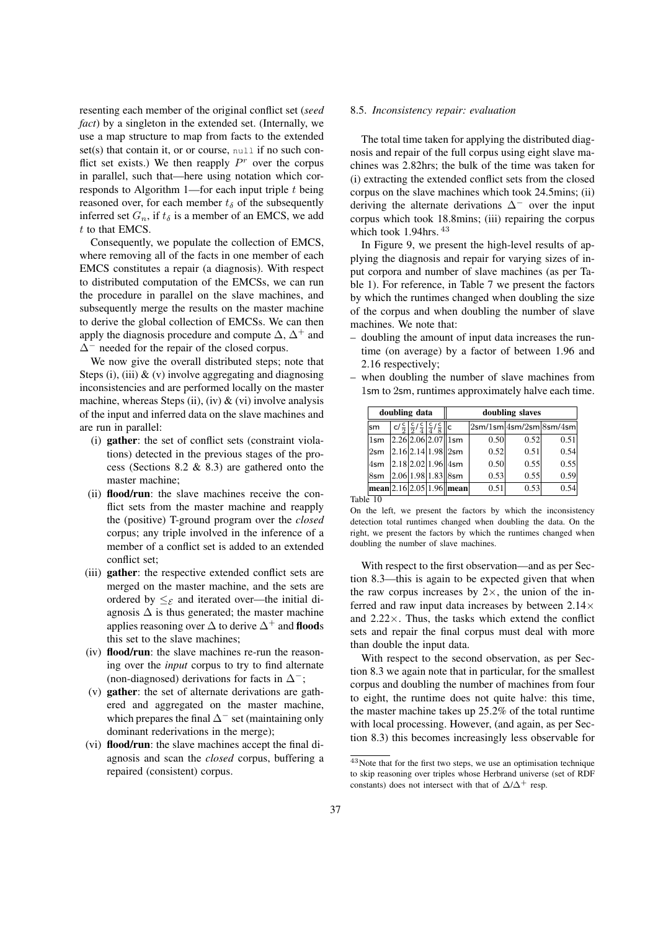resenting each member of the original conflict set (*seed fact*) by a singleton in the extended set. (Internally, we use a map structure to map from facts to the extended  $set(s)$  that contain it, or or course, null if no such conflict set exists.) We then reapply  $P<sup>r</sup>$  over the corpus in parallel, such that—here using notation which corresponds to Algorithm 1—for each input triple  $t$  being reasoned over, for each member  $t_{\delta}$  of the subsequently inferred set  $G_n$ , if  $t_\delta$  is a member of an EMCS, we add t to that EMCS.

Consequently, we populate the collection of EMCS, where removing all of the facts in one member of each EMCS constitutes a repair (a diagnosis). With respect to distributed computation of the EMCSs, we can run the procedure in parallel on the slave machines, and subsequently merge the results on the master machine to derive the global collection of EMCSs. We can then apply the diagnosis procedure and compute  $\Delta$ ,  $\Delta^+$  and ∆<sup>−</sup> needed for the repair of the closed corpus.

We now give the overall distributed steps; note that Steps (i), (iii)  $\&$  (v) involve aggregating and diagnosing inconsistencies and are performed locally on the master machine, whereas Steps (ii), (iv)  $\&$  (vi) involve analysis of the input and inferred data on the slave machines and are run in parallel:

- (i) gather: the set of conflict sets (constraint violations) detected in the previous stages of the process (Sections 8.2 & 8.3) are gathered onto the master machine;
- (ii) flood/run: the slave machines receive the conflict sets from the master machine and reapply the (positive) T-ground program over the *closed* corpus; any triple involved in the inference of a member of a conflict set is added to an extended conflict set;
- (iii) gather: the respective extended conflict sets are merged on the master machine, and the sets are ordered by  $\leq_{\mathcal{E}}$  and iterated over—the initial diagnosis  $\Delta$  is thus generated; the master machine applies reasoning over  $\Delta$  to derive  $\Delta^+$  and floods this set to the slave machines;
- (iv) flood/run: the slave machines re-run the reasoning over the *input* corpus to try to find alternate (non-diagnosed) derivations for facts in  $\Delta^-$ ;
- (v) gather: the set of alternate derivations are gathered and aggregated on the master machine, which prepares the final  $\Delta^-$  set (maintaining only dominant rederivations in the merge);
- (vi) flood/run: the slave machines accept the final diagnosis and scan the *closed* corpus, buffering a repaired (consistent) corpus.

#### 8.5. *Inconsistency repair: evaluation*

The total time taken for applying the distributed diagnosis and repair of the full corpus using eight slave machines was 2.82hrs; the bulk of the time was taken for (i) extracting the extended conflict sets from the closed corpus on the slave machines which took 24.5mins; (ii) deriving the alternate derivations  $\Delta^-$  over the input corpus which took 18.8mins; (iii) repairing the corpus which took 1.94hrs.  $43$ 

In Figure 9, we present the high-level results of applying the diagnosis and repair for varying sizes of input corpora and number of slave machines (as per Table 1). For reference, in Table 7 we present the factors by which the runtimes changed when doubling the size of the corpus and when doubling the number of slave machines. We note that:

- doubling the amount of input data increases the runtime (on average) by a factor of between 1.96 and 2.16 respectively;
	- doubling data doubling slaves  $\mathsf{I}\mathsf{sm}$  $rac{c}{2}$  $rac{c}{2}$  $\frac{c}{4}$  $rac{c}{4}$  $rac{c}{8}$  $2$ sm/ $1$ sm $|4$ sm/ $2$ sm $|8$ sm/ $4$ sm 1sm  $\left| 2.26 \right| 2.06 \left| 2.07 \right|$  1sm  $\left| 0.50 \right|$  0.52 0.51  $2$ sm  $\big| 2.16 \big| 2.14 \big| 1.98 \big| 2$ sm  $\big|$  0.52 0.51 0.54  $\left|4\text{sm} \right| 2.18 \left| 2.02 \right| 1.96 \left| 4\text{sm} \right|$  0.50 0.55 0.55  $\begin{array}{|l|c|c|c|c|c|}\hline \text{8sm} & \text{2.06} & \text{1.98} & \text{1.83} & \text{8sm} & \text{0.53} & \text{0.55} & \text{0.59} \\\hline \end{array}$ mean 2.16 2.05 1.96 mean 0.51 0.53 0.54
- when doubling the number of slave machines from 1sm to 2sm, runtimes approximately halve each time.

Table 10

With respect to the first observation—and as per Section 8.3—this is again to be expected given that when the raw corpus increases by  $2 \times$ , the union of the inferred and raw input data increases by between  $2.14\times$ and  $2.22 \times$ . Thus, the tasks which extend the conflict sets and repair the final corpus must deal with more than double the input data.

With respect to the second observation, as per Section 8.3 we again note that in particular, for the smallest corpus and doubling the number of machines from four to eight, the runtime does not quite halve: this time, the master machine takes up 25.2% of the total runtime with local processing. However, (and again, as per Section 8.3) this becomes increasingly less observable for

On the left, we present the factors by which the inconsistency detection total runtimes changed when doubling the data. On the right, we present the factors by which the runtimes changed when doubling the number of slave machines.

<sup>&</sup>lt;sup>43</sup>Note that for the first two steps, we use an optimisation technique to skip reasoning over triples whose Herbrand universe (set of RDF constants) does not intersect with that of  $\Delta/\Delta$ + resp.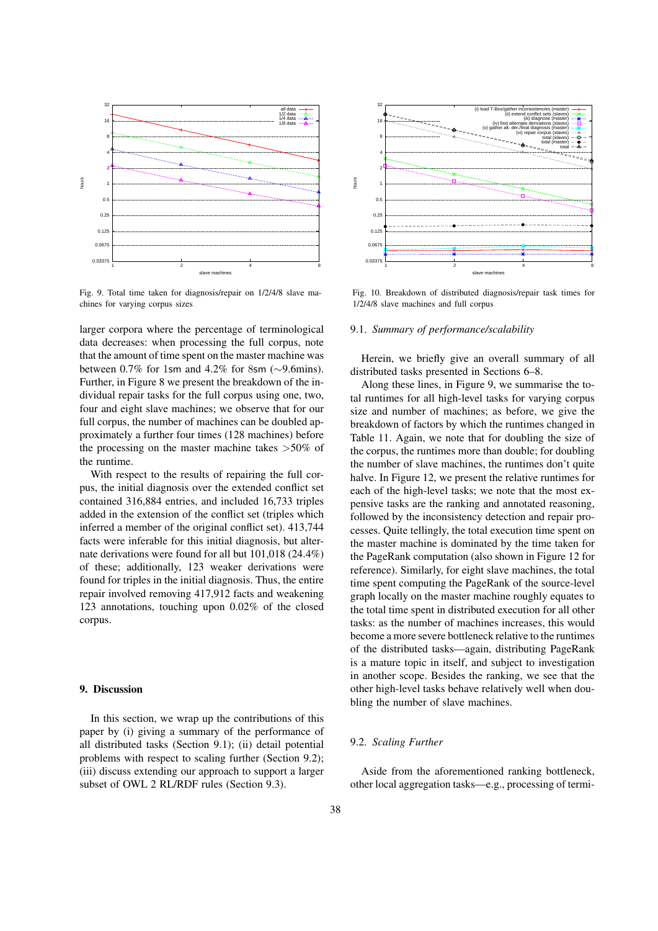

Fig. 9. Total time taken for diagnosis/repair on 1/2/4/8 slave machines for varying corpus sizes

larger corpora where the percentage of terminological data decreases: when processing the full corpus, note that the amount of time spent on the master machine was between 0.7% for 1sm and 4.2% for 8sm (∼9.6mins). Further, in Figure 8 we present the breakdown of the individual repair tasks for the full corpus using one, two, four and eight slave machines; we observe that for our full corpus, the number of machines can be doubled approximately a further four times (128 machines) before the processing on the master machine takes  $>50\%$  of the runtime.

With respect to the results of repairing the full corpus, the initial diagnosis over the extended conflict set contained 316,884 entries, and included 16,733 triples added in the extension of the conflict set (triples which inferred a member of the original conflict set). 413,744 facts were inferable for this initial diagnosis, but alternate derivations were found for all but 101,018 (24.4%) of these; additionally, 123 weaker derivations were found for triples in the initial diagnosis. Thus, the entire repair involved removing 417,912 facts and weakening 123 annotations, touching upon 0.02% of the closed corpus.

#### 9. Discussion

In this section, we wrap up the contributions of this paper by (i) giving a summary of the performance of all distributed tasks (Section 9.1); (ii) detail potential problems with respect to scaling further (Section 9.2); (iii) discuss extending our approach to support a larger subset of OWL 2 RL/RDF rules (Section 9.3).



Fig. 10. Breakdown of distributed diagnosis/repair task times for 1/2/4/8 slave machines and full corpus

#### 9.1. *Summary of performance/scalability*

Herein, we briefly give an overall summary of all distributed tasks presented in Sections 6–8.

Along these lines, in Figure 9, we summarise the total runtimes for all high-level tasks for varying corpus size and number of machines; as before, we give the breakdown of factors by which the runtimes changed in Table 11. Again, we note that for doubling the size of the corpus, the runtimes more than double; for doubling the number of slave machines, the runtimes don't quite halve. In Figure 12, we present the relative runtimes for each of the high-level tasks; we note that the most expensive tasks are the ranking and annotated reasoning, followed by the inconsistency detection and repair processes. Quite tellingly, the total execution time spent on the master machine is dominated by the time taken for the PageRank computation (also shown in Figure 12 for reference). Similarly, for eight slave machines, the total time spent computing the PageRank of the source-level graph locally on the master machine roughly equates to the total time spent in distributed execution for all other tasks: as the number of machines increases, this would become a more severe bottleneck relative to the runtimes of the distributed tasks—again, distributing PageRank is a mature topic in itself, and subject to investigation in another scope. Besides the ranking, we see that the other high-level tasks behave relatively well when doubling the number of slave machines.

#### 9.2. *Scaling Further*

Aside from the aforementioned ranking bottleneck, other local aggregation tasks—e.g., processing of termi-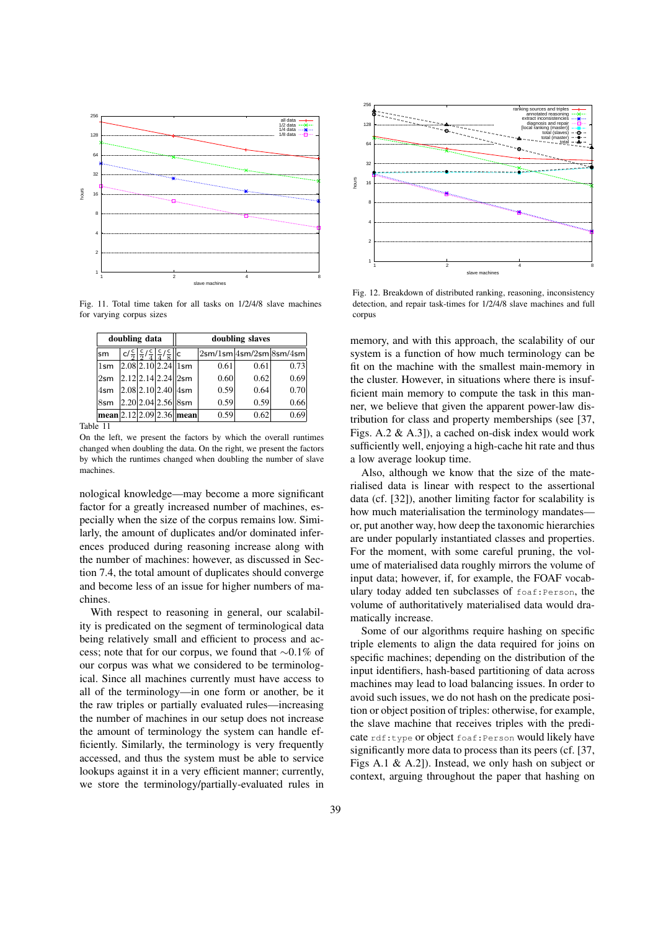

Fig. 11. Total time taken for all tasks on 1/2/4/8 slave machines for varying corpus sizes

| doubling data   |  |  |                                                                                        |                                                                                                                  |      | doubling slaves |      |  |  |
|-----------------|--|--|----------------------------------------------------------------------------------------|------------------------------------------------------------------------------------------------------------------|------|-----------------|------|--|--|
| lsm             |  |  | $c/\frac{c}{2} \left  \frac{c}{2} / \frac{c}{4} \right  \frac{c}{4} / \frac{c}{8}$   c | $\left 2\mathsf{sm}/1\mathsf{sm}\right 4\mathsf{sm}/2\mathsf{sm}\right \!\left 8\mathsf{sm}/4\mathsf{sm}\right $ |      |                 |      |  |  |
| $\vert$ 1sm     |  |  | $ 2.08 2.10 2.24 $ 1sm                                                                 |                                                                                                                  | 0.61 | 0.61            | 0.73 |  |  |
| $2 \mathsf{sm}$ |  |  | $ 2.12 2.14 2.24 $ 2sm                                                                 |                                                                                                                  | 0.60 | 0.62            | 0.69 |  |  |
| 4sm             |  |  | $ 2.08 2.10 2.40 $ 4sm                                                                 |                                                                                                                  | 0.59 | 0.64            | 0.70 |  |  |
| 8sm             |  |  |                                                                                        | $ 2.20 2.04 2.56 $ 8sm                                                                                           | 0.59 | 0.59            | 0.66 |  |  |
|                 |  |  |                                                                                        | $ mean 2.12 2.09 2.36 $ mean                                                                                     | 0.59 | 0.62            | 0.69 |  |  |

Table 11

On the left, we present the factors by which the overall runtimes changed when doubling the data. On the right, we present the factors by which the runtimes changed when doubling the number of slave machines.

nological knowledge—may become a more significant factor for a greatly increased number of machines, especially when the size of the corpus remains low. Similarly, the amount of duplicates and/or dominated inferences produced during reasoning increase along with the number of machines: however, as discussed in Section 7.4, the total amount of duplicates should converge and become less of an issue for higher numbers of machines.

With respect to reasoning in general, our scalability is predicated on the segment of terminological data being relatively small and efficient to process and access; note that for our corpus, we found that ∼0.1% of our corpus was what we considered to be terminological. Since all machines currently must have access to all of the terminology—in one form or another, be it the raw triples or partially evaluated rules—increasing the number of machines in our setup does not increase the amount of terminology the system can handle efficiently. Similarly, the terminology is very frequently accessed, and thus the system must be able to service lookups against it in a very efficient manner; currently, we store the terminology/partially-evaluated rules in



Fig. 12. Breakdown of distributed ranking, reasoning, inconsistency detection, and repair task-times for 1/2/4/8 slave machines and full corpus

memory, and with this approach, the scalability of our system is a function of how much terminology can be fit on the machine with the smallest main-memory in the cluster. However, in situations where there is insufficient main memory to compute the task in this manner, we believe that given the apparent power-law distribution for class and property memberships (see [37, Figs. A.2 & A.3]), a cached on-disk index would work sufficiently well, enjoying a high-cache hit rate and thus a low average lookup time.

Also, although we know that the size of the materialised data is linear with respect to the assertional data (cf. [32]), another limiting factor for scalability is how much materialisation the terminology mandates or, put another way, how deep the taxonomic hierarchies are under popularly instantiated classes and properties. For the moment, with some careful pruning, the volume of materialised data roughly mirrors the volume of input data; however, if, for example, the FOAF vocabulary today added ten subclasses of foaf:Person, the volume of authoritatively materialised data would dramatically increase.

Some of our algorithms require hashing on specific triple elements to align the data required for joins on specific machines; depending on the distribution of the input identifiers, hash-based partitioning of data across machines may lead to load balancing issues. In order to avoid such issues, we do not hash on the predicate position or object position of triples: otherwise, for example, the slave machine that receives triples with the predicate rdf:type or object foaf:Person would likely have significantly more data to process than its peers (cf. [37, Figs A.1 & A.2]). Instead, we only hash on subject or context, arguing throughout the paper that hashing on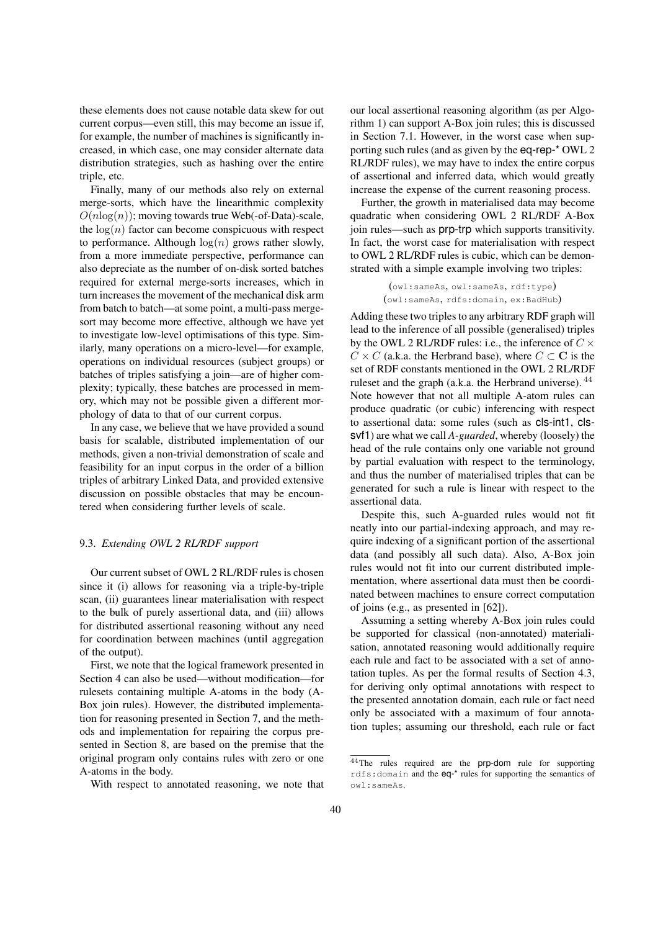these elements does not cause notable data skew for out current corpus—even still, this may become an issue if, for example, the number of machines is significantly increased, in which case, one may consider alternate data distribution strategies, such as hashing over the entire triple, etc.

Finally, many of our methods also rely on external merge-sorts, which have the linearithmic complexity  $O(n \log(n))$ ; moving towards true Web(-of-Data)-scale, the  $log(n)$  factor can become conspicuous with respect to performance. Although  $log(n)$  grows rather slowly, from a more immediate perspective, performance can also depreciate as the number of on-disk sorted batches required for external merge-sorts increases, which in turn increases the movement of the mechanical disk arm from batch to batch—at some point, a multi-pass mergesort may become more effective, although we have yet to investigate low-level optimisations of this type. Similarly, many operations on a micro-level—for example, operations on individual resources (subject groups) or batches of triples satisfying a join—are of higher complexity; typically, these batches are processed in memory, which may not be possible given a different morphology of data to that of our current corpus.

In any case, we believe that we have provided a sound basis for scalable, distributed implementation of our methods, given a non-trivial demonstration of scale and feasibility for an input corpus in the order of a billion triples of arbitrary Linked Data, and provided extensive discussion on possible obstacles that may be encountered when considering further levels of scale.

#### 9.3. *Extending OWL 2 RL/RDF support*

Our current subset of OWL 2 RL/RDF rules is chosen since it (i) allows for reasoning via a triple-by-triple scan, (ii) guarantees linear materialisation with respect to the bulk of purely assertional data, and (iii) allows for distributed assertional reasoning without any need for coordination between machines (until aggregation of the output).

First, we note that the logical framework presented in Section 4 can also be used—without modification—for rulesets containing multiple A-atoms in the body (A-Box join rules). However, the distributed implementation for reasoning presented in Section 7, and the methods and implementation for repairing the corpus presented in Section 8, are based on the premise that the original program only contains rules with zero or one A-atoms in the body.

With respect to annotated reasoning, we note that

our local assertional reasoning algorithm (as per Algorithm 1) can support A-Box join rules; this is discussed in Section 7.1. However, in the worst case when supporting such rules (and as given by the eq-rep-\* OWL 2 RL/RDF rules), we may have to index the entire corpus of assertional and inferred data, which would greatly increase the expense of the current reasoning process.

Further, the growth in materialised data may become quadratic when considering OWL 2 RL/RDF A-Box join rules—such as prp-trp which supports transitivity. In fact, the worst case for materialisation with respect to OWL 2 RL/RDF rules is cubic, which can be demonstrated with a simple example involving two triples:

> (owl:sameAs, owl:sameAs, rdf:type) (owl:sameAs, rdfs:domain, ex:BadHub)

Adding these two triples to any arbitrary RDF graph will lead to the inference of all possible (generalised) triples by the OWL 2 RL/RDF rules: i.e., the inference of  $C \times$  $C \times C$  (a.k.a. the Herbrand base), where  $C \subset \mathbf{C}$  is the set of RDF constants mentioned in the OWL 2 RL/RDF ruleset and the graph (a.k.a. the Herbrand universe). <sup>44</sup> Note however that not all multiple A-atom rules can produce quadratic (or cubic) inferencing with respect to assertional data: some rules (such as cls-int1, clssvf1) are what we call *A-guarded*, whereby (loosely) the head of the rule contains only one variable not ground by partial evaluation with respect to the terminology, and thus the number of materialised triples that can be generated for such a rule is linear with respect to the assertional data.

Despite this, such A-guarded rules would not fit neatly into our partial-indexing approach, and may require indexing of a significant portion of the assertional data (and possibly all such data). Also, A-Box join rules would not fit into our current distributed implementation, where assertional data must then be coordinated between machines to ensure correct computation of joins (e.g., as presented in [62]).

Assuming a setting whereby A-Box join rules could be supported for classical (non-annotated) materialisation, annotated reasoning would additionally require each rule and fact to be associated with a set of annotation tuples. As per the formal results of Section 4.3, for deriving only optimal annotations with respect to the presented annotation domain, each rule or fact need only be associated with a maximum of four annotation tuples; assuming our threshold, each rule or fact

<sup>44</sup>The rules required are the prp-dom rule for supporting rdfs:domain and the eq-\* rules for supporting the semantics of owl:sameAs.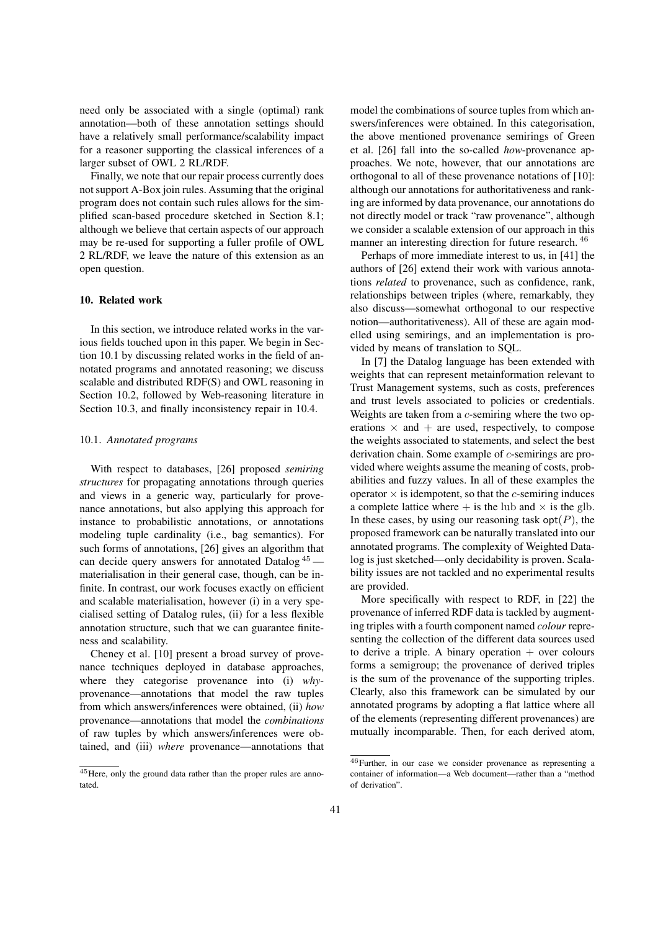need only be associated with a single (optimal) rank annotation—both of these annotation settings should have a relatively small performance/scalability impact for a reasoner supporting the classical inferences of a larger subset of OWL 2 RL/RDF.

Finally, we note that our repair process currently does not support A-Box join rules. Assuming that the original program does not contain such rules allows for the simplified scan-based procedure sketched in Section 8.1; although we believe that certain aspects of our approach may be re-used for supporting a fuller profile of OWL 2 RL/RDF, we leave the nature of this extension as an open question.

#### 10. Related work

In this section, we introduce related works in the various fields touched upon in this paper. We begin in Section 10.1 by discussing related works in the field of annotated programs and annotated reasoning; we discuss scalable and distributed RDF(S) and OWL reasoning in Section 10.2, followed by Web-reasoning literature in Section 10.3, and finally inconsistency repair in 10.4.

#### 10.1. *Annotated programs*

With respect to databases, [26] proposed *semiring structures* for propagating annotations through queries and views in a generic way, particularly for provenance annotations, but also applying this approach for instance to probabilistic annotations, or annotations modeling tuple cardinality (i.e., bag semantics). For such forms of annotations, [26] gives an algorithm that can decide query answers for annotated Datalog <sup>45</sup> materialisation in their general case, though, can be infinite. In contrast, our work focuses exactly on efficient and scalable materialisation, however (i) in a very specialised setting of Datalog rules, (ii) for a less flexible annotation structure, such that we can guarantee finiteness and scalability.

Cheney et al. [10] present a broad survey of provenance techniques deployed in database approaches, where they categorise provenance into (i) *why*provenance—annotations that model the raw tuples from which answers/inferences were obtained, (ii) *how* provenance—annotations that model the *combinations* of raw tuples by which answers/inferences were obtained, and (iii) *where* provenance—annotations that model the combinations of source tuples from which answers/inferences were obtained. In this categorisation, the above mentioned provenance semirings of Green et al. [26] fall into the so-called *how*-provenance approaches. We note, however, that our annotations are orthogonal to all of these provenance notations of [10]: although our annotations for authoritativeness and ranking are informed by data provenance, our annotations do not directly model or track "raw provenance", although we consider a scalable extension of our approach in this manner an interesting direction for future research.<sup>46</sup>

Perhaps of more immediate interest to us, in [41] the authors of [26] extend their work with various annotations *related* to provenance, such as confidence, rank, relationships between triples (where, remarkably, they also discuss—somewhat orthogonal to our respective notion—authoritativeness). All of these are again modelled using semirings, and an implementation is provided by means of translation to SQL.

In [7] the Datalog language has been extended with weights that can represent metainformation relevant to Trust Management systems, such as costs, preferences and trust levels associated to policies or credentials. Weights are taken from a *c*-semiring where the two operations  $\times$  and  $+$  are used, respectively, to compose the weights associated to statements, and select the best derivation chain. Some example of  $c$ -semirings are provided where weights assume the meaning of costs, probabilities and fuzzy values. In all of these examples the operator  $\times$  is idempotent, so that the *c*-semiring induces a complete lattice where  $+$  is the lub and  $\times$  is the glb. In these cases, by using our reasoning task  $opt(P)$ , the proposed framework can be naturally translated into our annotated programs. The complexity of Weighted Datalog is just sketched—only decidability is proven. Scalability issues are not tackled and no experimental results are provided.

More specifically with respect to RDF, in [22] the provenance of inferred RDF data is tackled by augmenting triples with a fourth component named *colour* representing the collection of the different data sources used to derive a triple. A binary operation  $+$  over colours forms a semigroup; the provenance of derived triples is the sum of the provenance of the supporting triples. Clearly, also this framework can be simulated by our annotated programs by adopting a flat lattice where all of the elements (representing different provenances) are mutually incomparable. Then, for each derived atom,

<sup>&</sup>lt;sup>45</sup> Here, only the ground data rather than the proper rules are annotated.

<sup>46</sup>Further, in our case we consider provenance as representing a container of information—a Web document—rather than a "method of derivation".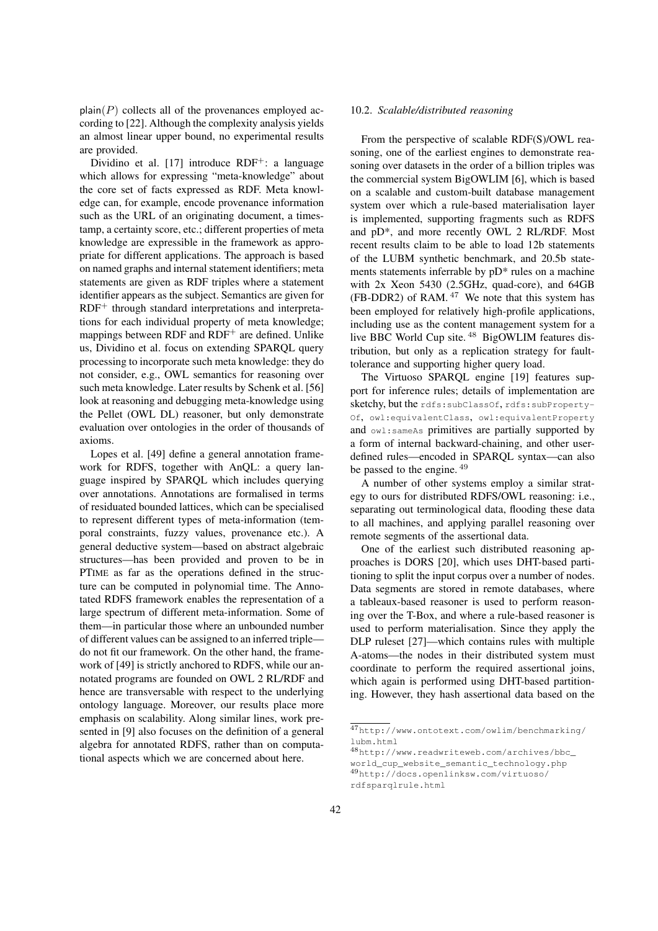$plain(P)$  collects all of the provenances employed according to [22]. Although the complexity analysis yields an almost linear upper bound, no experimental results are provided.

Dividino et al. [17] introduce  $RDF^+$ : a language which allows for expressing "meta-knowledge" about the core set of facts expressed as RDF. Meta knowledge can, for example, encode provenance information such as the URL of an originating document, a timestamp, a certainty score, etc.; different properties of meta knowledge are expressible in the framework as appropriate for different applications. The approach is based on named graphs and internal statement identifiers; meta statements are given as RDF triples where a statement identifier appears as the subject. Semantics are given for  $RDF<sup>+</sup>$  through standard interpretations and interpretations for each individual property of meta knowledge; mappings between RDF and  $RDF<sup>+</sup>$  are defined. Unlike us, Dividino et al. focus on extending SPARQL query processing to incorporate such meta knowledge: they do not consider, e.g., OWL semantics for reasoning over such meta knowledge. Later results by Schenk et al. [56] look at reasoning and debugging meta-knowledge using the Pellet (OWL DL) reasoner, but only demonstrate evaluation over ontologies in the order of thousands of axioms.

Lopes et al. [49] define a general annotation framework for RDFS, together with AnQL: a query language inspired by SPARQL which includes querying over annotations. Annotations are formalised in terms of residuated bounded lattices, which can be specialised to represent different types of meta-information (temporal constraints, fuzzy values, provenance etc.). A general deductive system—based on abstract algebraic structures—has been provided and proven to be in PTIME as far as the operations defined in the structure can be computed in polynomial time. The Annotated RDFS framework enables the representation of a large spectrum of different meta-information. Some of them—in particular those where an unbounded number of different values can be assigned to an inferred triple do not fit our framework. On the other hand, the framework of [49] is strictly anchored to RDFS, while our annotated programs are founded on OWL 2 RL/RDF and hence are transversable with respect to the underlying ontology language. Moreover, our results place more emphasis on scalability. Along similar lines, work presented in [9] also focuses on the definition of a general algebra for annotated RDFS, rather than on computational aspects which we are concerned about here.

#### 10.2. *Scalable/distributed reasoning*

From the perspective of scalable RDF(S)/OWL reasoning, one of the earliest engines to demonstrate reasoning over datasets in the order of a billion triples was the commercial system BigOWLIM [6], which is based on a scalable and custom-built database management system over which a rule-based materialisation layer is implemented, supporting fragments such as RDFS and pD\*, and more recently OWL 2 RL/RDF. Most recent results claim to be able to load 12b statements of the LUBM synthetic benchmark, and 20.5b statements statements inferrable by pD\* rules on a machine with 2x Xeon 5430 (2.5GHz, quad-core), and 64GB (FB-DDR2) of RAM. <sup>47</sup> We note that this system has been employed for relatively high-profile applications, including use as the content management system for a live BBC World Cup site. <sup>48</sup> BigOWLIM features distribution, but only as a replication strategy for faulttolerance and supporting higher query load.

The Virtuoso SPARQL engine [19] features support for inference rules; details of implementation are sketchy, but the rdfs:subClassOf, rdfs:subProperty-Of, owl:equivalentClass, owl:equivalentProperty and owl:sameAs primitives are partially supported by a form of internal backward-chaining, and other userdefined rules—encoded in SPARQL syntax—can also be passed to the engine. <sup>49</sup>

A number of other systems employ a similar strategy to ours for distributed RDFS/OWL reasoning: i.e., separating out terminological data, flooding these data to all machines, and applying parallel reasoning over remote segments of the assertional data.

One of the earliest such distributed reasoning approaches is DORS [20], which uses DHT-based partitioning to split the input corpus over a number of nodes. Data segments are stored in remote databases, where a tableaux-based reasoner is used to perform reasoning over the T-Box, and where a rule-based reasoner is used to perform materialisation. Since they apply the DLP ruleset [27]—which contains rules with multiple A-atoms—the nodes in their distributed system must coordinate to perform the required assertional joins, which again is performed using DHT-based partitioning. However, they hash assertional data based on the

<sup>47</sup>http://www.ontotext.com/owlim/benchmarking/ lubm.html

<sup>48</sup>http://www.readwriteweb.com/archives/bbc\_ world\_cup\_website\_semantic\_technology.php <sup>49</sup>http://docs.openlinksw.com/virtuoso/ rdfsparqlrule.html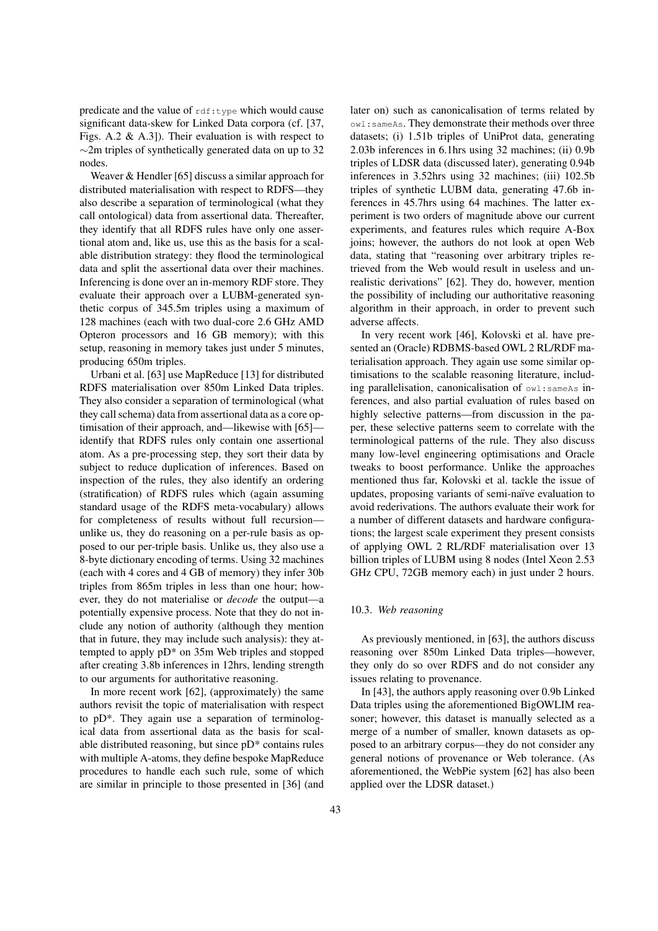predicate and the value of  $ref:type$  which would cause significant data-skew for Linked Data corpora (cf. [37, Figs. A.2 & A.3]). Their evaluation is with respect to ∼2m triples of synthetically generated data on up to 32 nodes.

Weaver & Hendler [65] discuss a similar approach for distributed materialisation with respect to RDFS—they also describe a separation of terminological (what they call ontological) data from assertional data. Thereafter, they identify that all RDFS rules have only one assertional atom and, like us, use this as the basis for a scalable distribution strategy: they flood the terminological data and split the assertional data over their machines. Inferencing is done over an in-memory RDF store. They evaluate their approach over a LUBM-generated synthetic corpus of 345.5m triples using a maximum of 128 machines (each with two dual-core 2.6 GHz AMD Opteron processors and 16 GB memory); with this setup, reasoning in memory takes just under 5 minutes, producing 650m triples.

Urbani et al. [63] use MapReduce [13] for distributed RDFS materialisation over 850m Linked Data triples. They also consider a separation of terminological (what they call schema) data from assertional data as a core optimisation of their approach, and—likewise with [65] identify that RDFS rules only contain one assertional atom. As a pre-processing step, they sort their data by subject to reduce duplication of inferences. Based on inspection of the rules, they also identify an ordering (stratification) of RDFS rules which (again assuming standard usage of the RDFS meta-vocabulary) allows for completeness of results without full recursion unlike us, they do reasoning on a per-rule basis as opposed to our per-triple basis. Unlike us, they also use a 8-byte dictionary encoding of terms. Using 32 machines (each with 4 cores and 4 GB of memory) they infer 30b triples from 865m triples in less than one hour; however, they do not materialise or *decode* the output—a potentially expensive process. Note that they do not include any notion of authority (although they mention that in future, they may include such analysis): they attempted to apply pD\* on 35m Web triples and stopped after creating 3.8b inferences in 12hrs, lending strength to our arguments for authoritative reasoning.

In more recent work [62], (approximately) the same authors revisit the topic of materialisation with respect to pD\*. They again use a separation of terminological data from assertional data as the basis for scalable distributed reasoning, but since pD\* contains rules with multiple A-atoms, they define bespoke MapReduce procedures to handle each such rule, some of which are similar in principle to those presented in [36] (and

later on) such as canonicalisation of terms related by owl:sameAs. They demonstrate their methods over three datasets; (i) 1.51b triples of UniProt data, generating 2.03b inferences in 6.1hrs using 32 machines; (ii) 0.9b triples of LDSR data (discussed later), generating 0.94b inferences in 3.52hrs using 32 machines; (iii) 102.5b triples of synthetic LUBM data, generating 47.6b inferences in 45.7hrs using 64 machines. The latter experiment is two orders of magnitude above our current experiments, and features rules which require A-Box joins; however, the authors do not look at open Web data, stating that "reasoning over arbitrary triples retrieved from the Web would result in useless and unrealistic derivations" [62]. They do, however, mention the possibility of including our authoritative reasoning algorithm in their approach, in order to prevent such adverse affects.

In very recent work [46], Kolovski et al. have presented an (Oracle) RDBMS-based OWL 2 RL/RDF materialisation approach. They again use some similar optimisations to the scalable reasoning literature, including parallelisation, canonicalisation of  $\text{ow1:sameAs}$  inferences, and also partial evaluation of rules based on highly selective patterns—from discussion in the paper, these selective patterns seem to correlate with the terminological patterns of the rule. They also discuss many low-level engineering optimisations and Oracle tweaks to boost performance. Unlike the approaches mentioned thus far, Kolovski et al. tackle the issue of updates, proposing variants of semi-naïve evaluation to avoid rederivations. The authors evaluate their work for a number of different datasets and hardware configurations; the largest scale experiment they present consists of applying OWL 2 RL/RDF materialisation over 13 billion triples of LUBM using 8 nodes (Intel Xeon 2.53 GHz CPU, 72GB memory each) in just under 2 hours.

#### 10.3. *Web reasoning*

As previously mentioned, in [63], the authors discuss reasoning over 850m Linked Data triples—however, they only do so over RDFS and do not consider any issues relating to provenance.

In [43], the authors apply reasoning over 0.9b Linked Data triples using the aforementioned BigOWLIM reasoner; however, this dataset is manually selected as a merge of a number of smaller, known datasets as opposed to an arbitrary corpus—they do not consider any general notions of provenance or Web tolerance. (As aforementioned, the WebPie system [62] has also been applied over the LDSR dataset.)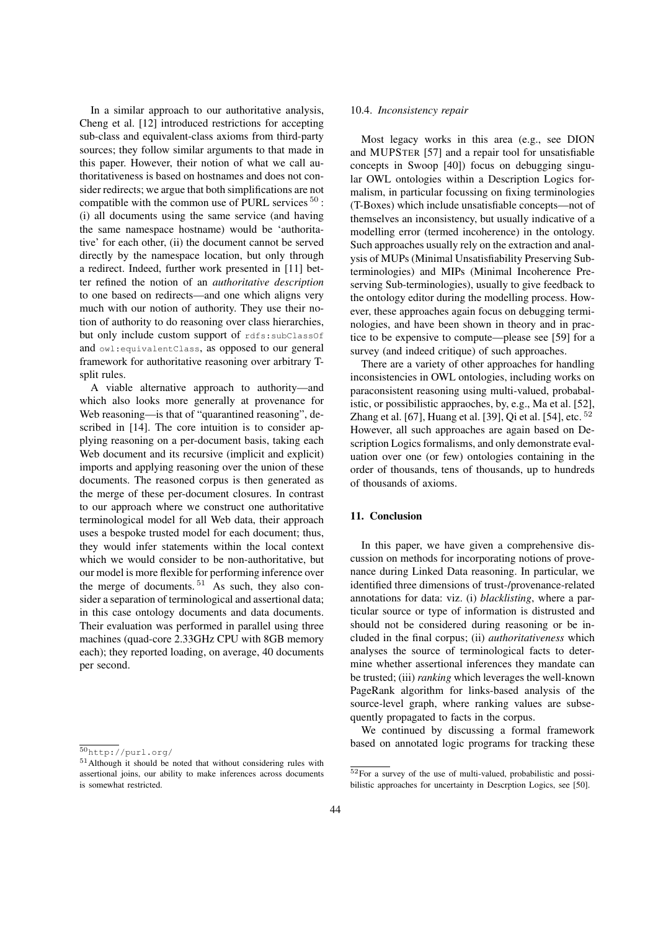In a similar approach to our authoritative analysis, Cheng et al. [12] introduced restrictions for accepting sub-class and equivalent-class axioms from third-party sources; they follow similar arguments to that made in this paper. However, their notion of what we call authoritativeness is based on hostnames and does not consider redirects; we argue that both simplifications are not compatible with the common use of PURL services  $50$ : (i) all documents using the same service (and having the same namespace hostname) would be 'authoritative' for each other, (ii) the document cannot be served directly by the namespace location, but only through a redirect. Indeed, further work presented in [11] better refined the notion of an *authoritative description* to one based on redirects—and one which aligns very much with our notion of authority. They use their notion of authority to do reasoning over class hierarchies, but only include custom support of rdfs:subClassOf and owl:equivalentClass, as opposed to our general framework for authoritative reasoning over arbitrary Tsplit rules.

A viable alternative approach to authority—and which also looks more generally at provenance for Web reasoning—is that of "quarantined reasoning", described in [14]. The core intuition is to consider applying reasoning on a per-document basis, taking each Web document and its recursive (implicit and explicit) imports and applying reasoning over the union of these documents. The reasoned corpus is then generated as the merge of these per-document closures. In contrast to our approach where we construct one authoritative terminological model for all Web data, their approach uses a bespoke trusted model for each document; thus, they would infer statements within the local context which we would consider to be non-authoritative, but our model is more flexible for performing inference over the merge of documents.  $51$  As such, they also consider a separation of terminological and assertional data; in this case ontology documents and data documents. Their evaluation was performed in parallel using three machines (quad-core 2.33GHz CPU with 8GB memory each); they reported loading, on average, 40 documents per second.

#### 10.4. *Inconsistency repair*

Most legacy works in this area (e.g., see DION and MUPSTER [57] and a repair tool for unsatisfiable concepts in Swoop [40]) focus on debugging singular OWL ontologies within a Description Logics formalism, in particular focussing on fixing terminologies (T-Boxes) which include unsatisfiable concepts—not of themselves an inconsistency, but usually indicative of a modelling error (termed incoherence) in the ontology. Such approaches usually rely on the extraction and analysis of MUPs (Minimal Unsatisfiability Preserving Subterminologies) and MIPs (Minimal Incoherence Preserving Sub-terminologies), usually to give feedback to the ontology editor during the modelling process. However, these approaches again focus on debugging terminologies, and have been shown in theory and in practice to be expensive to compute—please see [59] for a survey (and indeed critique) of such approaches.

There are a variety of other approaches for handling inconsistencies in OWL ontologies, including works on paraconsistent reasoning using multi-valued, probabalistic, or possibilistic appraoches, by, e.g., Ma et al. [52], Zhang et al. [67], Huang et al. [39], Qi et al. [54], etc.  $52$ However, all such approaches are again based on Description Logics formalisms, and only demonstrate evaluation over one (or few) ontologies containing in the order of thousands, tens of thousands, up to hundreds of thousands of axioms.

## 11. Conclusion

In this paper, we have given a comprehensive discussion on methods for incorporating notions of provenance during Linked Data reasoning. In particular, we identified three dimensions of trust-/provenance-related annotations for data: viz. (i) *blacklisting*, where a particular source or type of information is distrusted and should not be considered during reasoning or be included in the final corpus; (ii) *authoritativeness* which analyses the source of terminological facts to determine whether assertional inferences they mandate can be trusted; (iii) *ranking* which leverages the well-known PageRank algorithm for links-based analysis of the source-level graph, where ranking values are subsequently propagated to facts in the corpus.

We continued by discussing a formal framework based on annotated logic programs for tracking these

<sup>50</sup>http://purl.org/

<sup>51</sup>Although it should be noted that without considering rules with assertional joins, our ability to make inferences across documents is somewhat restricted.

 $\frac{52}{2}$ For a survey of the use of multi-valued, probabilistic and possibilistic approaches for uncertainty in Descrption Logics, see [50].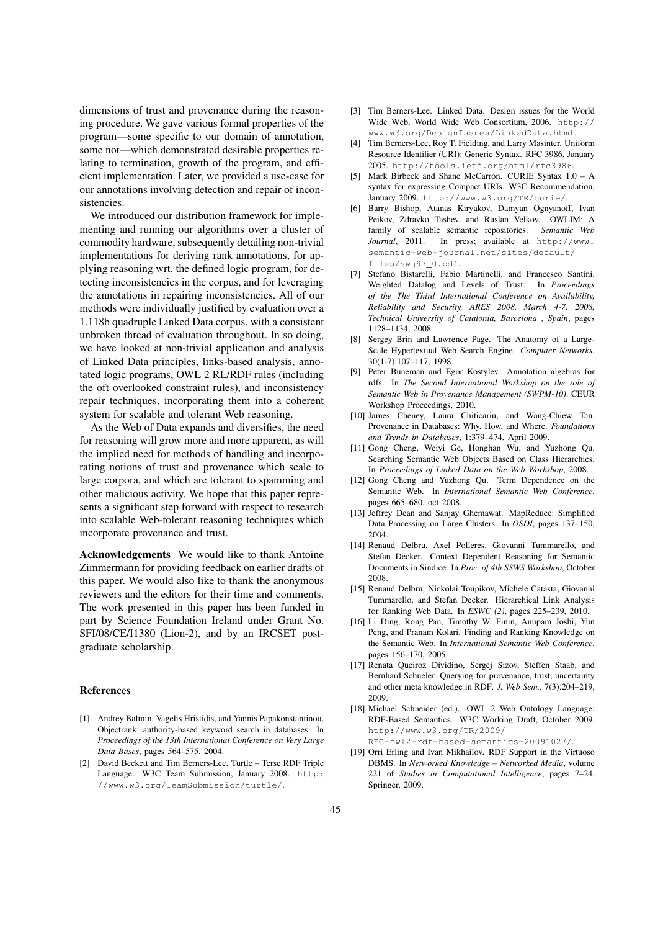dimensions of trust and provenance during the reasoning procedure. We gave various formal properties of the program—some specific to our domain of annotation, some not—which demonstrated desirable properties relating to termination, growth of the program, and efficient implementation. Later, we provided a use-case for our annotations involving detection and repair of incon**sistencies** 

We introduced our distribution framework for implementing and running our algorithms over a cluster of commodity hardware, subsequently detailing non-trivial implementations for deriving rank annotations, for applying reasoning wrt. the defined logic program, for detecting inconsistencies in the corpus, and for leveraging the annotations in repairing inconsistencies. All of our methods were individually justified by evaluation over a 1.118b quadruple Linked Data corpus, with a consistent unbroken thread of evaluation throughout. In so doing, we have looked at non-trivial application and analysis of Linked Data principles, links-based analysis, annotated logic programs, OWL 2 RL/RDF rules (including the oft overlooked constraint rules), and inconsistency repair techniques, incorporating them into a coherent system for scalable and tolerant Web reasoning.

As the Web of Data expands and diversifies, the need for reasoning will grow more and more apparent, as will the implied need for methods of handling and incorporating notions of trust and provenance which scale to large corpora, and which are tolerant to spamming and other malicious activity. We hope that this paper represents a significant step forward with respect to research into scalable Web-tolerant reasoning techniques which incorporate provenance and trust.

Acknowledgements We would like to thank Antoine Zimmermann for providing feedback on earlier drafts of this paper. We would also like to thank the anonymous reviewers and the editors for their time and comments. The work presented in this paper has been funded in part by Science Foundation Ireland under Grant No. SFI/08/CE/I1380 (Lion-2), and by an IRCSET postgraduate scholarship.

#### References

- [1] Andrey Balmin, Vagelis Hristidis, and Yannis Papakonstantinou. Objectrank: authority-based keyword search in databases. In *Proceedings of the 13th International Conference on Very Large Data Bases*, pages 564–575, 2004.
- [2] David Beckett and Tim Berners-Lee. Turtle Terse RDF Triple Language. W3C Team Submission, January 2008. http: //www.w3.org/TeamSubmission/turtle/.
- [3] Tim Berners-Lee. Linked Data. Design issues for the World Wide Web, World Wide Web Consortium, 2006. http:// www.w3.org/DesignIssues/LinkedData.html.
- [4] Tim Berners-Lee, Roy T. Fielding, and Larry Masinter. Uniform Resource Identifier (URI): Generic Syntax. RFC 3986, January 2005. http://tools.ietf.org/html/rfc3986.
- [5] Mark Birbeck and Shane McCarron. CURIE Syntax 1.0 A syntax for expressing Compact URIs. W3C Recommendation, January 2009. http://www.w3.org/TR/curie/.
- [6] Barry Bishop, Atanas Kiryakov, Damyan Ognyanoff, Ivan Peikov, Zdravko Tashev, and Ruslan Velkov. OWLIM: A family of scalable semantic repositories. *Semantic Web Journal*, 2011. In press; available at http://www. semantic-web-journal.net/sites/default/ files/swj97\_0.pdf.
- [7] Stefano Bistarelli, Fabio Martinelli, and Francesco Santini. Weighted Datalog and Levels of Trust. In *Proceedings of the The Third International Conference on Availability, Reliability and Security, ARES 2008, March 4-7, 2008, Technical University of Catalonia, Barcelona , Spain*, pages 1128–1134, 2008.
- [8] Sergey Brin and Lawrence Page. The Anatomy of a Large-Scale Hypertextual Web Search Engine. *Computer Networks*, 30(1-7):107–117, 1998.
- [9] Peter Buneman and Egor Kostylev. Annotation algebras for rdfs. In *The Second International Workshop on the role of Semantic Web in Provenance Management (SWPM-10)*. CEUR Workshop Proceedings, 2010.
- [10] James Cheney, Laura Chiticariu, and Wang-Chiew Tan. Provenance in Databases: Why, How, and Where. *Foundations and Trends in Databases*, 1:379–474, April 2009.
- [11] Gong Cheng, Weiyi Ge, Honghan Wu, and Yuzhong Qu. Searching Semantic Web Objects Based on Class Hierarchies. In *Proceedings of Linked Data on the Web Workshop*, 2008.
- [12] Gong Cheng and Yuzhong Qu. Term Dependence on the Semantic Web. In *International Semantic Web Conference*, pages 665–680, oct 2008.
- [13] Jeffrey Dean and Sanjay Ghemawat. MapReduce: Simplified Data Processing on Large Clusters. In *OSDI*, pages 137–150, 2004.
- [14] Renaud Delbru, Axel Polleres, Giovanni Tummarello, and Stefan Decker. Context Dependent Reasoning for Semantic Documents in Sindice. In *Proc. of 4th SSWS Workshop*, October 2008.
- [15] Renaud Delbru, Nickolai Toupikov, Michele Catasta, Giovanni Tummarello, and Stefan Decker. Hierarchical Link Analysis for Ranking Web Data. In *ESWC (2)*, pages 225–239, 2010.
- [16] Li Ding, Rong Pan, Timothy W. Finin, Anupam Joshi, Yun Peng, and Pranam Kolari. Finding and Ranking Knowledge on the Semantic Web. In *International Semantic Web Conference*, pages 156–170, 2005.
- [17] Renata Queiroz Dividino, Sergej Sizov, Steffen Staab, and Bernhard Schueler. Querying for provenance, trust, uncertainty and other meta knowledge in RDF. *J. Web Sem.*, 7(3):204–219, 2009.
- [18] Michael Schneider (ed.). OWL 2 Web Ontology Language: RDF-Based Semantics. W3C Working Draft, October 2009. http://www.w3.org/TR/2009/ REC-owl2-rdf-based-semantics-20091027/.
- [19] Orri Erling and Ivan Mikhailov. RDF Support in the Virtuoso DBMS. In *Networked Knowledge – Networked Media*, volume 221 of *Studies in Computational Intelligence*, pages 7–24. Springer, 2009.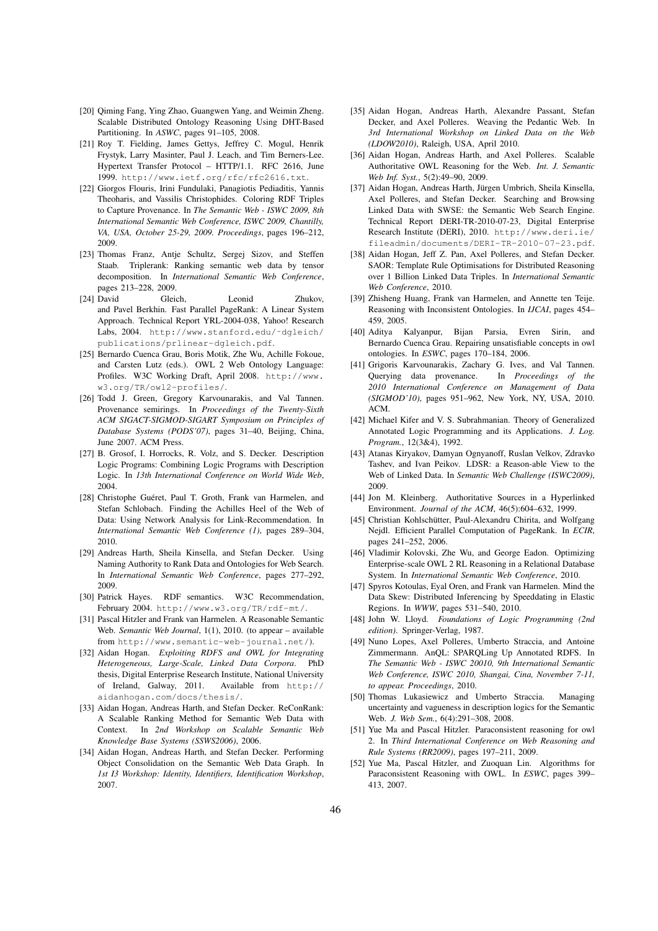- [20] Qiming Fang, Ying Zhao, Guangwen Yang, and Weimin Zheng. Scalable Distributed Ontology Reasoning Using DHT-Based Partitioning. In *ASWC*, pages 91–105, 2008.
- [21] Roy T. Fielding, James Gettys, Jeffrey C. Mogul, Henrik Frystyk, Larry Masinter, Paul J. Leach, and Tim Berners-Lee. Hypertext Transfer Protocol – HTTP/1.1. RFC 2616, June 1999. http://www.ietf.org/rfc/rfc2616.txt.
- [22] Giorgos Flouris, Irini Fundulaki, Panagiotis Pediaditis, Yannis Theoharis, and Vassilis Christophides. Coloring RDF Triples to Capture Provenance. In *The Semantic Web - ISWC 2009, 8th International Semantic Web Conference, ISWC 2009, Chantilly, VA, USA, October 25-29, 2009. Proceedings*, pages 196–212, 2009.
- [23] Thomas Franz, Antje Schultz, Sergej Sizov, and Steffen Staab. Triplerank: Ranking semantic web data by tensor decomposition. In *International Semantic Web Conference*, pages 213–228, 2009.
- [24] David Gleich, Leonid Zhukov, and Pavel Berkhin. Fast Parallel PageRank: A Linear System Approach. Technical Report YRL-2004-038, Yahoo! Research Labs, 2004. http://www.stanford.edu/~dgleich/ publications/prlinear-dgleich.pdf.
- [25] Bernardo Cuenca Grau, Boris Motik, Zhe Wu, Achille Fokoue, and Carsten Lutz (eds.). OWL 2 Web Ontology Language: Profiles. W3C Working Draft, April 2008. http://www. w3.org/TR/owl2-profiles/.
- [26] Todd J. Green, Gregory Karvounarakis, and Val Tannen. Provenance semirings. In *Proceedings of the Twenty-Sixth ACM SIGACT-SIGMOD-SIGART Symposium on Principles of Database Systems (PODS'07)*, pages 31–40, Beijing, China, June 2007. ACM Press.
- [27] B. Grosof, I. Horrocks, R. Volz, and S. Decker. Description Logic Programs: Combining Logic Programs with Description Logic. In *13th International Conference on World Wide Web*, 2004.
- [28] Christophe Guéret, Paul T. Groth, Frank van Harmelen, and Stefan Schlobach. Finding the Achilles Heel of the Web of Data: Using Network Analysis for Link-Recommendation. In *International Semantic Web Conference (1)*, pages 289–304, 2010.
- [29] Andreas Harth, Sheila Kinsella, and Stefan Decker. Using Naming Authority to Rank Data and Ontologies for Web Search. In *International Semantic Web Conference*, pages 277–292, 2009.
- [30] Patrick Hayes. RDF semantics. W3C Recommendation, February 2004. http://www.w3.org/TR/rdf-mt/.
- [31] Pascal Hitzler and Frank van Harmelen. A Reasonable Semantic Web. *Semantic Web Journal*, 1(1), 2010. (to appear – available from http://www.semantic-web-journal.net/).
- [32] Aidan Hogan. *Exploiting RDFS and OWL for Integrating Heterogeneous, Large-Scale, Linked Data Corpora*. PhD thesis, Digital Enterprise Research Institute, National University of Ireland, Galway, 2011. Available from http:// aidanhogan.com/docs/thesis/.
- [33] Aidan Hogan, Andreas Harth, and Stefan Decker. ReConRank: A Scalable Ranking Method for Semantic Web Data with Context. In *2nd Workshop on Scalable Semantic Web Knowledge Base Systems (SSWS2006)*, 2006.
- [34] Aidan Hogan, Andreas Harth, and Stefan Decker. Performing Object Consolidation on the Semantic Web Data Graph. In *1st I3 Workshop: Identity, Identifiers, Identification Workshop*, 2007.
- [35] Aidan Hogan, Andreas Harth, Alexandre Passant, Stefan Decker, and Axel Polleres. Weaving the Pedantic Web. In *3rd International Workshop on Linked Data on the Web (LDOW2010)*, Raleigh, USA, April 2010.
- [36] Aidan Hogan, Andreas Harth, and Axel Polleres. Scalable Authoritative OWL Reasoning for the Web. *Int. J. Semantic Web Inf. Syst.*, 5(2):49–90, 2009.
- [37] Aidan Hogan, Andreas Harth, Jürgen Umbrich, Sheila Kinsella, Axel Polleres, and Stefan Decker. Searching and Browsing Linked Data with SWSE: the Semantic Web Search Engine. Technical Report DERI-TR-2010-07-23, Digital Enterprise Research Institute (DERI), 2010. http://www.deri.ie/ fileadmin/documents/DERI-TR-2010-07-23.pdf.
- [38] Aidan Hogan, Jeff Z. Pan, Axel Polleres, and Stefan Decker. SAOR: Template Rule Optimisations for Distributed Reasoning over 1 Billion Linked Data Triples. In *International Semantic Web Conference*, 2010.
- [39] Zhisheng Huang, Frank van Harmelen, and Annette ten Teije. Reasoning with Inconsistent Ontologies. In *IJCAI*, pages 454– 459, 2005.
- [40] Aditya Kalyanpur, Bijan Parsia, Evren Sirin, and Bernardo Cuenca Grau. Repairing unsatisfiable concepts in owl ontologies. In *ESWC*, pages 170–184, 2006.
- [41] Grigoris Karvounarakis, Zachary G. Ives, and Val Tannen. Querying data provenance. In *Proceedings of the 2010 International Conference on Management of Data (SIGMOD'10)*, pages 951–962, New York, NY, USA, 2010. ACM.
- [42] Michael Kifer and V. S. Subrahmanian. Theory of Generalized Annotated Logic Programming and its Applications. *J. Log. Program.*, 12(3&4), 1992.
- [43] Atanas Kiryakov, Damyan Ognyanoff, Ruslan Velkov, Zdravko Tashev, and Ivan Peikov. LDSR: a Reason-able View to the Web of Linked Data. In *Semantic Web Challenge (ISWC2009)*, 2009.
- [44] Jon M. Kleinberg. Authoritative Sources in a Hyperlinked Environment. *Journal of the ACM*, 46(5):604–632, 1999.
- [45] Christian Kohlschütter, Paul-Alexandru Chirita, and Wolfgang Nejdl. Efficient Parallel Computation of PageRank. In *ECIR*, pages 241–252, 2006.
- [46] Vladimir Kolovski, Zhe Wu, and George Eadon. Optimizing Enterprise-scale OWL 2 RL Reasoning in a Relational Database System. In *International Semantic Web Conference*, 2010.
- [47] Spyros Kotoulas, Eyal Oren, and Frank van Harmelen. Mind the Data Skew: Distributed Inferencing by Speeddating in Elastic Regions. In *WWW*, pages 531–540, 2010.
- [48] John W. Lloyd. *Foundations of Logic Programming (2nd edition)*. Springer-Verlag, 1987.
- [49] Nuno Lopes, Axel Polleres, Umberto Straccia, and Antoine Zimmermann. AnQL: SPARQLing Up Annotated RDFS. In *The Semantic Web - ISWC 20010, 9th International Semantic Web Conference, ISWC 2010, Shangai, Cina, November 7-11, to appear. Proceedings*, 2010.
- [50] Thomas Lukasiewicz and Umberto Straccia. Managing uncertainty and vagueness in description logics for the Semantic Web. *J. Web Sem.*, 6(4):291–308, 2008.
- [51] Yue Ma and Pascal Hitzler. Paraconsistent reasoning for owl 2. In *Third International Conference on Web Reasoning and Rule Systems (RR2009)*, pages 197–211, 2009.
- [52] Yue Ma, Pascal Hitzler, and Zuoquan Lin. Algorithms for Paraconsistent Reasoning with OWL. In *ESWC*, pages 399– 413, 2007.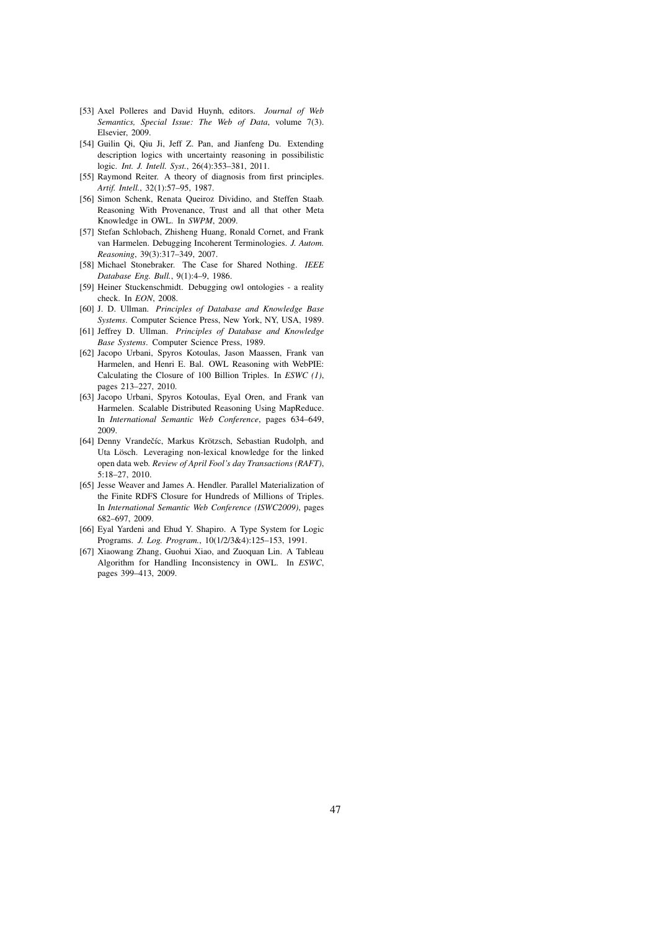- [53] Axel Polleres and David Huynh, editors. *Journal of Web Semantics, Special Issue: The Web of Data*, volume 7(3). Elsevier, 2009.
- [54] Guilin Qi, Qiu Ji, Jeff Z. Pan, and Jianfeng Du. Extending description logics with uncertainty reasoning in possibilistic logic. *Int. J. Intell. Syst.*, 26(4):353–381, 2011.
- [55] Raymond Reiter. A theory of diagnosis from first principles. *Artif. Intell.*, 32(1):57–95, 1987.
- [56] Simon Schenk, Renata Queiroz Dividino, and Steffen Staab. Reasoning With Provenance, Trust and all that other Meta Knowledge in OWL. In *SWPM*, 2009.
- [57] Stefan Schlobach, Zhisheng Huang, Ronald Cornet, and Frank van Harmelen. Debugging Incoherent Terminologies. *J. Autom. Reasoning*, 39(3):317–349, 2007.
- [58] Michael Stonebraker. The Case for Shared Nothing. *IEEE Database Eng. Bull.*, 9(1):4–9, 1986.
- [59] Heiner Stuckenschmidt. Debugging owl ontologies a reality check. In *EON*, 2008.
- [60] J. D. Ullman. *Principles of Database and Knowledge Base Systems*. Computer Science Press, New York, NY, USA, 1989.
- [61] Jeffrey D. Ullman. *Principles of Database and Knowledge Base Systems*. Computer Science Press, 1989.
- [62] Jacopo Urbani, Spyros Kotoulas, Jason Maassen, Frank van Harmelen, and Henri E. Bal. OWL Reasoning with WebPIE: Calculating the Closure of 100 Billion Triples. In *ESWC (1)*, pages 213–227, 2010.
- [63] Jacopo Urbani, Spyros Kotoulas, Eyal Oren, and Frank van Harmelen. Scalable Distributed Reasoning Using MapReduce. In *International Semantic Web Conference*, pages 634–649, 2009.
- [64] Denny Vrandečíc, Markus Krötzsch, Sebastian Rudolph, and Uta Lösch. Leveraging non-lexical knowledge for the linked open data web. *Review of April Fool's day Transactions (RAFT)*, 5:18–27, 2010.
- [65] Jesse Weaver and James A. Hendler. Parallel Materialization of the Finite RDFS Closure for Hundreds of Millions of Triples. In *International Semantic Web Conference (ISWC2009)*, pages 682–697, 2009.
- [66] Eyal Yardeni and Ehud Y. Shapiro. A Type System for Logic Programs. *J. Log. Program.*, 10(1/2/3&4):125–153, 1991.
- [67] Xiaowang Zhang, Guohui Xiao, and Zuoquan Lin. A Tableau Algorithm for Handling Inconsistency in OWL. In *ESWC*, pages 399–413, 2009.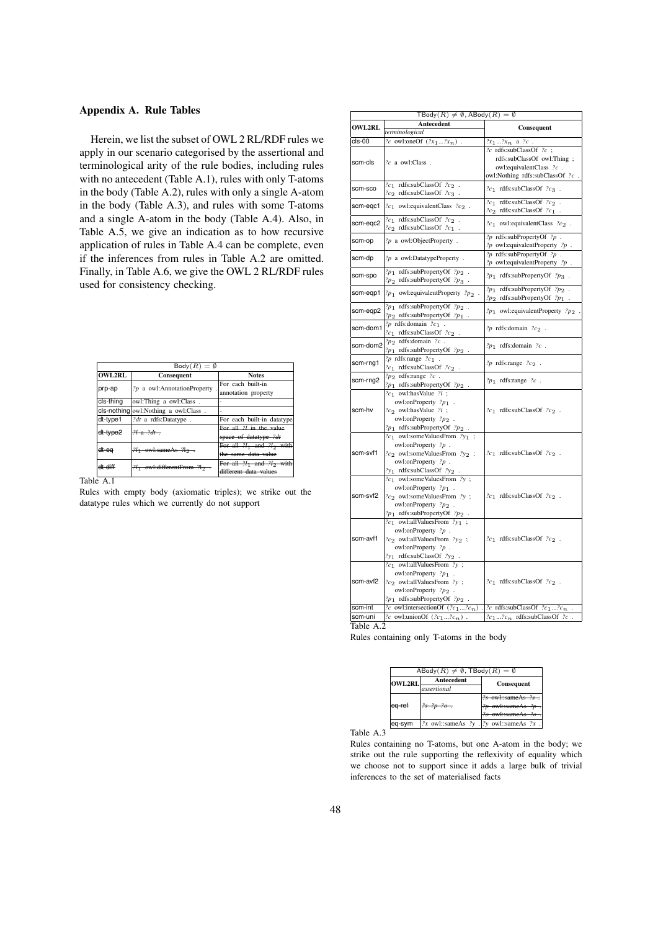## Appendix A. Rule Tables

Herein, we list the subset of OWL 2 RL/RDF rules we apply in our scenario categorised by the assertional and terminological arity of the rule bodies, including rules with no antecedent (Table A.1), rules with only T-atoms in the body (Table A.2), rules with only a single A-atom in the body (Table A.3), and rules with some T-atoms and a single A-atom in the body (Table A.4). Also, in Table A.5, we give an indication as to how recursive application of rules in Table A.4 can be complete, even if the inferences from rules in Table A.2 are omitted. Finally, in Table A.6, we give the OWL 2 RL/RDF rules used for consistency checking.

| $Body(R) = \emptyset$ |                                                    |                                |  |  |  |  |
|-----------------------|----------------------------------------------------|--------------------------------|--|--|--|--|
| <b>OWL2RL</b>         | Consequent                                         | <b>Notes</b>                   |  |  |  |  |
| prp-ap                | $2p$ a owl: Annotation Property                    | For each built-in              |  |  |  |  |
|                       |                                                    | annotation property            |  |  |  |  |
| cls-thing             | owl:Thing a owl:Class.                             |                                |  |  |  |  |
|                       | cls-nothing owl: Nothing a owl: Class.             |                                |  |  |  |  |
| dt-type1              | ?dt a rdfs:Datatype.                               | For each built-in datatype     |  |  |  |  |
| dt type2              | $\frac{21}{2}$ a $\frac{2}{4}$                     | For all 21 in the value        |  |  |  |  |
|                       |                                                    | space of datatype ?dt          |  |  |  |  |
| <del>dt en</del>      | $\frac{2l_1}{l_2}$ owl:sameAs $\frac{2l_2}{l_2}$ . | For all $2l_1$ and $2l_2$ with |  |  |  |  |
|                       |                                                    | the same data value            |  |  |  |  |
|                       | $-21$ owl:differentFrom $-21$                      | For all $2l_1$ and $2l_2$ with |  |  |  |  |
|                       |                                                    | different data values          |  |  |  |  |

Table A.1

Rules with empty body (axiomatic triples); we strike out the datatype rules which we currently do not support

|               | $\overline{\text{TBody}(R) \neq \emptyset}, \overline{\text{ABody}(R) = \emptyset}$                                                                          |                                                                                                                            |
|---------------|--------------------------------------------------------------------------------------------------------------------------------------------------------------|----------------------------------------------------------------------------------------------------------------------------|
| <b>OWL2RL</b> | Antecedent                                                                                                                                                   | Consequent                                                                                                                 |
|               | terminological                                                                                                                                               |                                                                                                                            |
| cls-00        | ?c owl:oneOf $(2x_12x_n)$ .                                                                                                                                  | $2x_12x_n$ a 2c                                                                                                            |
| scm-cls       | ?c a owl:Class.                                                                                                                                              | $?c$ rdfs:subClassOf $?c$ ;<br>rdfs:subClassOf owl:Thing ;<br>owl:equivalentClass ?c .<br>owl:Nothing rdfs:subClassOf ?c . |
| scm-sco       | $2c_1$ rdfs:subClassOf $2c_2$ .                                                                                                                              | $2c_1$ rdfs:subClassOf $2c_3$ .                                                                                            |
|               | $2c_2$ rdfs:subClassOf $2c_3$ .                                                                                                                              |                                                                                                                            |
| scm-eqc1      | $2c_1$ owl: equivalent Class $2c_2$ .                                                                                                                        | $2c_1$ rdfs:subClassOf $2c_2$ .<br>$2c_2$ rdfs:subClassOf $2c_1$                                                           |
| scm-eqc2      | $2c_1$ rdfs:subClassOf $2c_2$ .<br>$?c_2$ rdfs:subClassOf $?c_1$ .                                                                                           | $2c_1$ owl: equivalent Class $2c_2$ .                                                                                      |
| scm-op        | ?p a owl:ObjectProperty .                                                                                                                                    | $?p$ rdfs:subPropertyOf $?p$ .<br>$?p$ owl:equivalentProperty $?p$ .                                                       |
| scm-dp        | ?p a owl:DatatypeProperty.                                                                                                                                   | $?p$ rdfs:subPropertyOf $?p$ .<br>$?p$ owl:equivalentProperty $?p$ .                                                       |
| scm-spo       | $?p_1$ rdfs:subPropertyOf $?p_2$ .                                                                                                                           | $?p_1$ rdfs:subPropertyOf $?p_3$ .                                                                                         |
|               | $?p_2$ rdfs:subPropertyOf $?p_3$ .                                                                                                                           |                                                                                                                            |
| scm-eqp1      | $2p_1$ owl: equivalent Property $2p_2$                                                                                                                       | $?p_1$ rdfs:subPropertyOf $?p_2$ .<br>$?p_2$ rdfs:subPropertyOf $?p_1$ .                                                   |
| scm-eqp2      | $?p_1$ rdfs:subPropertyOf $?p_2$ .<br>$?p_2$ rdfs:subPropertyOf $?p_1$ .                                                                                     | $?p_1$ owl: equivalent Property $?p_2$                                                                                     |
| scm-dom1      | $?p$ rdfs:domain $?c1$ .<br>$\mathcal{X}c_1$ rdfs:subClassOf $\mathcal{X}c_2$ .                                                                              | ?p rdfs:domain ?c <sub>2</sub> .                                                                                           |
| scm-dom2      | $?p_2$ rdfs:domain $?c$ .<br>$?p_1$ rdfs:subPropertyOf $?p_2$ .                                                                                              | $?p_1$ rdfs: domain $?c$ .                                                                                                 |
| scm-rng1      | $?p$ rdfs:range $?c_1$ .<br>$2c_1$ rdfs:subClassOf $\sqrt[2]{2c_2}$ .                                                                                        | $?p$ rdfs:range $?c_2$ .                                                                                                   |
| scm-rng2      | $2p_2$ rdfs:range $2c$ .<br>$?p_1$ rdfs:subPropertyOf $?p_2$ .                                                                                               | $?p_1$ rdfs:range $?c$ .                                                                                                   |
| scm-hv        | $2c_1$ owl:has Value $2i$ ;<br>owl:onProperty $?p_1$ .<br>$2c_2$ owl:has Value $2i$ ;<br>owl:onProperty ?p2 .<br>$?p_1$ rdfs:subPropertyOf $?p_2$ .          | $2c_1$ rdfs:subClassOf $2c_2$ .                                                                                            |
| scm-svf1      | $2c_1$ owl:someValuesFrom $2y_1$ ;<br>owl:onProperty ?p.<br>$2c_2$ owl:someValuesFrom $2y_2$ ;<br>owl:onProperty ?p.<br>$2y_1$ rdfs:subClassOf $2y_2$ .      | $2c_1$ rdfs:subClassOf $2c_2$ .                                                                                            |
| scm-svf2      | $2c_1$ owl:someValuesFrom $2y$ ;<br>owl:onProperty ?p1 .<br>$2c_2$ owl:someValuesFrom $2y$ ;<br>owl:onProperty $?p_2$<br>$?p_1$ rdfs:subPropertyOf $?p_2$ .  | $2c_1$ rdfs:subClassOf $2c_2$ .                                                                                            |
| scm-avf1      | $2c_1$ owl:allValuesFrom $2y_1$ ;<br>owl:onProperty ?p.<br>$2c_2$ owl:allValuesFrom $2y_2$ ;<br>owl:onProperty ?p.<br>$2y_1$ rdfs:subClassOf $2y_2$          | $2c_1$ rdfs:subClassOf $2c_2$ .                                                                                            |
| scm-avf2      | $2c_1$ owl:allValuesFrom $2y$ ;<br>owl:onProperty $?p_1$ .<br>$2c_2$ owl:allValuesFrom $2y$ ;<br>owl:onProperty $?p_2$<br>$?p_1$ rdfs:subPropertyOf $?p_2$ . | $?c_1$ rdfs:subClassOf $?c_2$ .                                                                                            |
| scm-int       | ?c owl:intersectionOf $(2c_12c_n)$ . 2c rdfs:subClassOf $2c_12c_n$                                                                                           |                                                                                                                            |
| scm-uni       | ?c owl:unionOf $(2c_12c_n)$ .                                                                                                                                | $?c_1?c_n$ rdfs:subClassOf $?c$ .                                                                                          |
| Table A.2     |                                                                                                                                                              |                                                                                                                            |

Rules containing only T-atoms in the body

|                   | $ABody(R) \neq \emptyset$ , TBody $(R) = \emptyset$ |                                     |  |  |  |  |  |  |  |
|-------------------|-----------------------------------------------------|-------------------------------------|--|--|--|--|--|--|--|
| <b>OWL2RL</b>     | Antecedent                                          | Consequent                          |  |  |  |  |  |  |  |
|                   | assertional                                         |                                     |  |  |  |  |  |  |  |
|                   |                                                     |                                     |  |  |  |  |  |  |  |
| <del>ea ret</del> |                                                     | $\gamma_p$ owl::sameAs $\gamma_p$ . |  |  |  |  |  |  |  |
|                   |                                                     | ovincomo Ac. 2                      |  |  |  |  |  |  |  |
|                   | $2x$ owl::sameAs $2y$                               | $.$   ?v owl::sameAs ?x .           |  |  |  |  |  |  |  |

Table A.3

Rules containing no T-atoms, but one A-atom in the body; we strike out the rule supporting the reflexivity of equality which we choose not to support since it adds a large bulk of trivial inferences to the set of materialised facts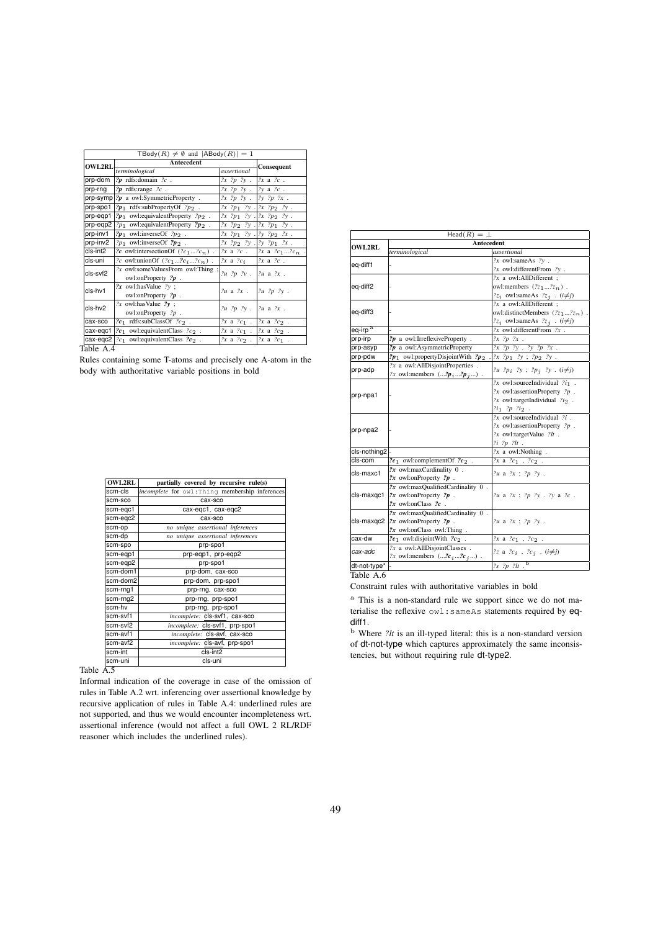| TBody $(R) \neq \emptyset$ and $ ABody(R)  = 1$ |                                          |                                        |                                               |  |  |  |
|-------------------------------------------------|------------------------------------------|----------------------------------------|-----------------------------------------------|--|--|--|
| <b>OWL2RL</b>                                   | Antecedent                               | Consequent                             |                                               |  |  |  |
|                                                 | terminological                           | assertional                            |                                               |  |  |  |
| prp-dom                                         | $2p$ rdfs: domain $2c$ .                 | $2x \; 2p \; 2y$ . $ 2x \; a \; 2c$ .  |                                               |  |  |  |
| prp-rng                                         | $2p$ rdfs: range $2c$ .                  | $2x \; 2p \; 2y$ . 2y a $2c$ .         |                                               |  |  |  |
| prp-symp                                        | $?p$ a owl:SymmetricProperty.            | $2x \; 2p \; 2y$ . $ 2y \; 2p \; 2x$ . |                                               |  |  |  |
| prp-spo1                                        | $?p_1$ rdfs:subPropertyOf $?p_2$ .       |                                        | $2x \t2p_1 \t2y \t2x \t2p_2 \t2y$ .           |  |  |  |
| prp-eqp1                                        | $2p_1$ owl: equivalent Property $2p_2$ . |                                        | $2x \; 2p_1 \; 2y \;  2x \; 2p_2 \; 2y$ .     |  |  |  |
| prp-eqp2                                        | $?p_1$ owl: equivalent Property $?p_2$ . |                                        | $2x \; 2p_2 \; 2y \;  2x \; 2p_1 \; 2y$ .     |  |  |  |
| prp-inv1                                        | $?p_1$ owl:inverseOf $?p_2$ .            |                                        | $2x \; 2p_1 \; 2y \; 2y \; 2p_2 \; 2x$ .      |  |  |  |
| prp-inv2                                        | $?p_1$ owl:inverseOf $?p_2$ .            |                                        | $2x \; 2p_2 \; 2y \; 2y \; 2p_1 \; 2x$ .      |  |  |  |
| cls-int2                                        | ?c owl:intersectionOf $(2c_12c_n)$ .     |                                        | 2x a 2c. 2x a 2c <sub>1</sub> 2c <sub>n</sub> |  |  |  |
| cls-uni                                         | ?c owl:unionOf $(2c_12c_i2c_n)$ .        | $2x$ a $2c_i$   $2x$ a $2c$ .          |                                               |  |  |  |
| cls-svf2                                        | $?x$ owl:someValuesFrom owl:Thing ;      | $2u$ $2p$ $2v$ . $2u$ a $2x$ .         |                                               |  |  |  |
|                                                 | owl:onProperty $?p$ .                    |                                        |                                               |  |  |  |
| cls-hv1                                         | ?x owl:has Value ?y ;                    | $2u$ a $2x$ .                          | $ 2u 2p 2y$ .                                 |  |  |  |
|                                                 | owl:onProperty $?p$ .                    |                                        |                                               |  |  |  |
| cls-hv2                                         | ?x owl:hasValue $?v$ ;                   | $2u$ $2p$ $2y$ . $2u$ a $2x$ .         |                                               |  |  |  |
|                                                 | owl:onProperty $?p$ .                    |                                        |                                               |  |  |  |
| cax-sco                                         | $2c_1$ rdfs:subClassOf $2c_2$ .          | $2x$ a $2c_1$ . $2x$ a $2c_2$ .        |                                               |  |  |  |
| cax-egc1                                        | $2c_1$ owl: equivalent Class $2c_2$ .    | $2x$ a $2c_1$ . $2x$ a $2c_2$ .        |                                               |  |  |  |
| cax-eqc2                                        | $2c_1$ owl: equivalent Class $2c_2$ .    | $2x$ a $2c_2$ . $2x$ a $2c_1$ .        |                                               |  |  |  |

Table A.4

Rules containing some T-atoms and precisely one A-atom in the body with authoritative variable positions in bold

| <b>OWL2RL</b> | partially covered by recursive rule(s)          |
|---------------|-------------------------------------------------|
| scm-cls       | incomplete for owl: Thing membership inferences |
| scm-sco       | cax-sco                                         |
| scm-eqc1      | cax-eqc1, cax-eqc2                              |
| scm-egc2      | cax-sco                                         |
| scm-op        | no unique assertional inferences                |
| scm-dp        | no unique assertional inferences                |
| scm-spo       | prp-spo1                                        |
| scm-eap1      | prp-eqp1, prp-eqp2                              |
| scm-eqp2      | prp-spo1                                        |
| scm-dom1      | prp-dom, cax-sco                                |
| scm-dom2      | prp-dom, prp-spo1                               |
| scm-rng1      | prp-rng, cax-sco                                |
| scm-rnq2      | prp-rng, prp-spo1                               |
| scm-hv        | prp-rng, prp-spo1                               |
| scm-svf1      | incomplete: cls-svf1, cax-sco                   |
| scm-svf2      | incomplete: cls-svf1, prp-spo1                  |
| scm-avf1      | incomplete: cls-avf, cax-sco                    |
| scm-avf2      | incomplete: cls-avf, prp-spo1                   |
| scm-int       | cls-int2                                        |
| scm-uni       | cls-uni                                         |

Table A.5

Informal indication of the coverage in case of the omission of rules in Table A.2 wrt. inferencing over assertional knowledge by recursive application of rules in Table A.4: underlined rules are not supported, and thus we would encounter incompleteness wrt. assertional inference (would not affect a full OWL 2 RL/RDF reasoner which includes the underlined rules).

| $Head(R) = \perp$   |                                                                               |                                                        |  |  |  |
|---------------------|-------------------------------------------------------------------------------|--------------------------------------------------------|--|--|--|
| <b>OWL2RL</b>       | Antecedent                                                                    |                                                        |  |  |  |
|                     | terminological                                                                | assertional                                            |  |  |  |
| eq-diff1            |                                                                               | $?x$ owl:sameAs $?y$ .                                 |  |  |  |
|                     |                                                                               | $?x$ owl:differentFrom $?y$ .                          |  |  |  |
|                     |                                                                               | $?x$ a owl:AllDifferent ;                              |  |  |  |
| eq-diff2            |                                                                               | owl:members $(2z_12z_n)$ .                             |  |  |  |
|                     |                                                                               | $2z_i$ owl:sameAs $2z_i$ . $(i \neq j)$                |  |  |  |
|                     |                                                                               | $?x$ a owl:AllDifferent ;                              |  |  |  |
| eq-diff3            |                                                                               | owl:distinctMembers $(2z_12z_n)$                       |  |  |  |
|                     |                                                                               | $2z_i$ owl:sameAs $2z_j$ . $(i\neq j)$                 |  |  |  |
| eq-irp <sup>a</sup> |                                                                               | $2x$ owl:differentFrom $2x$ .                          |  |  |  |
| prp-irp             | $2p$ a owl: Irreflexive Property.                                             | $2x \; 2p \; 2x$ .                                     |  |  |  |
| prp-asyp            | $2p$ a owl: Asymmetric Property                                               | $2x 2p 2y 2y 2p 2x$ .                                  |  |  |  |
| prp-pdw             | $2p_1$ owl:propertyDisjointWith $2p_2$                                        | $2x \; 2p_1 \; 2y \; ; \; 2p_2 \; 2y \; .$             |  |  |  |
| prp-adp             | ?x a owl:AllDisjointProperties.                                               |                                                        |  |  |  |
|                     | ?x owl:members $(?p_i?p_j)$ .                                                 | $2u\ 2p_i\ 2y\ ;\ 2p_j\ 2y\ .\ (i\neq j)$              |  |  |  |
|                     |                                                                               | ?x owl:sourceIndividual ?i <sub>1</sub> .              |  |  |  |
| prp-npa1            |                                                                               | ?x owl:assertionProperty ?p.                           |  |  |  |
|                     |                                                                               | $?x$ owl:targetIndividual $?i_2$ .                     |  |  |  |
|                     |                                                                               | $2i_1$ $2p$ $2i_2$ .                                   |  |  |  |
|                     |                                                                               | $?x$ owl:sourceIndividual $?i$ .                       |  |  |  |
| prp-npa2            |                                                                               | ?x owl:assertionProperty ?p.                           |  |  |  |
|                     |                                                                               | $?x$ owl:targetValue $?lt$ .                           |  |  |  |
|                     |                                                                               | $2i$ $2p$ $2lt$ .                                      |  |  |  |
| cls-nothing2        |                                                                               | $?x$ a owl:Nothing.                                    |  |  |  |
| cls-com             | $2c_1$ owl:complementOf $2c_2$ .                                              | $2x$ a $2c_1$ , $2c_2$ .                               |  |  |  |
| cls-maxc1           | $2x$ owl:maxCardinality $0$ .                                                 | $2u$ a $2x$ ; $2p$ $2y$ .                              |  |  |  |
|                     | $?x$ owl:onProperty $?p$ .                                                    |                                                        |  |  |  |
|                     | ?x owl:maxQualifiedCardinality 0.                                             |                                                        |  |  |  |
| cls-maxqc1          | ?x owl:onProperty ?p.                                                         | $2u$ a $2x$ ; $2p$ $2y$ . $2y$ a $2c$ .                |  |  |  |
|                     | $2x$ owl:onClass $2c$ .                                                       |                                                        |  |  |  |
|                     | ?x owl:maxQualifiedCardinality 0.                                             |                                                        |  |  |  |
|                     | cls-maxqc2  ?x owl:onProperty ?p.                                             | $2u$ a $2x$ ; $2p$ $2y$ .                              |  |  |  |
|                     | $2x$ owl:onClass owl:Thing.                                                   |                                                        |  |  |  |
| cax-dw              | $2c_1$ owl:disjoint With $2c_2$ .                                             | $2x$ a $2c_1$ , $2c_2$ .                               |  |  |  |
| cax-adc             | ?x a owl:AllDisjointClasses.                                                  | ?z a ?c <sub>i</sub> , ?c <sub>j</sub> . (i $\neq j$ ) |  |  |  |
|                     | ?x owl:members $(\ldots$ ?c <sub>i</sub> $\ldots$ ?c <sub>i</sub> $\ldots$ ). |                                                        |  |  |  |
| dt-not-type*        |                                                                               | $2s$ $2p$ $2lt$ $1$ <sup>b</sup>                       |  |  |  |
| Table A.6           |                                                                               |                                                        |  |  |  |

Constraint rules with authoritative variables in bold

<sup>a</sup> This is a non-standard rule we support since we do not materialise the reflexive owl:sameAs statements required by eqdiff1.

<sup>b</sup> Where *?lt* is an ill-typed literal: this is a non-standard version of dt-not-type which captures approximately the same inconsistencies, but without requiring rule dt-type2.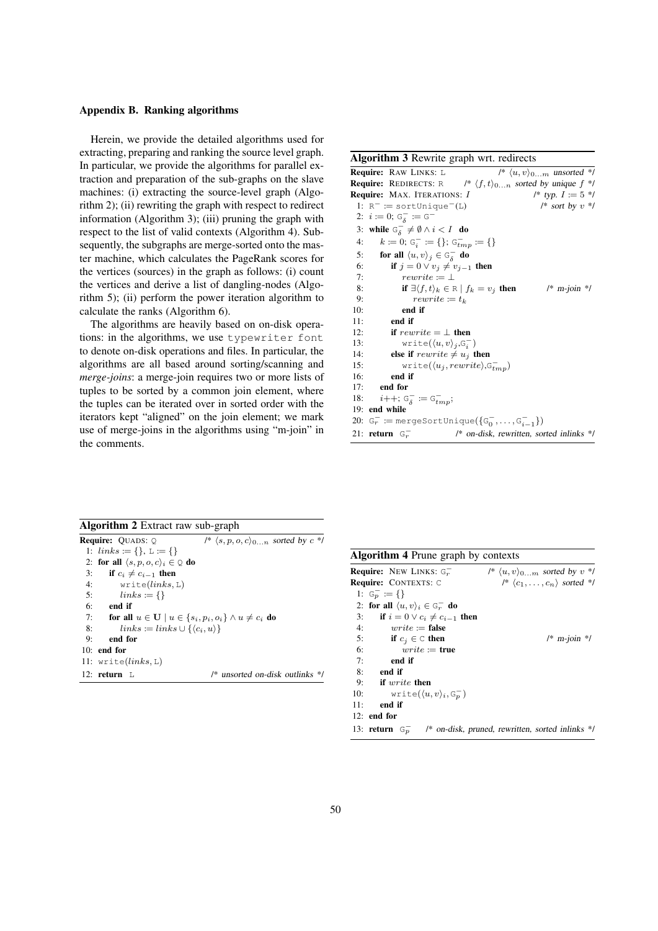### Appendix B. Ranking algorithms

Herein, we provide the detailed algorithms used for extracting, preparing and ranking the source level graph. In particular, we provide the algorithms for parallel extraction and preparation of the sub-graphs on the slave machines: (i) extracting the source-level graph (Algorithm 2); (ii) rewriting the graph with respect to redirect information (Algorithm 3); (iii) pruning the graph with respect to the list of valid contexts (Algorithm 4). Subsequently, the subgraphs are merge-sorted onto the master machine, which calculates the PageRank scores for the vertices (sources) in the graph as follows: (i) count the vertices and derive a list of dangling-nodes (Algorithm 5); (ii) perform the power iteration algorithm to calculate the ranks (Algorithm 6).

The algorithms are heavily based on on-disk operations: in the algorithms, we use typewriter font to denote on-disk operations and files. In particular, the algorithms are all based around sorting/scanning and *merge-joins*: a merge-join requires two or more lists of tuples to be sorted by a common join element, where the tuples can be iterated over in sorted order with the iterators kept "aligned" on the join element; we mark use of merge-joins in the algorithms using "m-join" in the comments.

## Algorithm 3 Rewrite graph wrt. redirects

|     | $\sqrt{\langle u, v \rangle_{0m}}$ unsorted */<br><b>Require:</b> RAW LINKS: L                 |
|-----|------------------------------------------------------------------------------------------------|
|     | <b>Require:</b> REDIRECTS: R $\qquad$ /* $\langle f, t \rangle_{0n}$ sorted by unique $f \neq$ |
|     | /* typ. $I := 5$ */<br><b>Require:</b> MAX. ITERATIONS: I                                      |
|     | $/*$ sort by $v$ */<br>1: $R^- :=$ sortUnique <sup>-</sup> (L)                                 |
|     | 2: $i := 0$ ; $G_{\delta}^- := G^-$                                                            |
|     | 3: while $G_{\delta}^- \neq \emptyset \wedge i < I$ do                                         |
| 4:  | $k := 0; \mathbb{G}_i^- := \{\}; \mathbb{G}_{tmp}^- := \{\}$                                   |
| 5:  | for all $\langle u, v \rangle_j \in \mathbb{G}_{\delta}^-$ do                                  |
| 6:  | if $j = 0 \vee v_j \neq v_{j-1}$ then                                                          |
| 7:  | rewrite $:= \perp$                                                                             |
| 8:  | if $\exists \langle f, t \rangle_k \in \mathbb{R} \mid f_k = v_j$ then<br>/* $m$ -join */      |
| 9:  | $rewrite := t_k$                                                                               |
| 10: | end if                                                                                         |
| 11: | end if                                                                                         |
| 12: | if rewrite $=$ $\perp$ then                                                                    |
| 13: | write $(\langle u, v \rangle_i, \mathbb{G}_i^-)$                                               |
| 14: | else if $rewrite \neq u_j$ then                                                                |
| 15: | write $(\langle u_j, rewrite \rangle, \mathcal{G}^-_{tmn})$                                    |
| 16: | end if                                                                                         |
| 17: | end for                                                                                        |
| 18: | $i++; G_{\delta}^- := G_{tmn}^-;$                                                              |
|     | 19: end while                                                                                  |
|     | 20: $G_r^- := \text{mergeSortUnique}(\{G_0^-, \ldots, G_{i-1}^-\})$                            |
|     | /* on-disk, rewritten, sorted inlinks */<br>21: return $G_r^-$                                 |

| Algorithm 2 Extract raw sub-graph |  |  |  |  |
|-----------------------------------|--|--|--|--|
|-----------------------------------|--|--|--|--|

|    | <b>Require: OUADS: O</b>              |                                                                     | $\sqrt{\frac{k}{2}}$ $\langle s, p, o, c \rangle_{0n}$ sorted by $c \sqrt[k]{a}$ |  |
|----|---------------------------------------|---------------------------------------------------------------------|----------------------------------------------------------------------------------|--|
|    | 1: $links = \{\}, \mathbb{L} := \{\}$ |                                                                     |                                                                                  |  |
|    |                                       | 2: for all $\langle s, p, o, c \rangle_i \in \mathbb{Q}$ do         |                                                                                  |  |
| 3: | if $c_i \neq c_{i-1}$ then            |                                                                     |                                                                                  |  |
|    | 4:                                    | write(links, L)                                                     |                                                                                  |  |
|    | 5:<br>$links := \{\}$                 |                                                                     |                                                                                  |  |
| 6: | end if                                |                                                                     |                                                                                  |  |
| 7: |                                       | for all $u \in U \mid u \in \{s_i, p_i, o_i\} \wedge u \neq c_i$ do |                                                                                  |  |
| 8: |                                       | $links := links \cup \{\langle c_i, u \rangle\}$                    |                                                                                  |  |
| 9: | end for                               |                                                                     |                                                                                  |  |
|    | $10:$ end for                         |                                                                     |                                                                                  |  |
|    | 11: $write(links, L)$                 |                                                                     |                                                                                  |  |
|    | 12: return $L$                        |                                                                     | /* unsorted on-disk outlinks */                                                  |  |

| <b>Algorithm 4</b> Prune graph by contexts                                 |                                                                                      |
|----------------------------------------------------------------------------|--------------------------------------------------------------------------------------|
| <b>Require:</b> NEW LINKS: $G_r^-$                                         | $\sqrt{\langle u, v \rangle_{0m}}$ sorted by $v \sqrt[k]{\langle u, v \rangle_{0m}}$ |
| <b>Require: CONTEXTS: C</b>                                                | $\sqrt{\langle c_1,\ldots,c_n\rangle}$ sorted */                                     |
| 1: $G_n^- := \{\}\$                                                        |                                                                                      |
| 2: for all $\langle u, v \rangle_i \in \mathbb{G}_r^-$ do                  |                                                                                      |
| if $i = 0 \vee c_i \neq c_{i-1}$ then<br>3:                                |                                                                                      |
| 4:<br>$write := false$                                                     |                                                                                      |
| 5:<br>if $c_i \in \mathbb{C}$ then                                         | /* $m$ -join */                                                                      |
| 6:<br>$write := true$                                                      |                                                                                      |
| end if<br>7:                                                               |                                                                                      |
| 8:<br>end if                                                               |                                                                                      |
| 9: if <i>write</i> then                                                    |                                                                                      |
| 10:<br>write $(\langle u, v \rangle_i, G_n)$                               |                                                                                      |
| 11:<br>end if                                                              |                                                                                      |
| $12:$ end for                                                              |                                                                                      |
| 13: <b>return</b> $G_n^-$ /* on-disk, pruned, rewritten, sorted inlinks */ |                                                                                      |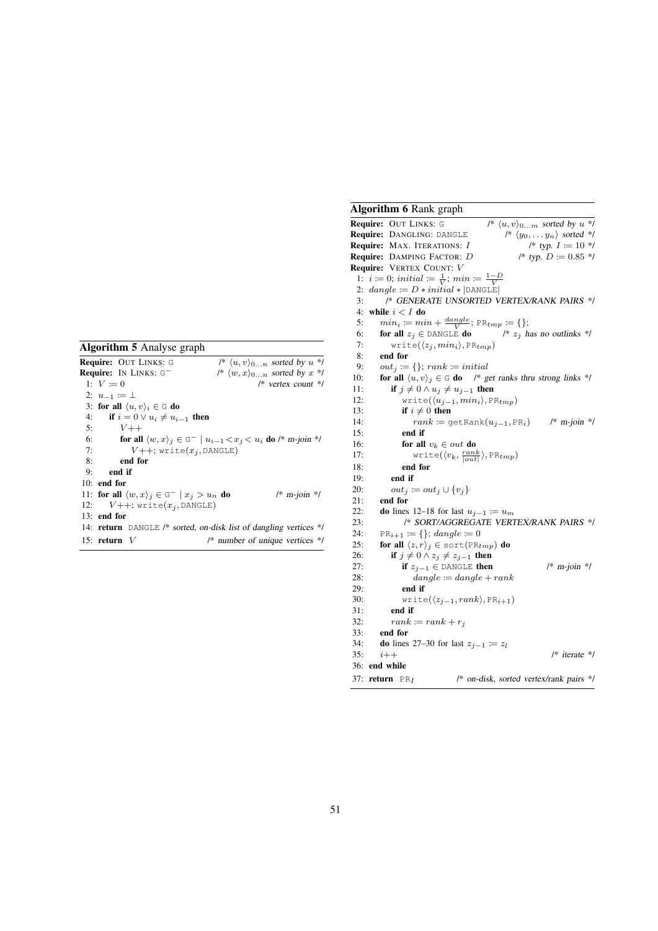#### Algorithm 5 Analyse graph

**Require:** OUT LINKS: G  $\qquad \qquad$  /\*  $\langle u, v \rangle_{0...n}$  sorted by u \*/<br> **Require:** IN LINKS: G<sup>-</sup>  $\qquad \qquad$  /\*  $\langle w, x \rangle_{0...n}$  sorted by x \*/  $\langle w, x \rangle_{0...n}$  sorted by  $x$  \*/ 1:  $V := 0$  /\* vertex count \*/ 2:  $u_{-1} := \perp$ 3: for all  $\langle u, v \rangle_i \in G$  do 4: **if**  $i = 0 \vee u_i \neq u_{i-1}$  then<br>5:  $V++$  $V + +$ 6: **for all**  $\langle w, x \rangle_j \in G^- \mid u_{i-1} < x_j < u_i$  **do** /\* m-join \*/ 7:  $V++$ ; write( $x_j$ , DANGLE) 8: end for 9: end if 10: end for 11: **for all**  $\langle w, x \rangle_j \in \mathbb{G}^- | x_j > u_n$  **do** /\* m-join \*/<br>12:  $V++$ ; write( $x_j$ , DANGLE)  $V++;$  write $(x_j,$  DANGLE) 13: end for 14: return DANGLE /\* sorted, on-disk list of dangling vertices \*/ 15: **return** V /\* number of unique vertices \*/

#### Algorithm 6 Rank graph

**Require:** OUT LINKS: G  $\qquad$  /\*  $\langle u, v \rangle_{0...m}$  sorted by  $u^{*}$ / **Require:** DANGLING: DANGLE  $f^* \langle y_0, \ldots, y_n \rangle$  sorted \*/<br> **Require:** MAX. ITERATIONS:  $I$  /\* typ.  $I := 10$  \*/ Require: MAX. ITERATIONS: I **Require:** DAMPING FACTOR:  $D$  /\* typ.  $D := 0.85$  \*/ Require: VERTEX COUNT: V 1:  $i := 0$ ; initial  $:= \frac{1}{V}$ ; min  $:= \frac{1-D}{V}$ 2:  $dangle := D * initial * |DANGLE|$ 3: /\* GENERATE UNSORTED VERTEX/RANK PAIRS \*/ 4: while  $i < I$  do 5:  $min_i := min + \frac{dangle}{V}$ ;  $PR_{tmp} := \{\}$ ; 6: **for all**  $z_j \in \text{DANGLE}$  **do** /\*  $z_j$  has no outlinks \*/ 7: write  $(\langle z_j , min_i \rangle, \text{PR}_{tmp})$ <br>8: **end for** end for 9:  $out_i := \{\}$ ;  $rank := initial$ 10: **for all**  $\langle u, v \rangle_i \in G$  **do** /\* get ranks thru strong links \*/ 11: **if**  $j \neq 0 \land u_j \neq u_{j-1}$  then<br>12:  $\text{write}(\langle u_{i-1}, \text{min}_i \rangle, \text{P})$  $\text{write}(\langle u_{j-1}, min_i \rangle, \text{PR}_{tmp})$ 13: if  $i \neq 0$  then 14:  $rank := \text{getRank}(u_{i-1}, \text{PR}_i)$  /\* m-join \*/  $15<sup>°</sup>$  end if 16: **for all**  $v_k \in out$  **do** 17:  $\text{write}(\langle v_k, \frac{rank}{|out|} \rangle, \text{PR}_{tmp})$ 18: end for 19: end if 20:  $out_j := out_j \cup \{v_j\}$ <br>21: **end for** end for 22: **do** lines 12–18 for last  $u_{i-1} := u_m$ 23: /\* SORT/AGGREGATE VERTEX/RANK PAIRS \*/ 24:  $PR_{i+1} := \{\};\,\text{angle} := 0$ <br>25: **for all**  $\{z, r\} \in \text{sort (PR1)}$ for all  $\langle z, r \rangle_j \in \text{sort}(\text{PR}_{tmp})$  do 26: **if**  $j \neq 0 \land z_j \neq z_{j-1}$  then<br>27: **if**  $z_{i-1} \in \text{DANGELE then}$ 27: **if**  $z_{j-1} \in \text{DANGLE}$  then  $\qquad$  /\* m-join \*/<br>28: dangle := dangle + rank  $\ddot{\theta}$  dangle := dangle + rank 29: **end if**<br>30:  $\text{write}$ 30: write( $\langle z_{j-1}, rank \rangle, \text{PR}_{i+1}$ )<br>31: **end if** 31: **end if**<br>32:  $rank$  $rank := rank + r_j$ 33: end for 34: **do** lines 27–30 for last  $z_{j-1} := z_l$ <br>35:  $i++$  $/*$  iterate  $*$ / 36: end while 37: return  $PR<sub>I</sub>$  /\* on-disk, sorted vertex/rank pairs \*/